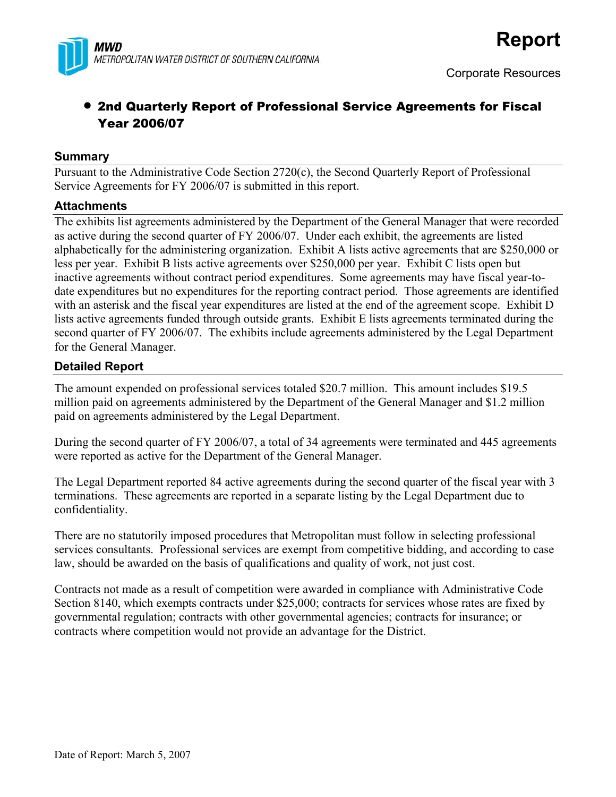

## • 2nd Quarterly Report of Professional Service Agreements for Fiscal Year 2006/07

#### **Summary**

Pursuant to the Administrative Code Section 2720(c), the Second Quarterly Report of Professional Service Agreements for FY 2006/07 is submitted in this report.

#### **Attachments**

The exhibits list agreements administered by the Department of the General Manager that were recorded as active during the second quarter of FY 2006/07. Under each exhibit, the agreements are listed alphabetically for the administering organization. Exhibit A lists active agreements that are \$250,000 or less per year. Exhibit B lists active agreements over \$250,000 per year. Exhibit C lists open but inactive agreements without contract period expenditures. Some agreements may have fiscal year-todate expenditures but no expenditures for the reporting contract period. Those agreements are identified with an asterisk and the fiscal year expenditures are listed at the end of the agreement scope. Exhibit D lists active agreements funded through outside grants. Exhibit E lists agreements terminated during the second quarter of FY 2006/07. The exhibits include agreements administered by the Legal Department for the General Manager.

### **Detailed Report**

The amount expended on professional services totaled \$20.7 million. This amount includes \$19.5 million paid on agreements administered by the Department of the General Manager and \$1.2 million paid on agreements administered by the Legal Department.

During the second quarter of FY 2006/07, a total of 34 agreements were terminated and 445 agreements were reported as active for the Department of the General Manager.

The Legal Department reported 84 active agreements during the second quarter of the fiscal year with 3 terminations. These agreements are reported in a separate listing by the Legal Department due to confidentiality.

There are no statutorily imposed procedures that Metropolitan must follow in selecting professional services consultants. Professional services are exempt from competitive bidding, and according to case law, should be awarded on the basis of qualifications and quality of work, not just cost.

Contracts not made as a result of competition were awarded in compliance with Administrative Code Section 8140, which exempts contracts under \$25,000; contracts for services whose rates are fixed by governmental regulation; contracts with other governmental agencies; contracts for insurance; or contracts where competition would not provide an advantage for the District.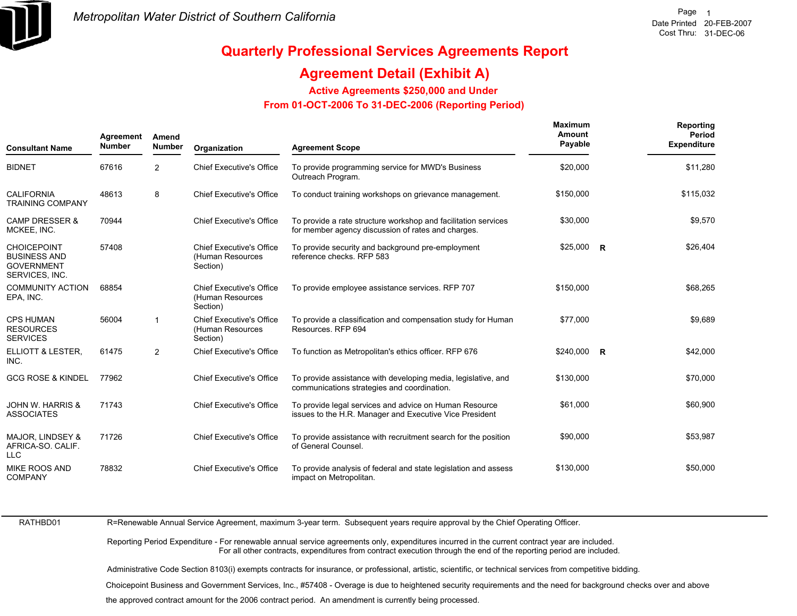

 **Reporting**

**Maximum**

## **Quarterly Professional Services Agreements Report**

## **Agreement Detail (Exhibit A)**

**Active Agreements \$250,000 and Under**

 **From 01-OCT-2006 To 31-DEC-2006 (Reporting Period)** 

| <b>Consultant Name</b>                                                           | Agreement<br><b>Number</b> | Amend<br><b>Number</b> | Organization                                                    | <b>Agreement Scope</b>                                                                                               | Maximum<br>Amount<br>Payable | Reporting<br>Period<br><b>Expenditure</b> |
|----------------------------------------------------------------------------------|----------------------------|------------------------|-----------------------------------------------------------------|----------------------------------------------------------------------------------------------------------------------|------------------------------|-------------------------------------------|
| <b>BIDNET</b>                                                                    | 67616                      | $\overline{2}$         | <b>Chief Executive's Office</b>                                 | To provide programming service for MWD's Business<br>Outreach Program.                                               | \$20,000                     | \$11,280                                  |
| <b>CALIFORNIA</b><br><b>TRAINING COMPANY</b>                                     | 48613                      | 8                      | <b>Chief Executive's Office</b>                                 | To conduct training workshops on grievance management.                                                               | \$150,000                    | \$115,032                                 |
| <b>CAMP DRESSER &amp;</b><br>MCKEE, INC.                                         | 70944                      |                        | <b>Chief Executive's Office</b>                                 | To provide a rate structure workshop and facilitation services<br>for member agency discussion of rates and charges. | \$30,000                     | \$9,570                                   |
| <b>CHOICEPOINT</b><br><b>BUSINESS AND</b><br><b>GOVERNMENT</b><br>SERVICES, INC. | 57408                      |                        | <b>Chief Executive's Office</b><br>(Human Resources<br>Section) | To provide security and background pre-employment<br>reference checks. RFP 583                                       | $$25,000$ R                  | \$26,404                                  |
| <b>COMMUNITY ACTION</b><br>EPA, INC.                                             | 68854                      |                        | <b>Chief Executive's Office</b><br>(Human Resources<br>Section) | To provide employee assistance services. RFP 707                                                                     | \$150,000                    | \$68,265                                  |
| <b>CPS HUMAN</b><br><b>RESOURCES</b><br><b>SERVICES</b>                          | 56004                      | -1                     | <b>Chief Executive's Office</b><br>(Human Resources<br>Section) | To provide a classification and compensation study for Human<br>Resources, RFP 694                                   | \$77,000                     | \$9,689                                   |
| ELLIOTT & LESTER,<br>INC.                                                        | 61475                      | $\overline{2}$         | <b>Chief Executive's Office</b>                                 | To function as Metropolitan's ethics officer. RFP 676                                                                | $$240,000$ R                 | \$42,000                                  |
| <b>GCG ROSE &amp; KINDEL</b>                                                     | 77962                      |                        | <b>Chief Executive's Office</b>                                 | To provide assistance with developing media, legislative, and<br>communications strategies and coordination.         | \$130,000                    | \$70,000                                  |
| <b>JOHN W. HARRIS &amp;</b><br><b>ASSOCIATES</b>                                 | 71743                      |                        | <b>Chief Executive's Office</b>                                 | To provide legal services and advice on Human Resource<br>issues to the H.R. Manager and Executive Vice President    | \$61,000                     | \$60,900                                  |
| <b>MAJOR, LINDSEY &amp;</b><br>AFRICA-SO. CALIF.<br><b>LLC</b>                   | 71726                      |                        | <b>Chief Executive's Office</b>                                 | To provide assistance with recruitment search for the position<br>of General Counsel.                                | \$90,000                     | \$53,987                                  |
| <b>MIKE ROOS AND</b><br><b>COMPANY</b>                                           | 78832                      |                        | <b>Chief Executive's Office</b>                                 | To provide analysis of federal and state legislation and assess<br>impact on Metropolitan.                           | \$130,000                    | \$50,000                                  |

RATHBD01

R=Renewable Annual Service Agreement, maximum 3-year term. Subsequent years require approval by the Chief Operating Officer.

Reporting Period Expenditure - For renewable annual service agreements only, expenditures incurred in the current contract year are included. For all other contracts, expenditures from contract execution through the end of the reporting period are included.

Administrative Code Section 8103(i) exempts contracts for insurance, or professional, artistic, scientific, or technical services from competitive bidding.

Choicepoint Business and Government Services, Inc., #57408 - Overage is due to heightened security requirements and the need for background checks over and above<br>the approved contract amount for the 2006 contract period. A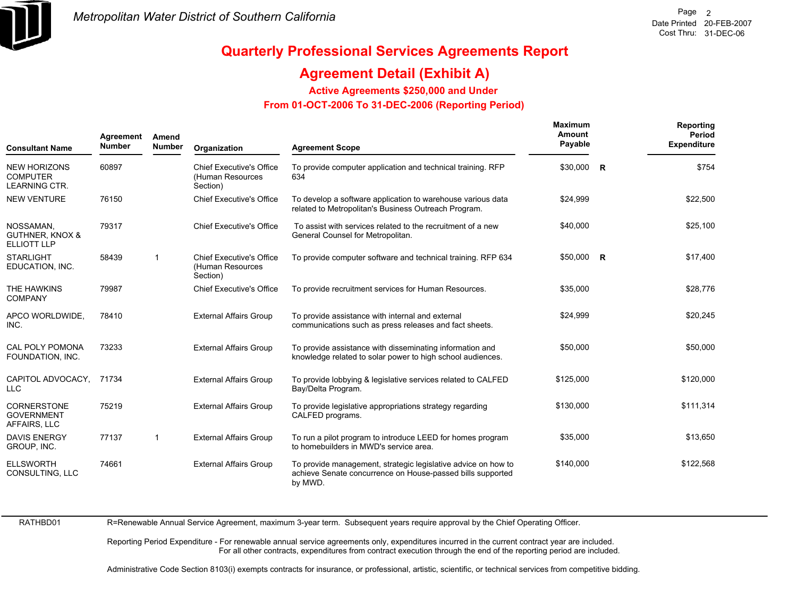

## **Agreement Detail (Exhibit A)**

**Active Agreements \$250,000 and Under**

 **From 01-OCT-2006 To 31-DEC-2006 (Reporting Period)** 

| <b>Consultant Name</b>                                         | Agreement<br><b>Number</b> | Amend<br><b>Number</b> | Organization                                                    | <b>Agreement Scope</b>                                                                                                                 | Maximum<br>Amount<br>Payable | Reporting<br>Period<br><b>Expenditure</b> |
|----------------------------------------------------------------|----------------------------|------------------------|-----------------------------------------------------------------|----------------------------------------------------------------------------------------------------------------------------------------|------------------------------|-------------------------------------------|
| <b>NEW HORIZONS</b><br><b>COMPUTER</b><br><b>LEARNING CTR.</b> | 60897                      |                        | <b>Chief Executive's Office</b><br>(Human Resources<br>Section) | To provide computer application and technical training. RFP<br>634                                                                     | $$30,000$ R                  | \$754                                     |
| <b>NEW VENTURE</b>                                             | 76150                      |                        | <b>Chief Executive's Office</b>                                 | To develop a software application to warehouse various data<br>related to Metropolitan's Business Outreach Program.                    | \$24,999                     | \$22,500                                  |
| NOSSAMAN.<br><b>GUTHNER, KNOX &amp;</b><br><b>ELLIOTT LLP</b>  | 79317                      |                        | <b>Chief Executive's Office</b>                                 | To assist with services related to the recruitment of a new<br>General Counsel for Metropolitan.                                       | \$40,000                     | \$25,100                                  |
| <b>STARLIGHT</b><br>EDUCATION, INC.                            | 58439                      | $\mathbf 1$            | <b>Chief Executive's Office</b><br>(Human Resources<br>Section) | To provide computer software and technical training. RFP 634                                                                           | $$50,000$ R                  | \$17,400                                  |
| THE HAWKINS<br><b>COMPANY</b>                                  | 79987                      |                        | <b>Chief Executive's Office</b>                                 | To provide recruitment services for Human Resources.                                                                                   | \$35,000                     | \$28,776                                  |
| APCO WORLDWIDE,<br>INC.                                        | 78410                      |                        | <b>External Affairs Group</b>                                   | To provide assistance with internal and external<br>communications such as press releases and fact sheets.                             | \$24,999                     | \$20,245                                  |
| CAL POLY POMONA<br>FOUNDATION, INC.                            | 73233                      |                        | <b>External Affairs Group</b>                                   | To provide assistance with disseminating information and<br>knowledge related to solar power to high school audiences.                 | \$50,000                     | \$50,000                                  |
| CAPITOL ADVOCACY,<br><b>LLC</b>                                | 71734                      |                        | <b>External Affairs Group</b>                                   | To provide lobbying & legislative services related to CALFED<br>Bay/Delta Program.                                                     | \$125,000                    | \$120,000                                 |
| <b>CORNERSTONE</b><br><b>GOVERNMENT</b><br>AFFAIRS, LLC        | 75219                      |                        | <b>External Affairs Group</b>                                   | To provide legislative appropriations strategy regarding<br>CALFED programs.                                                           | \$130,000                    | \$111,314                                 |
| <b>DAVIS ENERGY</b><br>GROUP, INC.                             | 77137                      | $\mathbf 1$            | <b>External Affairs Group</b>                                   | To run a pilot program to introduce LEED for homes program<br>to homebuilders in MWD's service area.                                   | \$35,000                     | \$13,650                                  |
| <b>ELLSWORTH</b><br>CONSULTING, LLC                            | 74661                      |                        | <b>External Affairs Group</b>                                   | To provide management, strategic legislative advice on how to<br>achieve Senate concurrence on House-passed bills supported<br>by MWD. | \$140,000                    | \$122,568                                 |

RATHBD01

R=Renewable Annual Service Agreement, maximum 3-year term. Subsequent years require approval by the Chief Operating Officer.

Reporting Period Expenditure - For renewable annual service agreements only, expenditures incurred in the current contract year are included. For all other contracts, expenditures from contract execution through the end of the reporting period are included.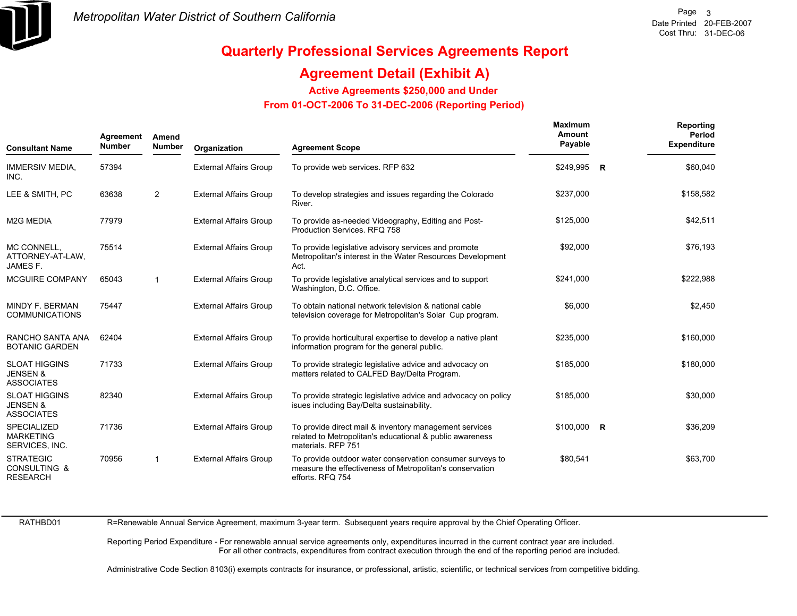

## **Agreement Detail (Exhibit A)**

**Active Agreements \$250,000 and Under**

 **From 01-OCT-2006 To 31-DEC-2006 (Reporting Period)** 

| <b>Consultant Name</b>                                           | Agreement<br><b>Number</b> | Amend<br><b>Number</b> | Organization                  | <b>Agreement Scope</b>                                                                                                                    | Maximum<br>Amount<br>Payable | Reporting<br>Period<br><b>Expenditure</b> |
|------------------------------------------------------------------|----------------------------|------------------------|-------------------------------|-------------------------------------------------------------------------------------------------------------------------------------------|------------------------------|-------------------------------------------|
| <b>IMMERSIV MEDIA,</b><br>INC.                                   | 57394                      |                        | <b>External Affairs Group</b> | To provide web services. RFP 632                                                                                                          | \$249,995 R                  | \$60,040                                  |
| LEE & SMITH, PC                                                  | 63638                      | $\overline{2}$         | <b>External Affairs Group</b> | To develop strategies and issues regarding the Colorado<br>River.                                                                         | \$237,000                    | \$158,582                                 |
| <b>M2G MEDIA</b>                                                 | 77979                      |                        | <b>External Affairs Group</b> | To provide as-needed Videography, Editing and Post-<br>Production Services, RFQ 758                                                       | \$125,000                    | \$42,511                                  |
| MC CONNELL,<br>ATTORNEY-AT-LAW,<br>JAMES F.                      | 75514                      |                        | <b>External Affairs Group</b> | To provide legislative advisory services and promote<br>Metropolitan's interest in the Water Resources Development<br>Act.                | \$92,000                     | \$76,193                                  |
| MCGUIRE COMPANY                                                  | 65043                      | $\mathbf 1$            | <b>External Affairs Group</b> | To provide legislative analytical services and to support<br>Washington, D.C. Office.                                                     | \$241,000                    | \$222,988                                 |
| MINDY F. BERMAN<br><b>COMMUNICATIONS</b>                         | 75447                      |                        | <b>External Affairs Group</b> | To obtain national network television & national cable<br>television coverage for Metropolitan's Solar Cup program.                       | \$6,000                      | \$2,450                                   |
| RANCHO SANTA ANA<br><b>BOTANIC GARDEN</b>                        | 62404                      |                        | <b>External Affairs Group</b> | To provide horticultural expertise to develop a native plant<br>information program for the general public.                               | \$235,000                    | \$160,000                                 |
| <b>SLOAT HIGGINS</b><br><b>JENSEN &amp;</b><br><b>ASSOCIATES</b> | 71733                      |                        | <b>External Affairs Group</b> | To provide strategic legislative advice and advocacy on<br>matters related to CALFED Bay/Delta Program.                                   | \$185,000                    | \$180,000                                 |
| <b>SLOAT HIGGINS</b><br><b>JENSEN &amp;</b><br><b>ASSOCIATES</b> | 82340                      |                        | <b>External Affairs Group</b> | To provide strategic legislative advice and advocacy on policy<br>isues including Bay/Delta sustainability.                               | \$185,000                    | \$30,000                                  |
| <b>SPECIALIZED</b><br><b>MARKETING</b><br>SERVICES, INC.         | 71736                      |                        | <b>External Affairs Group</b> | To provide direct mail & inventory management services<br>related to Metropolitan's educational & public awareness<br>materials. RFP 751  | $$100,000$ R                 | \$36,209                                  |
| <b>STRATEGIC</b><br><b>CONSULTING &amp;</b><br><b>RESEARCH</b>   | 70956                      | $\mathbf{1}$           | <b>External Affairs Group</b> | To provide outdoor water conservation consumer surveys to<br>measure the effectiveness of Metropolitan's conservation<br>efforts. RFQ 754 | \$80,541                     | \$63,700                                  |

RATHBD01

R=Renewable Annual Service Agreement, maximum 3-year term. Subsequent years require approval by the Chief Operating Officer.

Reporting Period Expenditure - For renewable annual service agreements only, expenditures incurred in the current contract year are included. For all other contracts, expenditures from contract execution through the end of the reporting period are included.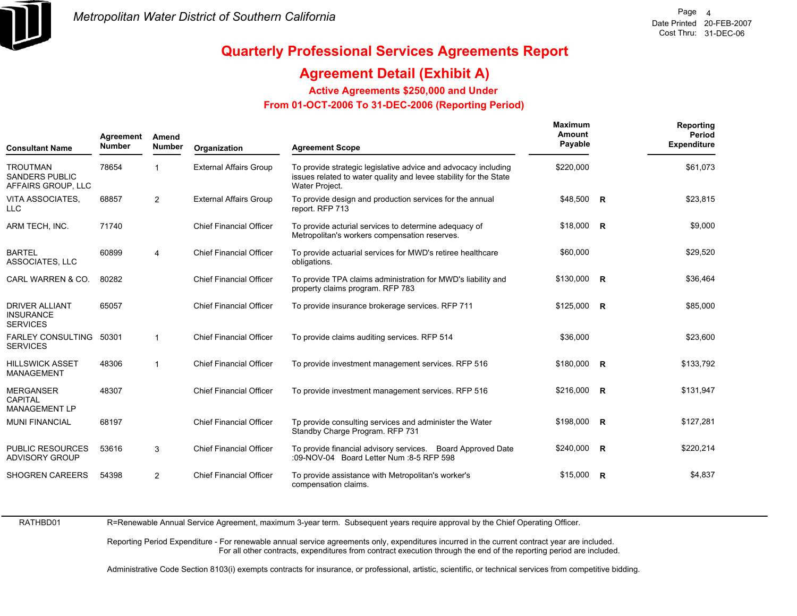

## **Agreement Detail (Exhibit A)**

**Active Agreements \$250,000 and Under**

 **From 01-OCT-2006 To 31-DEC-2006 (Reporting Period)** 

| <b>Consultant Name</b>                                         | Agreement<br><b>Number</b> | Amend<br><b>Number</b>  | Organization                   | <b>Agreement Scope</b>                                                                                                                                | <b>Maximum</b><br>Amount<br>Payable |   | Reporting<br>Period<br><b>Expenditure</b> |
|----------------------------------------------------------------|----------------------------|-------------------------|--------------------------------|-------------------------------------------------------------------------------------------------------------------------------------------------------|-------------------------------------|---|-------------------------------------------|
| <b>TROUTMAN</b><br><b>SANDERS PUBLIC</b><br>AFFAIRS GROUP, LLC | 78654                      |                         | <b>External Affairs Group</b>  | To provide strategic legislative advice and advocacy including<br>issues related to water quality and levee stability for the State<br>Water Project. | \$220,000                           |   | \$61,073                                  |
| VITA ASSOCIATES.<br><b>LLC</b>                                 | 68857                      | $\overline{2}$          | <b>External Affairs Group</b>  | To provide design and production services for the annual<br>report. RFP 713                                                                           | \$48,500 R                          |   | \$23,815                                  |
| ARM TECH, INC.                                                 | 71740                      |                         | <b>Chief Financial Officer</b> | To provide acturial services to determine adequacy of<br>Metropolitan's workers compensation reserves.                                                | $$18,000$ R                         |   | \$9,000                                   |
| <b>BARTEL</b><br>ASSOCIATES, LLC                               | 60899                      | $\overline{\mathbf{4}}$ | <b>Chief Financial Officer</b> | To provide actuarial services for MWD's retiree healthcare<br>obligations.                                                                            | \$60,000                            |   | \$29,520                                  |
| CARL WARREN & CO.                                              | 80282                      |                         | <b>Chief Financial Officer</b> | To provide TPA claims administration for MWD's liability and<br>property claims program. RFP 783                                                      | $$130,000$ R                        |   | \$36,464                                  |
| <b>DRIVER ALLIANT</b><br><b>INSURANCE</b><br><b>SERVICES</b>   | 65057                      |                         | <b>Chief Financial Officer</b> | To provide insurance brokerage services. RFP 711                                                                                                      | $$125,000$ R                        |   | \$85,000                                  |
| <b>FARLEY CONSULTING</b><br><b>SERVICES</b>                    | 50301                      | $\mathbf{1}$            | <b>Chief Financial Officer</b> | To provide claims auditing services. RFP 514                                                                                                          | \$36,000                            |   | \$23,600                                  |
| <b>HILLSWICK ASSET</b><br><b>MANAGEMENT</b>                    | 48306                      | $\mathbf{1}$            | <b>Chief Financial Officer</b> | To provide investment management services. RFP 516                                                                                                    | \$180,000 R                         |   | \$133,792                                 |
| <b>MERGANSER</b><br>CAPITAL<br><b>MANAGEMENT LP</b>            | 48307                      |                         | <b>Chief Financial Officer</b> | To provide investment management services. RFP 516                                                                                                    | \$216,000 R                         |   | \$131,947                                 |
| <b>MUNI FINANCIAL</b>                                          | 68197                      |                         | <b>Chief Financial Officer</b> | Tp provide consulting services and administer the Water<br>Standby Charge Program. RFP 731                                                            | \$198,000 R                         |   | \$127,281                                 |
| <b>PUBLIC RESOURCES</b><br><b>ADVISORY GROUP</b>               | 53616                      | 3                       | <b>Chief Financial Officer</b> | To provide financial advisory services. Board Approved Date<br>:09-NOV-04 Board Letter Num :8-5 RFP 598                                               | $$240,000$ R                        |   | \$220,214                                 |
| <b>SHOGREN CAREERS</b>                                         | 54398                      | 2                       | <b>Chief Financial Officer</b> | To provide assistance with Metropolitan's worker's<br>compensation claims.                                                                            | \$15.000                            | R | \$4,837                                   |

RATHBD01

R=Renewable Annual Service Agreement, maximum 3-year term. Subsequent years require approval by the Chief Operating Officer.

Reporting Period Expenditure - For renewable annual service agreements only, expenditures incurred in the current contract year are included. For all other contracts, expenditures from contract execution through the end of the reporting period are included.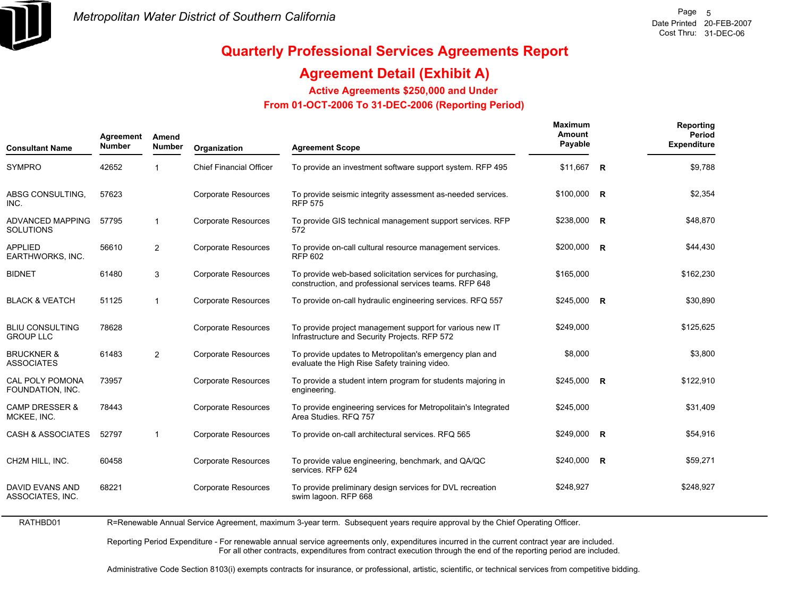

RATHBD01

## **Quarterly Professional Services Agreements Report**

## **Agreement Detail (Exhibit A)**

**Active Agreements \$250,000 and Under**

 **From 01-OCT-2006 To 31-DEC-2006 (Reporting Period)** 

| <b>Consultant Name</b>                     | Agreement<br><b>Number</b> | Amend<br><b>Number</b> | Organization                   | <b>Agreement Scope</b>                                                                                               | <b>Maximum</b><br>Amount<br>Payable | Reporting<br>Period<br><b>Expenditure</b> |
|--------------------------------------------|----------------------------|------------------------|--------------------------------|----------------------------------------------------------------------------------------------------------------------|-------------------------------------|-------------------------------------------|
| <b>SYMPRO</b>                              | 42652                      |                        | <b>Chief Financial Officer</b> | To provide an investment software support system. RFP 495                                                            | \$11,667 R                          | \$9,788                                   |
| ABSG CONSULTING,<br>INC.                   | 57623                      |                        | <b>Corporate Resources</b>     | To provide seismic integrity assessment as-needed services.<br><b>RFP 575</b>                                        | \$100,000 R                         | \$2,354                                   |
| ADVANCED MAPPING<br><b>SOLUTIONS</b>       | 57795                      | -1                     | <b>Corporate Resources</b>     | To provide GIS technical management support services. RFP<br>572                                                     | \$238,000 R                         | \$48,870                                  |
| <b>APPLIED</b><br><b>EARTHWORKS, INC.</b>  | 56610                      | 2                      | <b>Corporate Resources</b>     | To provide on-call cultural resource management services.<br><b>RFP 602</b>                                          | \$200,000 R                         | \$44,430                                  |
| <b>BIDNET</b>                              | 61480                      | 3                      | Corporate Resources            | To provide web-based solicitation services for purchasing,<br>construction, and professional services teams. RFP 648 | \$165,000                           | \$162,230                                 |
| <b>BLACK &amp; VEATCH</b>                  | 51125                      | $\overline{1}$         | <b>Corporate Resources</b>     | To provide on-call hydraulic engineering services. RFQ 557                                                           | $$245,000$ R                        | \$30,890                                  |
| <b>BLIU CONSULTING</b><br><b>GROUP LLC</b> | 78628                      |                        | <b>Corporate Resources</b>     | To provide project management support for various new IT<br>Infrastructure and Security Projects. RFP 572            | \$249,000                           | \$125,625                                 |
| <b>BRUCKNER &amp;</b><br><b>ASSOCIATES</b> | 61483                      | $\overline{2}$         | <b>Corporate Resources</b>     | To provide updates to Metropolitan's emergency plan and<br>evaluate the High Rise Safety training video.             | \$8,000                             | \$3,800                                   |
| <b>CAL POLY POMONA</b><br>FOUNDATION, INC. | 73957                      |                        | <b>Corporate Resources</b>     | To provide a student intern program for students majoring in<br>engineering.                                         | \$245,000 R                         | \$122,910                                 |
| <b>CAMP DRESSER &amp;</b><br>MCKEE, INC.   | 78443                      |                        | <b>Corporate Resources</b>     | To provide engineering services for Metropolitain's Integrated<br>Area Studies, RFQ 757                              | \$245,000                           | \$31,409                                  |
| <b>CASH &amp; ASSOCIATES</b>               | 52797                      | $\overline{1}$         | <b>Corporate Resources</b>     | To provide on-call architectural services. RFQ 565                                                                   | $$249,000$ R                        | \$54,916                                  |
| CH2M HILL, INC.                            | 60458                      |                        | <b>Corporate Resources</b>     | To provide value engineering, benchmark, and QA/QC<br>services. RFP 624                                              | \$240,000 R                         | \$59,271                                  |
| <b>DAVID EVANS AND</b><br>ASSOCIATES, INC. | 68221                      |                        | <b>Corporate Resources</b>     | To provide preliminary design services for DVL recreation<br>swim lagoon. RFP 668                                    | \$248,927                           | \$248,927                                 |

R=Renewable Annual Service Agreement, maximum 3-year term. Subsequent years require approval by the Chief Operating Officer.

Reporting Period Expenditure - For renewable annual service agreements only, expenditures incurred in the current contract year are included. For all other contracts, expenditures from contract execution through the end of the reporting period are included.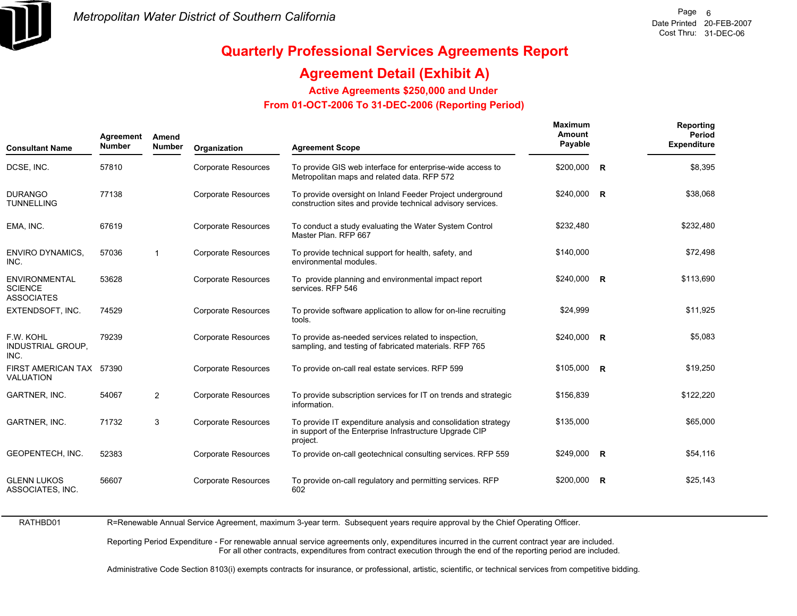

## **Agreement Detail (Exhibit A)**

**Active Agreements \$250,000 and Under**

 **From 01-OCT-2006 To 31-DEC-2006 (Reporting Period)** 

| <b>Consultant Name</b>                                      | Agreement<br><b>Number</b> | Amend<br><b>Number</b> | Organization               | <b>Agreement Scope</b>                                                                                                               | <b>Maximum</b><br>Amount<br>Payable |                         | Reporting<br>Period<br><b>Expenditure</b> |
|-------------------------------------------------------------|----------------------------|------------------------|----------------------------|--------------------------------------------------------------------------------------------------------------------------------------|-------------------------------------|-------------------------|-------------------------------------------|
| DCSE, INC.                                                  | 57810                      |                        | <b>Corporate Resources</b> | To provide GIS web interface for enterprise-wide access to<br>Metropolitan maps and related data. RFP 572                            | \$200,000                           | $\overline{\mathbf{R}}$ | \$8,395                                   |
| <b>DURANGO</b><br><b>TUNNELLING</b>                         | 77138                      |                        | <b>Corporate Resources</b> | To provide oversight on Inland Feeder Project underground<br>construction sites and provide technical advisory services.             | \$240,000 R                         |                         | \$38,068                                  |
| EMA, INC.                                                   | 67619                      |                        | <b>Corporate Resources</b> | To conduct a study evaluating the Water System Control<br>Master Plan, RFP 667                                                       | \$232,480                           |                         | \$232,480                                 |
| <b>ENVIRO DYNAMICS,</b><br>INC.                             | 57036                      | $\mathbf{1}$           | <b>Corporate Resources</b> | To provide technical support for health, safety, and<br>environmental modules.                                                       | \$140,000                           |                         | \$72,498                                  |
| <b>ENVIRONMENTAL</b><br><b>SCIENCE</b><br><b>ASSOCIATES</b> | 53628                      |                        | <b>Corporate Resources</b> | To provide planning and environmental impact report<br>services. RFP 546                                                             | \$240,000 R                         |                         | \$113,690                                 |
| EXTENDSOFT, INC.                                            | 74529                      |                        | <b>Corporate Resources</b> | To provide software application to allow for on-line recruiting<br>tools.                                                            | \$24,999                            |                         | \$11,925                                  |
| F.W. KOHL<br><b>INDUSTRIAL GROUP.</b><br>INC.               | 79239                      |                        | <b>Corporate Resources</b> | To provide as-needed services related to inspection,<br>sampling, and testing of fabricated materials. RFP 765                       | \$240,000                           | $\overline{R}$          | \$5,083                                   |
| FIRST AMERICAN TAX 57390<br><b>VALUATION</b>                |                            |                        | <b>Corporate Resources</b> | To provide on-call real estate services. RFP 599                                                                                     | \$105,000                           | $\overline{R}$          | \$19,250                                  |
| GARTNER, INC.                                               | 54067                      | $\overline{2}$         | <b>Corporate Resources</b> | To provide subscription services for IT on trends and strategic<br>information.                                                      | \$156,839                           |                         | \$122,220                                 |
| GARTNER, INC.                                               | 71732                      | 3                      | <b>Corporate Resources</b> | To provide IT expenditure analysis and consolidation strategy<br>in support of the Enterprise Infrastructure Upgrade CIP<br>project. | \$135,000                           |                         | \$65,000                                  |
| GEOPENTECH, INC.                                            | 52383                      |                        | <b>Corporate Resources</b> | To provide on-call geotechnical consulting services. RFP 559                                                                         | \$249,000                           | $\overline{R}$          | \$54,116                                  |
| <b>GLENN LUKOS</b><br>ASSOCIATES, INC.                      | 56607                      |                        | <b>Corporate Resources</b> | To provide on-call regulatory and permitting services. RFP<br>602                                                                    | \$200,000                           | $\mathbf R$             | \$25,143                                  |

RATHBD01 R=Renewable Annual Service Agreement, maximum 3-year term. Subsequent years require approval by the Chief Operating Officer.

> Reporting Period Expenditure - For renewable annual service agreements only, expenditures incurred in the current contract year are included. For all other contracts, expenditures from contract execution through the end of the reporting period are included.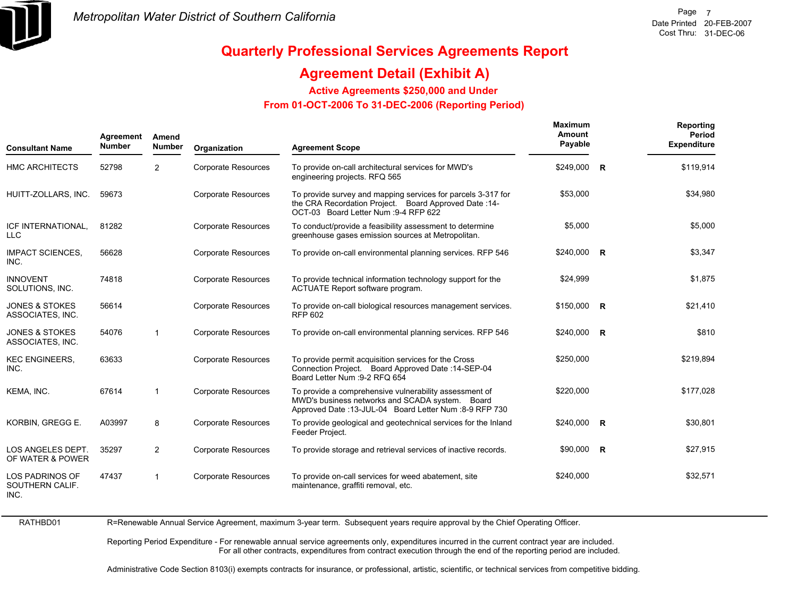

## **Quarterly Professional Services Agreements Report**

## **Agreement Detail (Exhibit A)**

**Active Agreements \$250,000 and Under**

 **From 01-OCT-2006 To 31-DEC-2006 (Reporting Period)** 

| <b>Consultant Name</b>                            | Agreement<br><b>Number</b> | Amend<br><b>Number</b> | Organization               | <b>Agreement Scope</b>                                                                                                                                              | <b>Maximum</b><br>Amount<br>Payable | Reporting<br>Period<br><b>Expenditure</b> |
|---------------------------------------------------|----------------------------|------------------------|----------------------------|---------------------------------------------------------------------------------------------------------------------------------------------------------------------|-------------------------------------|-------------------------------------------|
| <b>HMC ARCHITECTS</b>                             | 52798                      | $\overline{2}$         | <b>Corporate Resources</b> | To provide on-call architectural services for MWD's<br>engineering projects. RFQ 565                                                                                | \$249,000 R                         | \$119,914                                 |
| HUITT-ZOLLARS, INC.                               | 59673                      |                        | <b>Corporate Resources</b> | To provide survey and mapping services for parcels 3-317 for<br>the CRA Recordation Project. Board Approved Date: 14-<br>OCT-03 Board Letter Num : 9-4 RFP 622      | \$53,000                            | \$34,980                                  |
| ICF INTERNATIONAL,<br><b>LLC</b>                  | 81282                      |                        | <b>Corporate Resources</b> | To conduct/provide a feasibility assessment to determine<br>greenhouse gases emission sources at Metropolitan.                                                      | \$5,000                             | \$5,000                                   |
| <b>IMPACT SCIENCES.</b><br>INC.                   | 56628                      |                        | <b>Corporate Resources</b> | To provide on-call environmental planning services. RFP 546                                                                                                         | \$240,000 R                         | \$3,347                                   |
| <b>INNOVENT</b><br>SOLUTIONS, INC.                | 74818                      |                        | <b>Corporate Resources</b> | To provide technical information technology support for the<br>ACTUATE Report software program.                                                                     | \$24,999                            | \$1,875                                   |
| <b>JONES &amp; STOKES</b><br>ASSOCIATES, INC.     | 56614                      |                        | <b>Corporate Resources</b> | To provide on-call biological resources management services.<br><b>RFP 602</b>                                                                                      | $$150,000$ R                        | \$21,410                                  |
| <b>JONES &amp; STOKES</b><br>ASSOCIATES, INC.     | 54076                      | $\mathbf{1}$           | <b>Corporate Resources</b> | To provide on-call environmental planning services. RFP 546                                                                                                         | \$240,000 R                         | \$810                                     |
| <b>KEC ENGINEERS,</b><br>INC.                     | 63633                      |                        | <b>Corporate Resources</b> | To provide permit acquisition services for the Cross<br>Connection Project. Board Approved Date: 14-SEP-04<br>Board Letter Num : 9-2 RFQ 654                        | \$250,000                           | \$219,894                                 |
| KEMA. INC.                                        | 67614                      | $\mathbf{1}$           | <b>Corporate Resources</b> | To provide a comprehensive vulnerability assessment of<br>MWD's business networks and SCADA system. Board<br>Approved Date: 13-JUL-04 Board Letter Num: 8-9 RFP 730 | \$220,000                           | \$177,028                                 |
| KORBIN, GREGG E.                                  | A03997                     | 8                      | <b>Corporate Resources</b> | To provide geological and geotechnical services for the Inland<br>Feeder Project.                                                                                   | $$240,000$ R                        | \$30,801                                  |
| LOS ANGELES DEPT.<br>OF WATER & POWER             | 35297                      | $\overline{2}$         | <b>Corporate Resources</b> | To provide storage and retrieval services of inactive records.                                                                                                      | $$90,000$ R                         | \$27,915                                  |
| <b>LOS PADRINOS OF</b><br>SOUTHERN CALIF.<br>INC. | 47437                      | $\mathbf{1}$           | <b>Corporate Resources</b> | To provide on-call services for weed abatement, site<br>maintenance, graffiti removal, etc.                                                                         | \$240,000                           | \$32,571                                  |

RATHBD01

R=Renewable Annual Service Agreement, maximum 3-year term. Subsequent years require approval by the Chief Operating Officer.

Reporting Period Expenditure - For renewable annual service agreements only, expenditures incurred in the current contract year are included. For all other contracts, expenditures from contract execution through the end of the reporting period are included.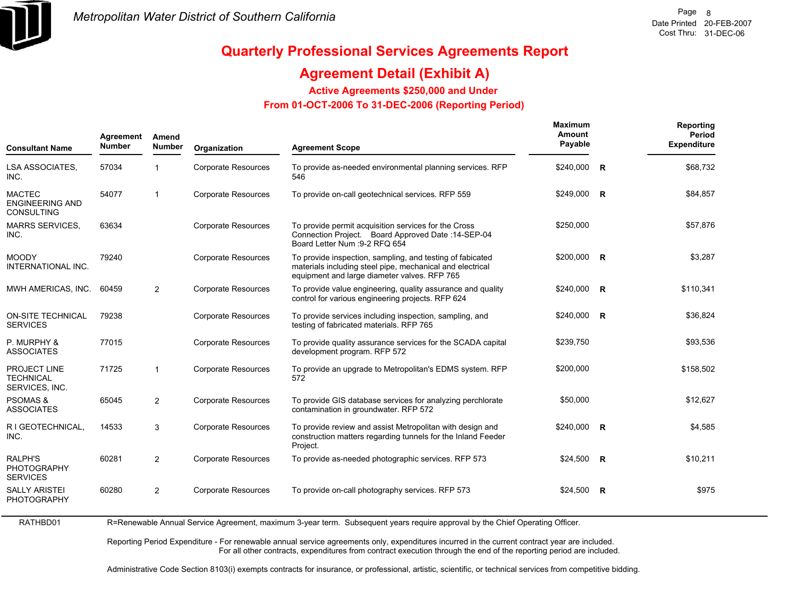

## **Agreement Detail (Exhibit A)**

**Active Agreements \$250,000 and Under**

 **From 01-OCT-2006 To 31-DEC-2006 (Reporting Period)** 

| <b>Consultant Name</b>                                       | Agreement<br><b>Number</b> | Amend<br><b>Number</b> | Organization               | <b>Agreement Scope</b>                                                                                                                                                 | <b>Maximum</b><br>Amount<br>Payable |                | Reporting<br>Period<br><b>Expenditure</b> |
|--------------------------------------------------------------|----------------------------|------------------------|----------------------------|------------------------------------------------------------------------------------------------------------------------------------------------------------------------|-------------------------------------|----------------|-------------------------------------------|
| LSA ASSOCIATES,<br>INC.                                      | 57034                      | $\mathbf{1}$           | Corporate Resources        | To provide as-needed environmental planning services. RFP<br>546                                                                                                       | \$240,000                           | $\overline{R}$ | \$68,732                                  |
| <b>MACTEC</b><br><b>ENGINEERING AND</b><br><b>CONSULTING</b> | 54077                      | $\mathbf{1}$           | <b>Corporate Resources</b> | To provide on-call geotechnical services. RFP 559                                                                                                                      | \$249,000 R                         |                | \$84,857                                  |
| <b>MARRS SERVICES,</b><br>INC.                               | 63634                      |                        | Corporate Resources        | To provide permit acquisition services for the Cross<br>Connection Project. Board Approved Date: 14-SEP-04<br>Board Letter Num : 9-2 RFQ 654                           | \$250,000                           |                | \$57,876                                  |
| <b>MOODY</b><br><b>INTERNATIONAL INC.</b>                    | 79240                      |                        | <b>Corporate Resources</b> | To provide inspection, sampling, and testing of fabicated<br>materials including steel pipe, mechanical and electrical<br>equipment and large diameter valves. RFP 765 | $$200,000$ R                        |                | \$3,287                                   |
| MWH AMERICAS, INC.                                           | 60459                      | 2                      | <b>Corporate Resources</b> | To provide value engineering, quality assurance and quality<br>control for various engineering projects. RFP 624                                                       | $$240,000$ R                        |                | \$110,341                                 |
| <b>ON-SITE TECHNICAL</b><br><b>SERVICES</b>                  | 79238                      |                        | <b>Corporate Resources</b> | To provide services including inspection, sampling, and<br>testing of fabricated materials. RFP 765                                                                    | \$240,000                           | $\overline{R}$ | \$36,824                                  |
| P. MURPHY &<br><b>ASSOCIATES</b>                             | 77015                      |                        | <b>Corporate Resources</b> | To provide quality assurance services for the SCADA capital<br>development program. RFP 572                                                                            | \$239,750                           |                | \$93,536                                  |
| PROJECT LINE<br><b>TECHNICAL</b><br>SERVICES, INC.           | 71725                      | $\mathbf{1}$           | <b>Corporate Resources</b> | To provide an upgrade to Metropolitan's EDMS system. RFP<br>572                                                                                                        | \$200,000                           |                | \$158,502                                 |
| <b>PSOMAS &amp;</b><br><b>ASSOCIATES</b>                     | 65045                      | 2                      | <b>Corporate Resources</b> | To provide GIS database services for analyzing perchlorate<br>contamination in groundwater. RFP 572                                                                    | \$50,000                            |                | \$12,627                                  |
| R I GEOTECHNICAL,<br>INC.                                    | 14533                      | 3                      | <b>Corporate Resources</b> | To provide review and assist Metropolitan with design and<br>construction matters regarding tunnels for the Inland Feeder<br>Project.                                  | \$240,000                           | $\overline{R}$ | \$4,585                                   |
| <b>RALPH'S</b><br><b>PHOTOGRAPHY</b><br><b>SERVICES</b>      | 60281                      | 2                      | <b>Corporate Resources</b> | To provide as-needed photographic services. RFP 573                                                                                                                    | $$24,500$ R                         |                | \$10,211                                  |
| <b>SALLY ARISTEI</b><br><b>PHOTOGRAPHY</b>                   | 60280                      | 2                      | <b>Corporate Resources</b> | To provide on-call photography services. RFP 573                                                                                                                       | $$24,500$ R                         |                | \$975                                     |

RATHBD01 R=Renewable Annual Service Agreement, maximum 3-year term. Subsequent years require approval by the Chief Operating Officer.

> Reporting Period Expenditure - For renewable annual service agreements only, expenditures incurred in the current contract year are included. For all other contracts, expenditures from contract execution through the end of the reporting period are included.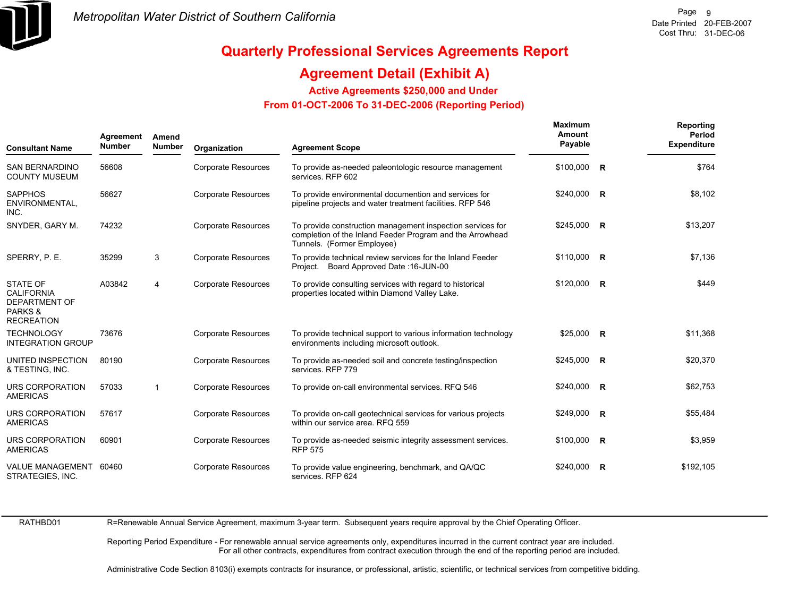

## **Agreement Detail (Exhibit A)**

**Active Agreements \$250,000 and Under**

 **From 01-OCT-2006 To 31-DEC-2006 (Reporting Period)** 

| <b>Consultant Name</b>                                                                       | Agreement<br><b>Number</b> | Amend<br><b>Number</b> | Organization               | <b>Agreement Scope</b>                                                                                                                                | <b>Maximum</b><br>Amount<br>Payable |   | Reporting<br>Period<br><b>Expenditure</b> |
|----------------------------------------------------------------------------------------------|----------------------------|------------------------|----------------------------|-------------------------------------------------------------------------------------------------------------------------------------------------------|-------------------------------------|---|-------------------------------------------|
| <b>SAN BERNARDINO</b><br><b>COUNTY MUSEUM</b>                                                | 56608                      |                        | <b>Corporate Resources</b> | To provide as-needed paleontologic resource management<br>services. RFP 602                                                                           | $$100,000$ R                        |   | \$764                                     |
| <b>SAPPHOS</b><br>ENVIRONMENTAL.<br>INC.                                                     | 56627                      |                        | <b>Corporate Resources</b> | To provide environmental documention and services for<br>pipeline projects and water treatment facilities. RFP 546                                    | $$240,000$ R                        |   | \$8,102                                   |
| SNYDER, GARY M.                                                                              | 74232                      |                        | <b>Corporate Resources</b> | To provide construction management inspection services for<br>completion of the Inland Feeder Program and the Arrowhead<br>Tunnels. (Former Employee) | $$245,000$ R                        |   | \$13,207                                  |
| SPERRY, P. E.                                                                                | 35299                      | 3                      | <b>Corporate Resources</b> | To provide technical review services for the Inland Feeder<br>Project. Board Approved Date: 16-JUN-00                                                 | $$110,000$ R                        |   | \$7,136                                   |
| <b>STATE OF</b><br><b>CALIFORNIA</b><br><b>DEPARTMENT OF</b><br>PARKS &<br><b>RECREATION</b> | A03842                     | $\overline{4}$         | <b>Corporate Resources</b> | To provide consulting services with regard to historical<br>properties located within Diamond Valley Lake.                                            | $$120,000$ R                        |   | \$449                                     |
| <b>TECHNOLOGY</b><br><b>INTEGRATION GROUP</b>                                                | 73676                      |                        | <b>Corporate Resources</b> | To provide technical support to various information technology<br>environments including microsoft outlook.                                           | $$25,000$ R                         |   | \$11,368                                  |
| UNITED INSPECTION<br>& TESTING, INC.                                                         | 80190                      |                        | <b>Corporate Resources</b> | To provide as-needed soil and concrete testing/inspection<br>services. RFP 779                                                                        | $$245,000$ R                        |   | \$20,370                                  |
| URS CORPORATION<br><b>AMERICAS</b>                                                           | 57033                      | $\mathbf{1}$           | <b>Corporate Resources</b> | To provide on-call environmental services. RFQ 546                                                                                                    | \$240,000 R                         |   | \$62,753                                  |
| URS CORPORATION<br><b>AMERICAS</b>                                                           | 57617                      |                        | <b>Corporate Resources</b> | To provide on-call geotechnical services for various projects<br>within our service area. RFQ 559                                                     | $$249,000$ R                        |   | \$55,484                                  |
| URS CORPORATION<br><b>AMERICAS</b>                                                           | 60901                      |                        | <b>Corporate Resources</b> | To provide as-needed seismic integrity assessment services.<br><b>RFP 575</b>                                                                         | $$100,000$ R                        |   | \$3,959                                   |
| VALUE MANAGEMENT 60460<br>STRATEGIES, INC.                                                   |                            |                        | <b>Corporate Resources</b> | To provide value engineering, benchmark, and QA/QC<br>services. RFP 624                                                                               | \$240,000                           | R | \$192,105                                 |

RATHBD01

R=Renewable Annual Service Agreement, maximum 3-year term. Subsequent years require approval by the Chief Operating Officer.

Reporting Period Expenditure - For renewable annual service agreements only, expenditures incurred in the current contract year are included. For all other contracts, expenditures from contract execution through the end of the reporting period are included.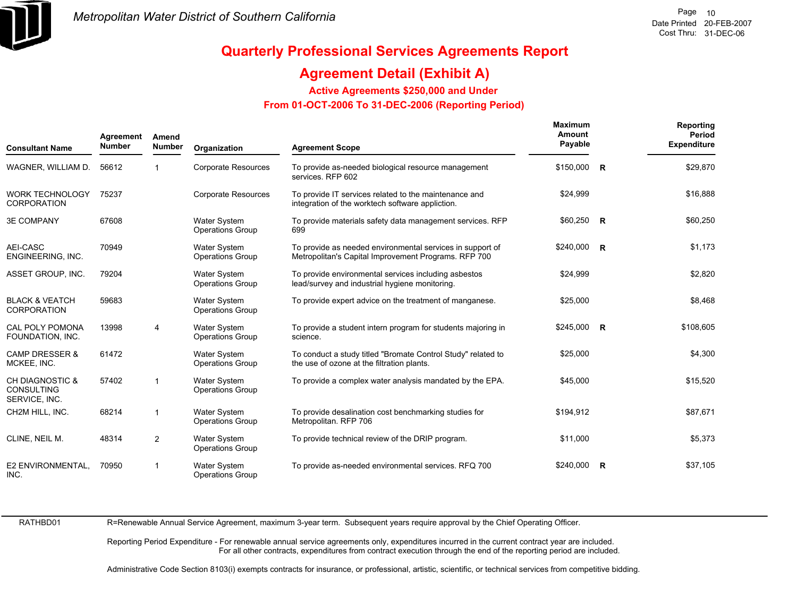

## **Agreement Detail (Exhibit A)**

**Active Agreements \$250,000 and Under**

 **From 01-OCT-2006 To 31-DEC-2006 (Reporting Period)** 

| <b>Consultant Name</b>                                           | Agreement<br><b>Number</b> | Amend<br><b>Number</b>  | Organization                                   | <b>Agreement Scope</b>                                                                                            | <b>Maximum</b><br>Amount<br>Payable | Reporting<br>Period<br><b>Expenditure</b> |
|------------------------------------------------------------------|----------------------------|-------------------------|------------------------------------------------|-------------------------------------------------------------------------------------------------------------------|-------------------------------------|-------------------------------------------|
| WAGNER, WILLIAM D.                                               | 56612                      |                         | <b>Corporate Resources</b>                     | To provide as-needed biological resource management<br>services. RFP 602                                          | \$150,000 R                         | \$29,870                                  |
| <b>WORK TECHNOLOGY</b><br><b>CORPORATION</b>                     | 75237                      |                         | <b>Corporate Resources</b>                     | To provide IT services related to the maintenance and<br>integration of the worktech software appliction.         | \$24,999                            | \$16,888                                  |
| <b>3E COMPANY</b>                                                | 67608                      |                         | <b>Water System</b><br><b>Operations Group</b> | To provide materials safety data management services. RFP<br>699                                                  | $$60,250$ R                         | \$60,250                                  |
| AEI-CASC<br>ENGINEERING, INC.                                    | 70949                      |                         | <b>Water System</b><br>Operations Group        | To provide as needed environmental services in support of<br>Metropolitan's Capital Improvement Programs. RFP 700 | $$240,000$ R                        | \$1,173                                   |
| ASSET GROUP, INC.                                                | 79204                      |                         | Water System<br>Operations Group               | To provide environmental services including asbestos<br>lead/survey and industrial hygiene monitoring.            | \$24,999                            | \$2,820                                   |
| <b>BLACK &amp; VEATCH</b><br><b>CORPORATION</b>                  | 59683                      |                         | <b>Water System</b><br><b>Operations Group</b> | To provide expert advice on the treatment of manganese.                                                           | \$25,000                            | \$8,468                                   |
| CAL POLY POMONA<br>FOUNDATION, INC.                              | 13998                      | $\overline{4}$          | Water System<br><b>Operations Group</b>        | To provide a student intern program for students majoring in<br>science.                                          | \$245,000 R                         | \$108,605                                 |
| <b>CAMP DRESSER &amp;</b><br>MCKEE, INC.                         | 61472                      |                         | <b>Water System</b><br><b>Operations Group</b> | To conduct a study titled "Bromate Control Study" related to<br>the use of ozone at the filtration plants.        | \$25,000                            | \$4,300                                   |
| <b>CH DIAGNOSTIC &amp;</b><br><b>CONSULTING</b><br>SERVICE, INC. | 57402                      | $\overline{\mathbf{1}}$ | Water System<br>Operations Group               | To provide a complex water analysis mandated by the EPA.                                                          | \$45,000                            | \$15,520                                  |
| CH2M HILL, INC.                                                  | 68214                      | -1                      | <b>Water System</b><br><b>Operations Group</b> | To provide desalination cost benchmarking studies for<br>Metropolitan. RFP 706                                    | \$194,912                           | \$87,671                                  |
| CLINE, NEIL M.                                                   | 48314                      | 2                       | Water System<br><b>Operations Group</b>        | To provide technical review of the DRIP program.                                                                  | \$11,000                            | \$5,373                                   |
| E2 ENVIRONMENTAL.<br>INC.                                        | 70950                      |                         | <b>Water System</b><br><b>Operations Group</b> | To provide as-needed environmental services. RFQ 700                                                              | $$240,000$ R                        | \$37,105                                  |

RATHBD01

R=Renewable Annual Service Agreement, maximum 3-year term. Subsequent years require approval by the Chief Operating Officer.

Reporting Period Expenditure - For renewable annual service agreements only, expenditures incurred in the current contract year are included. For all other contracts, expenditures from contract execution through the end of the reporting period are included.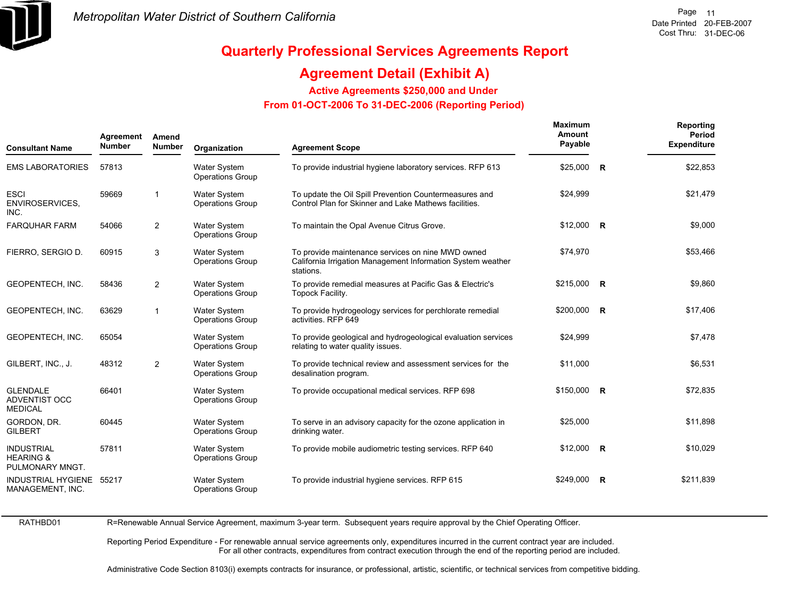

## **Agreement Detail (Exhibit A)**

**Active Agreements \$250,000 and Under**

 **From 01-OCT-2006 To 31-DEC-2006 (Reporting Period)** 

| <b>Consultant Name</b>                                       | Agreement<br><b>Number</b> | Amend<br><b>Number</b> | Organization                                   | <b>Agreement Scope</b>                                                                                                        | <b>Maximum</b><br>Amount<br>Payable | Reporting<br>Period<br><b>Expenditure</b> |
|--------------------------------------------------------------|----------------------------|------------------------|------------------------------------------------|-------------------------------------------------------------------------------------------------------------------------------|-------------------------------------|-------------------------------------------|
| <b>EMS LABORATORIES</b>                                      | 57813                      |                        | <b>Water System</b><br><b>Operations Group</b> | To provide industrial hygiene laboratory services. RFP 613                                                                    | $$25,000$ R                         | \$22,853                                  |
| <b>ESCI</b><br><b>ENVIROSERVICES,</b><br>INC.                | 59669                      | $\overline{1}$         | <b>Water System</b><br><b>Operations Group</b> | To update the Oil Spill Prevention Countermeasures and<br>Control Plan for Skinner and Lake Mathews facilities.               | \$24,999                            | \$21,479                                  |
| <b>FARQUHAR FARM</b>                                         | 54066                      | 2                      | Water System<br><b>Operations Group</b>        | To maintain the Opal Avenue Citrus Grove.                                                                                     | $$12,000$ R                         | \$9,000                                   |
| FIERRO, SERGIO D.                                            | 60915                      | 3                      | <b>Water System</b><br><b>Operations Group</b> | To provide maintenance services on nine MWD owned<br>California Irrigation Management Information System weather<br>stations. | \$74,970                            | \$53,466                                  |
| GEOPENTECH, INC.                                             | 58436                      | 2                      | <b>Water System</b><br><b>Operations Group</b> | To provide remedial measures at Pacific Gas & Electric's<br>Topock Facility.                                                  | \$215,000 R                         | \$9,860                                   |
| GEOPENTECH, INC.                                             | 63629                      | $\mathbf{1}$           | <b>Water System</b><br><b>Operations Group</b> | To provide hydrogeology services for perchlorate remedial<br>activities. RFP 649                                              | \$200,000 R                         | \$17,406                                  |
| GEOPENTECH, INC.                                             | 65054                      |                        | <b>Water System</b><br><b>Operations Group</b> | To provide geological and hydrogeological evaluation services<br>relating to water quality issues.                            | \$24,999                            | \$7,478                                   |
| GILBERT, INC., J.                                            | 48312                      | $\overline{2}$         | <b>Water System</b><br><b>Operations Group</b> | To provide technical review and assessment services for the<br>desalination program.                                          | \$11,000                            | \$6,531                                   |
| <b>GLENDALE</b><br><b>ADVENTIST OCC</b><br><b>MEDICAL</b>    | 66401                      |                        | <b>Water System</b><br><b>Operations Group</b> | To provide occupational medical services. RFP 698                                                                             | \$150,000 R                         | \$72,835                                  |
| GORDON, DR.<br><b>GILBERT</b>                                | 60445                      |                        | Water System<br><b>Operations Group</b>        | To serve in an advisory capacity for the ozone application in<br>drinking water.                                              | \$25,000                            | \$11,898                                  |
| <b>INDUSTRIAL</b><br><b>HEARING &amp;</b><br>PULMONARY MNGT. | 57811                      |                        | <b>Water System</b><br><b>Operations Group</b> | To provide mobile audiometric testing services. RFP 640                                                                       | $$12,000$ R                         | \$10,029                                  |
| INDUSTRIAL HYGIENE 55217<br>MANAGEMENT, INC.                 |                            |                        | <b>Water System</b><br><b>Operations Group</b> | To provide industrial hygiene services. RFP 615                                                                               | $$249,000$ R                        | \$211,839                                 |

RATHBD01

R=Renewable Annual Service Agreement, maximum 3-year term. Subsequent years require approval by the Chief Operating Officer.

Reporting Period Expenditure - For renewable annual service agreements only, expenditures incurred in the current contract year are included. For all other contracts, expenditures from contract execution through the end of the reporting period are included.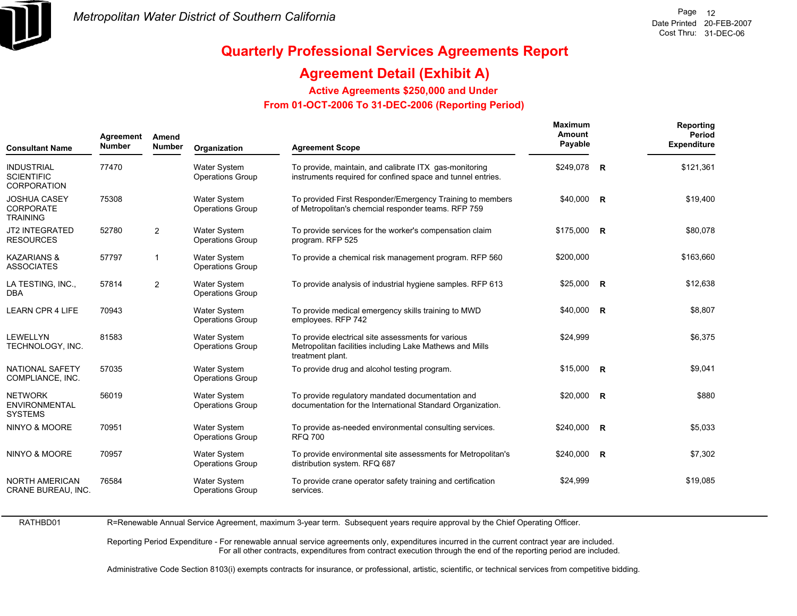

## **Agreement Detail (Exhibit A)**

**Active Agreements \$250,000 and Under**

 **From 01-OCT-2006 To 31-DEC-2006 (Reporting Period)** 

| <b>Consultant Name</b>                                     | Agreement<br><b>Number</b> | Amend<br><b>Number</b> | Organization                                   | <b>Agreement Scope</b>                                                                                                             | <b>Maximum</b><br>Amount<br>Payable | Reporting<br>Period<br><b>Expenditure</b> |
|------------------------------------------------------------|----------------------------|------------------------|------------------------------------------------|------------------------------------------------------------------------------------------------------------------------------------|-------------------------------------|-------------------------------------------|
| <b>INDUSTRIAL</b><br><b>SCIENTIFIC</b><br>CORPORATION      | 77470                      |                        | <b>Water System</b><br><b>Operations Group</b> | To provide, maintain, and calibrate ITX gas-monitoring<br>instruments required for confined space and tunnel entries.              | \$249,078 R                         | \$121,361                                 |
| <b>JOSHUA CASEY</b><br><b>CORPORATE</b><br><b>TRAINING</b> | 75308                      |                        | Water System<br><b>Operations Group</b>        | To provided First Responder/Emergency Training to members<br>of Metropolitan's chemcial responder teams. RFP 759                   | $$40,000$ R                         | \$19,400                                  |
| <b>JT2 INTEGRATED</b><br><b>RESOURCES</b>                  | 52780                      | 2                      | <b>Water System</b><br><b>Operations Group</b> | To provide services for the worker's compensation claim<br>program. RFP 525                                                        | $$175,000$ R                        | \$80,078                                  |
| <b>KAZARIANS &amp;</b><br><b>ASSOCIATES</b>                | 57797                      | $\mathbf{1}$           | Water System<br><b>Operations Group</b>        | To provide a chemical risk management program. RFP 560                                                                             | \$200,000                           | \$163,660                                 |
| LA TESTING, INC.,<br><b>DBA</b>                            | 57814                      | 2                      | <b>Water System</b><br><b>Operations Group</b> | To provide analysis of industrial hygiene samples. RFP 613                                                                         | $$25,000$ R                         | \$12,638                                  |
| <b>LEARN CPR 4 LIFE</b>                                    | 70943                      |                        | <b>Water System</b><br><b>Operations Group</b> | To provide medical emergency skills training to MWD<br>employees. RFP 742                                                          | \$40,000 R                          | \$8,807                                   |
| <b>LEWELLYN</b><br>TECHNOLOGY, INC.                        | 81583                      |                        | <b>Water System</b><br><b>Operations Group</b> | To provide electrical site assessments for various<br>Metropolitan facilities including Lake Mathews and Mills<br>treatment plant. | \$24,999                            | \$6,375                                   |
| <b>NATIONAL SAFETY</b><br>COMPLIANCE, INC.                 | 57035                      |                        | <b>Water System</b><br><b>Operations Group</b> | To provide drug and alcohol testing program.                                                                                       | $$15,000$ R                         | \$9,041                                   |
| <b>NETWORK</b><br><b>ENVIRONMENTAL</b><br><b>SYSTEMS</b>   | 56019                      |                        | <b>Water System</b><br><b>Operations Group</b> | To provide regulatory mandated documentation and<br>documentation for the International Standard Organization.                     | \$20,000 R                          | \$880                                     |
| NINYO & MOORE                                              | 70951                      |                        | <b>Water System</b><br><b>Operations Group</b> | To provide as-needed environmental consulting services.<br><b>RFQ 700</b>                                                          | \$240,000 R                         | \$5,033                                   |
| NINYO & MOORE                                              | 70957                      |                        | <b>Water System</b><br><b>Operations Group</b> | To provide environmental site assessments for Metropolitan's<br>distribution system. RFQ 687                                       | \$240,000 R                         | \$7,302                                   |
| <b>NORTH AMERICAN</b><br>CRANE BUREAU, INC.                | 76584                      |                        | <b>Water System</b><br><b>Operations Group</b> | To provide crane operator safety training and certification<br>services.                                                           | \$24,999                            | \$19,085                                  |

RATHBD01

R=Renewable Annual Service Agreement, maximum 3-year term. Subsequent years require approval by the Chief Operating Officer.

Reporting Period Expenditure - For renewable annual service agreements only, expenditures incurred in the current contract year are included. For all other contracts, expenditures from contract execution through the end of the reporting period are included.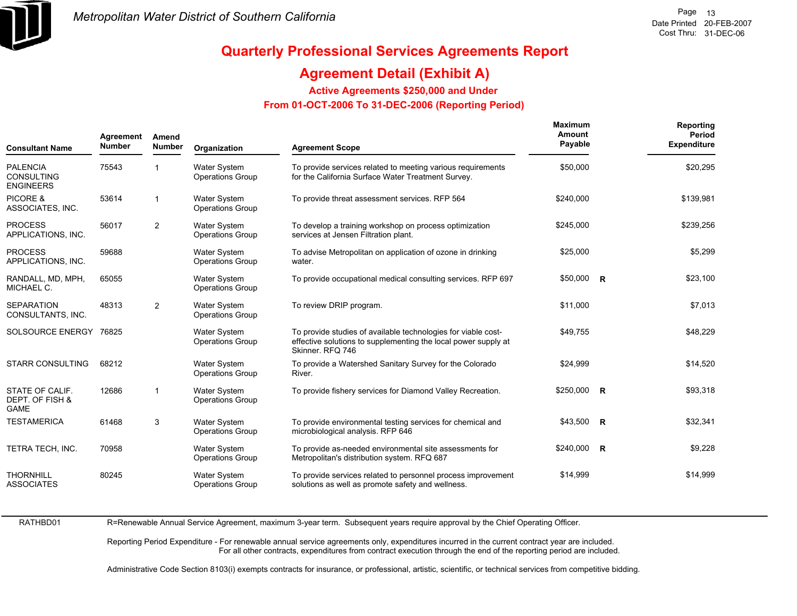

## **Agreement Detail (Exhibit A)**

**Active Agreements \$250,000 and Under**

 **From 01-OCT-2006 To 31-DEC-2006 (Reporting Period)** 

| Agreement<br><b>Number</b><br><b>Consultant Name</b>     |       | Amend<br><b>Number</b> | Organization                                   | <b>Agreement Scope</b>                                                                                                                              | <b>Maximum</b><br>Amount<br>Payable |  | Reporting<br>Period<br><b>Expenditure</b> |
|----------------------------------------------------------|-------|------------------------|------------------------------------------------|-----------------------------------------------------------------------------------------------------------------------------------------------------|-------------------------------------|--|-------------------------------------------|
| <b>PALENCIA</b><br><b>CONSULTING</b><br><b>ENGINEERS</b> | 75543 | 1                      | <b>Water System</b><br><b>Operations Group</b> | To provide services related to meeting various requirements<br>for the California Surface Water Treatment Survey.                                   | \$50,000                            |  | \$20,295                                  |
| PICORE &<br>ASSOCIATES, INC.                             | 53614 | 1                      | Water System<br><b>Operations Group</b>        | To provide threat assessment services. RFP 564                                                                                                      | \$240,000                           |  | \$139,981                                 |
| <b>PROCESS</b><br>APPLICATIONS, INC.                     | 56017 | $\overline{2}$         | <b>Water System</b><br><b>Operations Group</b> | To develop a training workshop on process optimization<br>services at Jensen Filtration plant.                                                      | \$245,000                           |  | \$239,256                                 |
| <b>PROCESS</b><br>APPLICATIONS, INC.                     | 59688 |                        | <b>Water System</b><br><b>Operations Group</b> | To advise Metropolitan on application of ozone in drinking<br>water.                                                                                | \$25,000                            |  | \$5,299                                   |
| RANDALL, MD, MPH,<br>MICHAEL C.                          | 65055 |                        | <b>Water System</b><br><b>Operations Group</b> | To provide occupational medical consulting services. RFP 697                                                                                        | $$50,000$ R                         |  | \$23,100                                  |
| <b>SEPARATION</b><br>CONSULTANTS, INC.                   | 48313 | 2                      | <b>Water System</b><br><b>Operations Group</b> | To review DRIP program.                                                                                                                             | \$11,000                            |  | \$7,013                                   |
| SOLSOURCE ENERGY                                         | 76825 |                        | <b>Water System</b><br><b>Operations Group</b> | To provide studies of available technologies for viable cost-<br>effective solutions to supplementing the local power supply at<br>Skinner, RFQ 746 | \$49,755                            |  | \$48,229                                  |
| <b>STARR CONSULTING</b>                                  | 68212 |                        | <b>Water System</b><br><b>Operations Group</b> | To provide a Watershed Sanitary Survey for the Colorado<br>River.                                                                                   | \$24,999                            |  | \$14,520                                  |
| STATE OF CALIF.<br>DEPT. OF FISH &<br><b>GAME</b>        | 12686 | $\overline{1}$         | <b>Water System</b><br><b>Operations Group</b> | To provide fishery services for Diamond Valley Recreation.                                                                                          | \$250,000 R                         |  | \$93,318                                  |
| <b>TESTAMERICA</b>                                       | 61468 | 3                      | <b>Water System</b><br><b>Operations Group</b> | To provide environmental testing services for chemical and<br>microbiological analysis. RFP 646                                                     | \$43,500 R                          |  | \$32,341                                  |
| TETRA TECH, INC.                                         | 70958 |                        | <b>Water System</b><br><b>Operations Group</b> | To provide as-needed environmental site assessments for<br>Metropolitan's distribution system. RFQ 687                                              | \$240,000 R                         |  | \$9,228                                   |
| <b>THORNHILL</b><br><b>ASSOCIATES</b>                    | 80245 |                        | <b>Water System</b><br><b>Operations Group</b> | To provide services related to personnel process improvement<br>solutions as well as promote safety and wellness.                                   | \$14,999                            |  | \$14,999                                  |

RATHBD01

R=Renewable Annual Service Agreement, maximum 3-year term. Subsequent years require approval by the Chief Operating Officer.

Reporting Period Expenditure - For renewable annual service agreements only, expenditures incurred in the current contract year are included. For all other contracts, expenditures from contract execution through the end of the reporting period are included.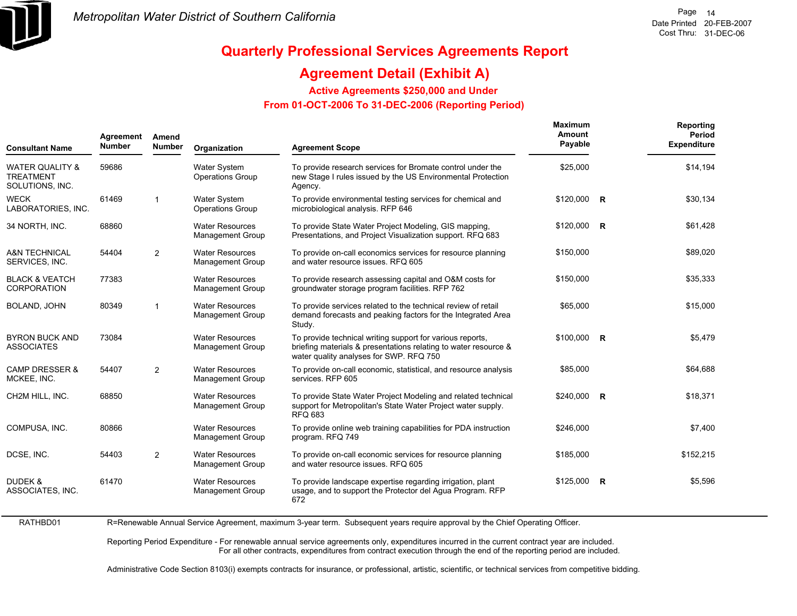

## **Quarterly Professional Services Agreements Report**

## **Agreement Detail (Exhibit A)**

**Active Agreements \$250,000 and Under**

 **From 01-OCT-2006 To 31-DEC-2006 (Reporting Period)** 

| Agreement<br><b>Number</b><br><b>Consultant Name</b>              |       | Amend<br><b>Number</b> | Organization                                      | <b>Agreement Scope</b>                                                                                                                                                  | <b>Maximum</b><br>Amount<br>Payable |                | Reporting<br>Period<br><b>Expenditure</b> |
|-------------------------------------------------------------------|-------|------------------------|---------------------------------------------------|-------------------------------------------------------------------------------------------------------------------------------------------------------------------------|-------------------------------------|----------------|-------------------------------------------|
| <b>WATER QUALITY &amp;</b><br><b>TREATMENT</b><br>SOLUTIONS, INC. | 59686 |                        | <b>Water System</b><br><b>Operations Group</b>    | To provide research services for Bromate control under the<br>new Stage I rules issued by the US Environmental Protection<br>Agency.                                    | \$25,000                            |                | \$14,194                                  |
| <b>WECK</b><br>LABORATORIES, INC.                                 | 61469 | $\mathbf{1}$           | <b>Water System</b><br><b>Operations Group</b>    | To provide environmental testing services for chemical and<br>microbiological analysis. RFP 646                                                                         | $$120,000$ R                        |                | \$30,134                                  |
| 34 NORTH, INC.                                                    | 68860 |                        | <b>Water Resources</b><br><b>Management Group</b> | To provide State Water Project Modeling, GIS mapping,<br>Presentations, and Project Visualization support. RFQ 683                                                      | \$120,000 R                         |                | \$61,428                                  |
| <b>A&amp;N TECHNICAL</b><br>SERVICES, INC.                        | 54404 | 2                      | <b>Water Resources</b><br><b>Management Group</b> | To provide on-call economics services for resource planning<br>and water resource issues. RFQ 605                                                                       | \$150.000                           |                | \$89,020                                  |
| <b>BLACK &amp; VEATCH</b><br><b>CORPORATION</b>                   | 77383 |                        | <b>Water Resources</b><br><b>Management Group</b> | To provide research assessing capital and O&M costs for<br>groundwater storage program facilities. RFP 762                                                              | \$150,000                           |                | \$35,333                                  |
| BOLAND, JOHN                                                      | 80349 | 1                      | <b>Water Resources</b><br><b>Management Group</b> | To provide services related to the technical review of retail<br>demand forecasts and peaking factors for the Integrated Area<br>Study.                                 | \$65,000                            |                | \$15,000                                  |
| <b>BYRON BUCK AND</b><br><b>ASSOCIATES</b>                        | 73084 |                        | <b>Water Resources</b><br><b>Management Group</b> | To provide technical writing support for various reports,<br>briefing materials & presentations relating to water resource &<br>water quality analyses for SWP. RFQ 750 | $$100.000$ R                        |                | \$5,479                                   |
| <b>CAMP DRESSER &amp;</b><br>MCKEE, INC.                          | 54407 | $\overline{2}$         | <b>Water Resources</b><br><b>Management Group</b> | To provide on-call economic, statistical, and resource analysis<br>services. RFP 605                                                                                    | \$85,000                            |                | \$64,688                                  |
| CH2M HILL, INC.                                                   | 68850 |                        | <b>Water Resources</b><br><b>Management Group</b> | To provide State Water Project Modeling and related technical<br>support for Metropolitan's State Water Project water supply.<br><b>RFQ 683</b>                         | $$240,000$ R                        |                | \$18,371                                  |
| COMPUSA. INC.                                                     | 80866 |                        | <b>Water Resources</b><br><b>Management Group</b> | To provide online web training capabilities for PDA instruction<br>program. RFQ 749                                                                                     | \$246,000                           |                | \$7,400                                   |
| DCSE, INC.                                                        | 54403 | 2                      | <b>Water Resources</b><br>Management Group        | To provide on-call economic services for resource planning<br>and water resource issues. RFQ 605                                                                        | \$185,000                           |                | \$152,215                                 |
| DUDEK &<br>ASSOCIATES, INC.                                       | 61470 |                        | <b>Water Resources</b><br><b>Management Group</b> | To provide landscape expertise regarding irrigation, plant<br>usage, and to support the Protector del Agua Program. RFP<br>672                                          | \$125,000                           | $\overline{R}$ | \$5,596                                   |

RATHBD01R=Renewable Annual Service Agreement, maximum 3-year term. Subsequent years require approval by the Chief Operating Officer.

> Reporting Period Expenditure - For renewable annual service agreements only, expenditures incurred in the current contract year are included. For all other contracts, expenditures from contract execution through the end of the reporting period are included.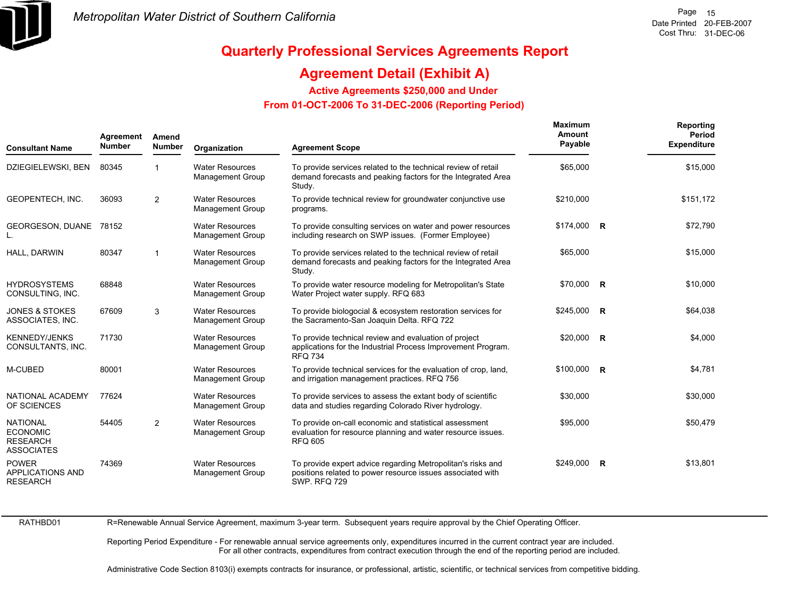

## **Agreement Detail (Exhibit A)**

**Active Agreements \$250,000 and Under**

 **From 01-OCT-2006 To 31-DEC-2006 (Reporting Period)** 

| <b>Consultant Name</b>                                                     | Agreement<br>Amend<br><b>Number</b><br><b>Number</b><br><b>Agreement Scope</b><br>Organization |                |                                                   | <b>Maximum</b><br>Amount<br>Payable                                                                                                              |              | Reporting<br>Period<br><b>Expenditure</b> |           |
|----------------------------------------------------------------------------|------------------------------------------------------------------------------------------------|----------------|---------------------------------------------------|--------------------------------------------------------------------------------------------------------------------------------------------------|--------------|-------------------------------------------|-----------|
| DZIEGIELEWSKI, BEN                                                         | 80345                                                                                          |                | <b>Water Resources</b><br><b>Management Group</b> | To provide services related to the technical review of retail<br>demand forecasts and peaking factors for the Integrated Area<br>Study.          | \$65,000     |                                           | \$15,000  |
| <b>GEOPENTECH. INC.</b>                                                    | 36093                                                                                          | $\overline{2}$ | <b>Water Resources</b><br><b>Management Group</b> | To provide technical review for groundwater conjunctive use<br>programs.                                                                         | \$210,000    |                                           | \$151,172 |
| GEORGESON, DUANE                                                           | 78152                                                                                          |                | <b>Water Resources</b><br><b>Management Group</b> | To provide consulting services on water and power resources<br>including research on SWP issues. (Former Employee)                               | $$174,000$ R |                                           | \$72,790  |
| HALL, DARWIN                                                               | 80347                                                                                          | -1             | <b>Water Resources</b><br><b>Management Group</b> | To provide services related to the technical review of retail<br>demand forecasts and peaking factors for the Integrated Area<br>Study.          | \$65,000     |                                           | \$15,000  |
| <b>HYDROSYSTEMS</b><br>CONSULTING, INC.                                    | 68848                                                                                          |                | <b>Water Resources</b><br>Management Group        | To provide water resource modeling for Metropolitan's State<br>Water Project water supply. RFQ 683                                               | \$70,000     | $\mathsf{R}$                              | \$10,000  |
| <b>JONES &amp; STOKES</b><br>ASSOCIATES, INC.                              | 67609                                                                                          | 3              | <b>Water Resources</b><br><b>Management Group</b> | To provide biologocial & ecosystem restoration services for<br>the Sacramento-San Joaquin Delta. RFQ 722                                         | \$245,000 R  |                                           | \$64,038  |
| <b>KENNEDY/JENKS</b><br>CONSULTANTS, INC.                                  | 71730                                                                                          |                | <b>Water Resources</b><br><b>Management Group</b> | To provide technical review and evaluation of project<br>applications for the Industrial Process Improvement Program.<br><b>RFQ 734</b>          | \$20.000     | R                                         | \$4,000   |
| M-CUBED                                                                    | 80001                                                                                          |                | <b>Water Resources</b><br><b>Management Group</b> | To provide technical services for the evaluation of crop, land,<br>and irrigation management practices. RFQ 756                                  | $$100,000$ R |                                           | \$4,781   |
| NATIONAL ACADEMY<br>OF SCIENCES                                            | 77624                                                                                          |                | <b>Water Resources</b><br><b>Management Group</b> | To provide services to assess the extant body of scientific<br>data and studies regarding Colorado River hydrology.                              | \$30,000     |                                           | \$30,000  |
| <b>NATIONAL</b><br><b>ECONOMIC</b><br><b>RESEARCH</b><br><b>ASSOCIATES</b> | 54405                                                                                          | $\overline{2}$ | <b>Water Resources</b><br><b>Management Group</b> | To provide on-call economic and statistical assessment<br>evaluation for resource planning and water resource issues.<br><b>RFQ 605</b>          | \$95,000     |                                           | \$50,479  |
| <b>POWER</b><br><b>APPLICATIONS AND</b><br><b>RESEARCH</b>                 | 74369                                                                                          |                | <b>Water Resources</b><br><b>Management Group</b> | To provide expert advice regarding Metropolitan's risks and<br>positions related to power resource issues associated with<br><b>SWP. RFQ 729</b> | \$249.000    | $\mathsf{R}$                              | \$13,801  |

RATHBD01

R=Renewable Annual Service Agreement, maximum 3-year term. Subsequent years require approval by the Chief Operating Officer.

Reporting Period Expenditure - For renewable annual service agreements only, expenditures incurred in the current contract year are included. For all other contracts, expenditures from contract execution through the end of the reporting period are included.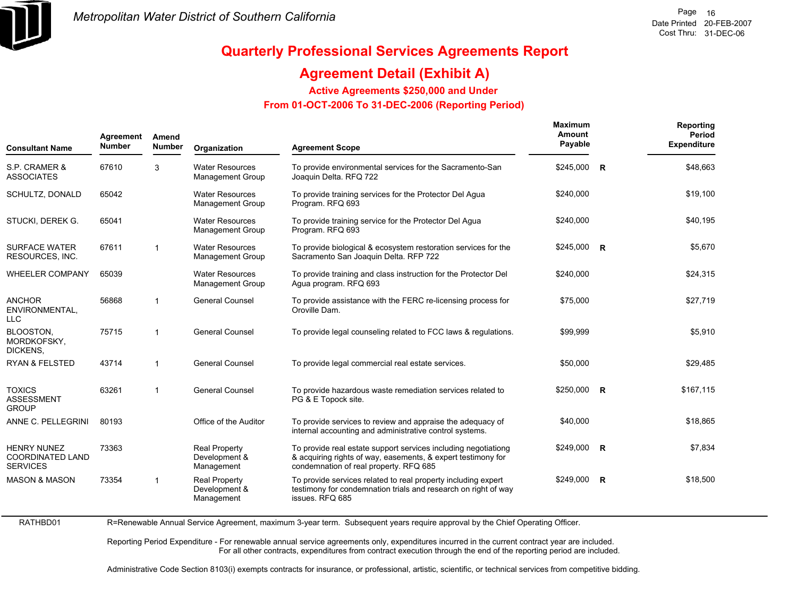

RATHBD01

## **Quarterly Professional Services Agreements Report**

## **Agreement Detail (Exhibit A)**

**Active Agreements \$250,000 and Under**

 **From 01-OCT-2006 To 31-DEC-2006 (Reporting Period)** 

| Agreement<br>Amend<br><b>Number</b><br><b>Number</b><br><b>Consultant Name</b> |       | Organization   | <b>Agreement Scope</b>                              | <b>Maximum</b><br>Amount<br>Payable                                                                                                                                      |              | Reporting<br>Period<br><b>Expenditure</b> |           |
|--------------------------------------------------------------------------------|-------|----------------|-----------------------------------------------------|--------------------------------------------------------------------------------------------------------------------------------------------------------------------------|--------------|-------------------------------------------|-----------|
| S.P. CRAMER &<br><b>ASSOCIATES</b>                                             | 67610 | 3              | <b>Water Resources</b><br><b>Management Group</b>   | To provide environmental services for the Sacramento-San<br>Joaquin Delta. RFQ 722                                                                                       | \$245,000 R  |                                           | \$48.663  |
| SCHULTZ, DONALD                                                                | 65042 |                | <b>Water Resources</b><br><b>Management Group</b>   | To provide training services for the Protector Del Agua<br>Program. RFQ 693                                                                                              | \$240,000    |                                           | \$19,100  |
| STUCKI, DEREK G.                                                               | 65041 |                | <b>Water Resources</b><br><b>Management Group</b>   | To provide training service for the Protector Del Agua<br>Program. RFQ 693                                                                                               | \$240,000    |                                           | \$40,195  |
| <b>SURFACE WATER</b><br>RESOURCES, INC.                                        | 67611 | $\mathbf{1}$   | <b>Water Resources</b><br>Management Group          | To provide biological & ecosystem restoration services for the<br>Sacramento San Joaquin Delta. RFP 722                                                                  | \$245,000    | $\overline{R}$                            | \$5,670   |
| <b>WHEELER COMPANY</b>                                                         | 65039 |                | <b>Water Resources</b><br><b>Management Group</b>   | To provide training and class instruction for the Protector Del<br>Agua program. RFQ 693                                                                                 | \$240,000    |                                           | \$24,315  |
| <b>ANCHOR</b><br>ENVIRONMENTAL,<br><b>LLC</b>                                  | 56868 | $\mathbf{1}$   | <b>General Counsel</b>                              | To provide assistance with the FERC re-licensing process for<br>Oroville Dam.                                                                                            | \$75,000     |                                           | \$27,719  |
| <b>BLOOSTON.</b><br>MORDKOFSKY.<br>DICKENS,                                    | 75715 | $\overline{1}$ | <b>General Counsel</b>                              | To provide legal counseling related to FCC laws & regulations.                                                                                                           | \$99,999     |                                           | \$5,910   |
| <b>RYAN &amp; FELSTED</b>                                                      | 43714 | $\overline{1}$ | <b>General Counsel</b>                              | To provide legal commercial real estate services.                                                                                                                        | \$50,000     |                                           | \$29,485  |
| <b>TOXICS</b><br><b>ASSESSMENT</b><br><b>GROUP</b>                             | 63261 | $\overline{1}$ | <b>General Counsel</b>                              | To provide hazardous waste remediation services related to<br>PG & E Topock site.                                                                                        | $$250,000$ R |                                           | \$167,115 |
| ANNE C. PELLEGRINI                                                             | 80193 |                | Office of the Auditor                               | To provide services to review and appraise the adequacy of<br>internal accounting and administrative control systems.                                                    | \$40,000     |                                           | \$18,865  |
| <b>HENRY NUNEZ</b><br><b>COORDINATED LAND</b><br><b>SERVICES</b>               | 73363 |                | <b>Real Property</b><br>Development &<br>Management | To provide real estate support services including negotiationg<br>& acquiring rights of way, easements, & expert testimony for<br>condemnation of real property. RFQ 685 | \$249.000    | <b>R</b>                                  | \$7,834   |
| <b>MASON &amp; MASON</b>                                                       | 73354 | 1              | <b>Real Property</b><br>Development &<br>Management | To provide services related to real property including expert<br>testimony for condemnation trials and research on right of way<br>issues. RFQ 685                       | \$249.000    | R                                         | \$18,500  |

R=Renewable Annual Service Agreement, maximum 3-year term. Subsequent years require approval by the Chief Operating Officer.

Reporting Period Expenditure - For renewable annual service agreements only, expenditures incurred in the current contract year are included. For all other contracts, expenditures from contract execution through the end of the reporting period are included.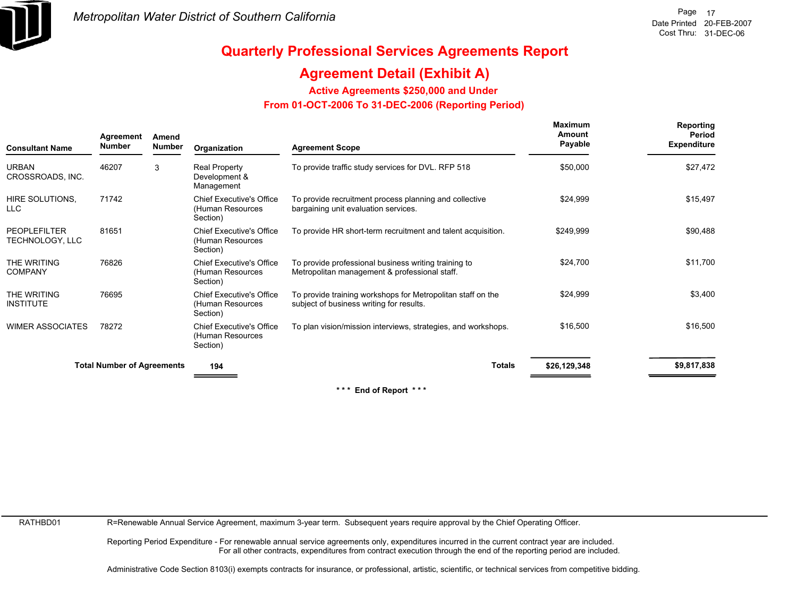

## **Agreement Detail (Exhibit A)**

**Active Agreements \$250,000 and Under**

 **From 01-OCT-2006 To 31-DEC-2006 (Reporting Period)** 

| <b>Consultant Name</b>                 | Agreement<br>Amend<br>Number<br><b>Number</b> |   | Organization                                                    | <b>Agreement Scope</b>                                                                                  | Maximum<br>Amount<br>Payable | Reporting<br>Period<br><b>Expenditure</b> |
|----------------------------------------|-----------------------------------------------|---|-----------------------------------------------------------------|---------------------------------------------------------------------------------------------------------|------------------------------|-------------------------------------------|
| <b>URBAN</b><br>CROSSROADS, INC.       | 46207                                         | 3 | Real Property<br>Development &<br>Management                    | To provide traffic study services for DVL. RFP 518                                                      | \$50,000                     | \$27,472                                  |
| HIRE SOLUTIONS.<br>LLC                 | 71742                                         |   | Chief Executive's Office<br>(Human Resources<br>Section)        | To provide recruitment process planning and collective<br>bargaining unit evaluation services.          | \$24,999                     | \$15,497                                  |
| <b>PEOPLEFILTER</b><br>TECHNOLOGY, LLC | 81651                                         |   | <b>Chief Executive's Office</b><br>(Human Resources<br>Section) | To provide HR short-term recruitment and talent acquisition.                                            | \$249,999                    | \$90,488                                  |
| THE WRITING<br><b>COMPANY</b>          | 76826                                         |   | <b>Chief Executive's Office</b><br>(Human Resources<br>Section) | To provide professional business writing training to<br>Metropolitan management & professional staff.   | \$24,700                     | \$11,700                                  |
| THE WRITING<br><b>INSTITUTE</b>        | 76695                                         |   | <b>Chief Executive's Office</b><br>(Human Resources<br>Section) | To provide training workshops for Metropolitan staff on the<br>subject of business writing for results. | \$24,999                     | \$3,400                                   |
| <b>WIMER ASSOCIATES</b>                | 78272                                         |   | <b>Chief Executive's Office</b><br>(Human Resources<br>Section) | To plan vision/mission interviews, strategies, and workshops.                                           | \$16,500                     | \$16,500                                  |
|                                        | <b>Total Number of Agreements</b>             |   | 194                                                             | <b>Totals</b>                                                                                           | \$26,129,348                 | \$9,817,838                               |

**\* \* \* End of Report \* \* \***

RATHBD01

R=Renewable Annual Service Agreement, maximum 3-year term. Subsequent years require approval by the Chief Operating Officer.

Reporting Period Expenditure - For renewable annual service agreements only, expenditures incurred in the current contract year are included. For all other contracts, expenditures from contract execution through the end of the reporting period are included.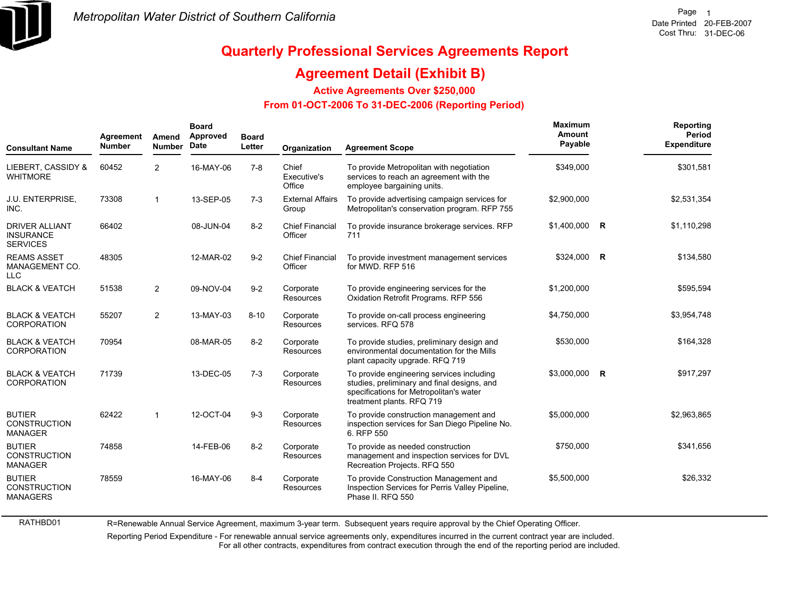

RATHBD01

# **Quarterly Professional Services Agreements Report**

### **Agreement Detail (Exhibit B)**

**Active Agreements Over \$250,000**

#### **From 01-OCT-2006 To 31-DEC-2006 (Reporting Period)**

| <b>Consultant Name</b>                                       | Agreement<br><b>Number</b> | Amend<br><b>Number</b>  | <b>Board</b><br>Approved<br>Date | <b>Board</b><br>Letter | Organization                      | <b>Agreement Scope</b>                                                                                                                                           | Maximum<br>Amount<br>Payable | Reporting<br><b>Period</b><br><b>Expenditure</b> |
|--------------------------------------------------------------|----------------------------|-------------------------|----------------------------------|------------------------|-----------------------------------|------------------------------------------------------------------------------------------------------------------------------------------------------------------|------------------------------|--------------------------------------------------|
| LIEBERT, CASSIDY &<br><b>WHITMORE</b>                        | 60452                      | $\overline{2}$          | 16-MAY-06                        | $7 - 8$                | Chief<br>Executive's<br>Office    | To provide Metropolitan with negotiation<br>services to reach an agreement with the<br>employee bargaining units.                                                | \$349,000                    | \$301,581                                        |
| J.U. ENTERPRISE,<br>INC.                                     | 73308                      | $\overline{\mathbf{1}}$ | 13-SEP-05                        | $7-3$                  | <b>External Affairs</b><br>Group  | To provide advertising campaign services for<br>Metropolitan's conservation program. RFP 755                                                                     | \$2,900,000                  | \$2,531,354                                      |
| <b>DRIVER ALLIANT</b><br><b>INSURANCE</b><br><b>SERVICES</b> | 66402                      |                         | 08-JUN-04                        | $8 - 2$                | <b>Chief Financial</b><br>Officer | To provide insurance brokerage services. RFP<br>711                                                                                                              | $$1,400,000$ R               | \$1,110,298                                      |
| <b>REAMS ASSET</b><br>MANAGEMENT CO.<br><b>LLC</b>           | 48305                      |                         | 12-MAR-02                        | $9 - 2$                | <b>Chief Financial</b><br>Officer | To provide investment management services<br>for MWD, RFP 516                                                                                                    | \$324,000 R                  | \$134,580                                        |
| <b>BLACK &amp; VEATCH</b>                                    | 51538                      | $\overline{2}$          | 09-NOV-04                        | $9 - 2$                | Corporate<br>Resources            | To provide engineering services for the<br>Oxidation Retrofit Programs. RFP 556                                                                                  | \$1,200,000                  | \$595,594                                        |
| <b>BLACK &amp; VEATCH</b><br><b>CORPORATION</b>              | 55207                      | $\overline{2}$          | 13-MAY-03                        | $8 - 10$               | Corporate<br>Resources            | To provide on-call process engineering<br>services. RFQ 578                                                                                                      | \$4,750,000                  | \$3,954,748                                      |
| <b>BLACK &amp; VEATCH</b><br><b>CORPORATION</b>              | 70954                      |                         | 08-MAR-05                        | $8 - 2$                | Corporate<br><b>Resources</b>     | To provide studies, preliminary design and<br>environmental documentation for the Mills<br>plant capacity upgrade. RFQ 719                                       | \$530,000                    | \$164,328                                        |
| <b>BLACK &amp; VEATCH</b><br><b>CORPORATION</b>              | 71739                      |                         | 13-DEC-05                        | $7-3$                  | Corporate<br>Resources            | To provide engineering services including<br>studies, preliminary and final designs, and<br>specifications for Metropolitan's water<br>treatment plants. RFQ 719 | \$3,000,000 R                | \$917,297                                        |
| <b>BUTIER</b><br><b>CONSTRUCTION</b><br><b>MANAGER</b>       | 62422                      | $\overline{\mathbf{1}}$ | 12-OCT-04                        | $9-3$                  | Corporate<br>Resources            | To provide construction management and<br>inspection services for San Diego Pipeline No.<br>6. RFP 550                                                           | \$5,000,000                  | \$2,963,865                                      |
| <b>BUTIER</b><br><b>CONSTRUCTION</b><br><b>MANAGER</b>       | 74858                      |                         | 14-FEB-06                        | $8 - 2$                | Corporate<br>Resources            | To provide as needed construction<br>management and inspection services for DVL<br>Recreation Projects. RFQ 550                                                  | \$750,000                    | \$341,656                                        |
| <b>BUTIER</b><br><b>CONSTRUCTION</b><br><b>MANAGERS</b>      | 78559                      |                         | 16-MAY-06                        | $8 - 4$                | Corporate<br>Resources            | To provide Construction Management and<br>Inspection Services for Perris Valley Pipeline,<br>Phase II. RFQ 550                                                   | \$5,500,000                  | \$26,332                                         |

R=Renewable Annual Service Agreement, maximum 3-year term. Subsequent years require approval by the Chief Operating Officer.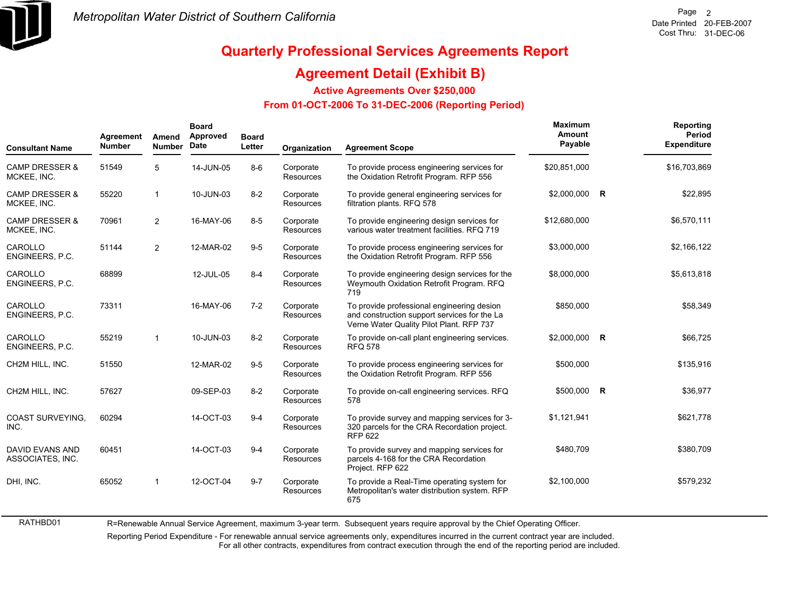

RATHBD01

# **Quarterly Professional Services Agreements Report**

### **Agreement Detail (Exhibit B)**

**Active Agreements Over \$250,000**

#### **From 01-OCT-2006 To 31-DEC-2006 (Reporting Period)**

| <b>Consultant Name</b>                   | Agreement<br><b>Number</b> | Amend<br><b>Number</b> | <b>Board</b><br>Approved<br>Date | <b>Board</b><br>Letter | Organization           | <b>Agreement Scope</b>                                                                                                                 | Maximum<br>Amount<br>Payable | Reporting<br>Period<br><b>Expenditure</b> |
|------------------------------------------|----------------------------|------------------------|----------------------------------|------------------------|------------------------|----------------------------------------------------------------------------------------------------------------------------------------|------------------------------|-------------------------------------------|
| <b>CAMP DRESSER &amp;</b><br>MCKEE, INC. | 51549                      | 5                      | 14-JUN-05                        | $8-6$                  | Corporate<br>Resources | To provide process engineering services for<br>the Oxidation Retrofit Program. RFP 556                                                 | \$20,851,000                 | \$16,703,869                              |
| <b>CAMP DRESSER &amp;</b><br>MCKEE, INC. | 55220                      | $\overline{1}$         | 10-JUN-03                        | $8 - 2$                | Corporate<br>Resources | To provide general engineering services for<br>filtration plants. RFQ 578                                                              | \$2,000,000 R                | \$22,895                                  |
| <b>CAMP DRESSER &amp;</b><br>MCKEE, INC. | 70961                      | 2                      | 16-MAY-06                        | $8-5$                  | Corporate<br>Resources | To provide engineering design services for<br>various water treatment facilities. RFQ 719                                              | \$12,680,000                 | \$6,570,111                               |
| CAROLLO<br>ENGINEERS, P.C.               | 51144                      | 2                      | 12-MAR-02                        | $9-5$                  | Corporate<br>Resources | To provide process engineering services for<br>the Oxidation Retrofit Program. RFP 556                                                 | \$3,000,000                  | \$2,166,122                               |
| CAROLLO<br>ENGINEERS, P.C.               | 68899                      |                        | 12-JUL-05                        | $8 - 4$                | Corporate<br>Resources | To provide engineering design services for the<br>Weymouth Oxidation Retrofit Program. RFQ<br>719                                      | \$8,000,000                  | \$5,613,818                               |
| CAROLLO<br>ENGINEERS, P.C.               | 73311                      |                        | 16-MAY-06                        | $7-2$                  | Corporate<br>Resources | To provide professional engineering desion<br>and construction support services for the La<br>Verne Water Quality Pilot Plant. RFP 737 | \$850,000                    | \$58,349                                  |
| CAROLLO<br>ENGINEERS, P.C.               | 55219                      | $\overline{1}$         | 10-JUN-03                        | $8 - 2$                | Corporate<br>Resources | To provide on-call plant engineering services.<br><b>RFQ 578</b>                                                                       | \$2,000,000 R                | \$66,725                                  |
| CH2M HILL, INC.                          | 51550                      |                        | 12-MAR-02                        | $9-5$                  | Corporate<br>Resources | To provide process engineering services for<br>the Oxidation Retrofit Program. RFP 556                                                 | \$500,000                    | \$135,916                                 |
| CH2M HILL, INC.                          | 57627                      |                        | 09-SEP-03                        | $8 - 2$                | Corporate<br>Resources | To provide on-call engineering services. RFQ<br>578                                                                                    | \$500,000 R                  | \$36,977                                  |
| <b>COAST SURVEYING.</b><br>INC.          | 60294                      |                        | 14-OCT-03                        | $9 - 4$                | Corporate<br>Resources | To provide survey and mapping services for 3-<br>320 parcels for the CRA Recordation project.<br><b>RFP 622</b>                        | \$1,121,941                  | \$621,778                                 |
| DAVID EVANS AND<br>ASSOCIATES, INC.      | 60451                      |                        | 14-OCT-03                        | $9 - 4$                | Corporate<br>Resources | To provide survey and mapping services for<br>parcels 4-168 for the CRA Recordation<br>Project. RFP 622                                | \$480,709                    | \$380,709                                 |
| DHI, INC.                                | 65052                      | $\overline{1}$         | 12-OCT-04                        | $9 - 7$                | Corporate<br>Resources | To provide a Real-Time operating system for<br>Metropolitan's water distribution system. RFP<br>675                                    | \$2,100,000                  | \$579,232                                 |

R=Renewable Annual Service Agreement, maximum 3-year term. Subsequent years require approval by the Chief Operating Officer.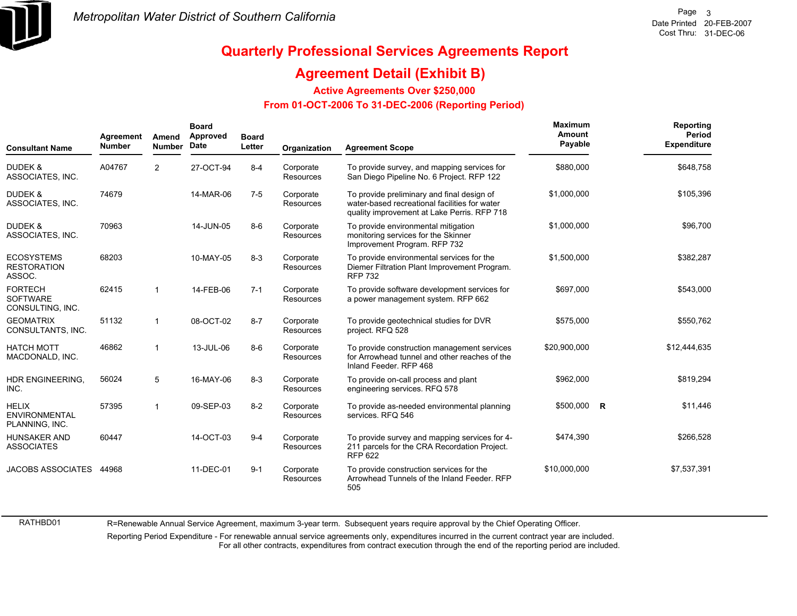

### **Agreement Detail (Exhibit B)**

**Active Agreements Over \$250,000**

#### **From 01-OCT-2006 To 31-DEC-2006 (Reporting Period)**

| <b>Consultant Name</b>                                 | Agreement<br><b>Number</b> | Amend<br><b>Number</b>  | <b>Board</b><br>Approved<br>Date | <b>Board</b><br>Letter | Organization           | <b>Agreement Scope</b>                                                                                                                     | Maximum<br>Amount<br>Payable | Reporting<br>Period<br><b>Expenditure</b> |
|--------------------------------------------------------|----------------------------|-------------------------|----------------------------------|------------------------|------------------------|--------------------------------------------------------------------------------------------------------------------------------------------|------------------------------|-------------------------------------------|
| <b>DUDEK &amp;</b><br>ASSOCIATES, INC.                 | A04767                     | $\overline{2}$          | 27-OCT-94                        | $8 - 4$                | Corporate<br>Resources | To provide survey, and mapping services for<br>San Diego Pipeline No. 6 Project. RFP 122                                                   | \$880,000                    | \$648,758                                 |
| <b>DUDEK &amp;</b><br>ASSOCIATES, INC.                 | 74679                      |                         | 14-MAR-06                        | $7 - 5$                | Corporate<br>Resources | To provide preliminary and final design of<br>water-based recreational facilities for water<br>quality improvement at Lake Perris. RFP 718 | \$1,000,000                  | \$105,396                                 |
| <b>DUDEK &amp;</b><br>ASSOCIATES, INC.                 | 70963                      |                         | 14-JUN-05                        | $8-6$                  | Corporate<br>Resources | To provide environmental mitigation<br>monitoring services for the Skinner<br>Improvement Program. RFP 732                                 | \$1,000,000                  | \$96,700                                  |
| <b>ECOSYSTEMS</b><br><b>RESTORATION</b><br>ASSOC.      | 68203                      |                         | 10-MAY-05                        | $8 - 3$                | Corporate<br>Resources | To provide environmental services for the<br>Diemer Filtration Plant Improvement Program.<br><b>RFP 732</b>                                | \$1,500,000                  | \$382,287                                 |
| <b>FORTECH</b><br><b>SOFTWARE</b><br>CONSULTING, INC.  | 62415                      | $\overline{1}$          | 14-FEB-06                        | $7 - 1$                | Corporate<br>Resources | To provide software development services for<br>a power management system. RFP 662                                                         | \$697,000                    | \$543,000                                 |
| <b>GEOMATRIX</b><br>CONSULTANTS, INC.                  | 51132                      | $\mathbf 1$             | 08-OCT-02                        | $8 - 7$                | Corporate<br>Resources | To provide geotechnical studies for DVR<br>project. RFQ 528                                                                                | \$575,000                    | \$550,762                                 |
| <b>HATCH MOTT</b><br>MACDONALD, INC.                   | 46862                      | -1                      | 13-JUL-06                        | $8 - 6$                | Corporate<br>Resources | To provide construction management services<br>for Arrowhead tunnel and other reaches of the<br>Inland Feeder, RFP 468                     | \$20,900,000                 | \$12,444,635                              |
| <b>HDR ENGINEERING.</b><br>INC.                        | 56024                      | 5                       | 16-MAY-06                        | $8 - 3$                | Corporate<br>Resources | To provide on-call process and plant<br>engineering services. RFQ 578                                                                      | \$962,000                    | \$819,294                                 |
| <b>HELIX</b><br><b>ENVIRONMENTAL</b><br>PLANNING, INC. | 57395                      | $\overline{\mathbf{1}}$ | 09-SEP-03                        | $8 - 2$                | Corporate<br>Resources | To provide as-needed environmental planning<br>services. RFQ 546                                                                           | \$500,000 R                  | \$11,446                                  |
| <b>HUNSAKER AND</b><br><b>ASSOCIATES</b>               | 60447                      |                         | 14-OCT-03                        | $9 - 4$                | Corporate<br>Resources | To provide survey and mapping services for 4-<br>211 parcels for the CRA Recordation Project.<br><b>RFP 622</b>                            | \$474,390                    | \$266,528                                 |
| <b>JACOBS ASSOCIATES</b>                               | 44968                      |                         | 11-DEC-01                        | $9 - 1$                | Corporate<br>Resources | To provide construction services for the<br>Arrowhead Tunnels of the Inland Feeder, RFP<br>505                                             | \$10,000,000                 | \$7,537,391                               |

RATHBD01

R=Renewable Annual Service Agreement, maximum 3-year term. Subsequent years require approval by the Chief Operating Officer.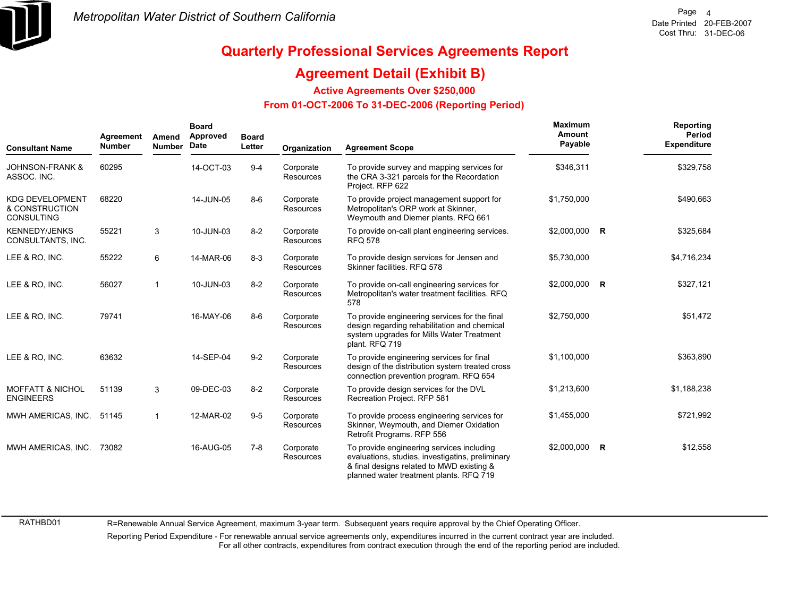

### **Agreement Detail (Exhibit B)**

**Active Agreements Over \$250,000**

#### **From 01-OCT-2006 To 31-DEC-2006 (Reporting Period)**

| <b>Consultant Name</b>                                        | Agreement<br><b>Number</b> | Amend<br><b>Number</b> | <b>Board</b><br>Approved<br>Date | <b>Board</b><br>Letter | Organization                  | <b>Agreement Scope</b>                                                                                                                                                                | Maximum<br>Amount<br>Payable | Reporting<br>Period<br><b>Expenditure</b> |
|---------------------------------------------------------------|----------------------------|------------------------|----------------------------------|------------------------|-------------------------------|---------------------------------------------------------------------------------------------------------------------------------------------------------------------------------------|------------------------------|-------------------------------------------|
| <b>JOHNSON-FRANK &amp;</b><br>ASSOC. INC.                     | 60295                      |                        | 14-OCT-03                        | $9 - 4$                | Corporate<br><b>Resources</b> | To provide survey and mapping services for<br>the CRA 3-321 parcels for the Recordation<br>Project. RFP 622                                                                           | \$346,311                    | \$329,758                                 |
| <b>KDG DEVELOPMENT</b><br>& CONSTRUCTION<br><b>CONSULTING</b> | 68220                      |                        | 14-JUN-05                        | $8-6$                  | Corporate<br>Resources        | To provide project management support for<br>Metropolitan's ORP work at Skinner,<br>Weymouth and Diemer plants. RFQ 661                                                               | \$1,750,000                  | \$490,663                                 |
| <b>KENNEDY/JENKS</b><br>CONSULTANTS, INC.                     | 55221                      | 3                      | 10-JUN-03                        | $8 - 2$                | Corporate<br><b>Resources</b> | To provide on-call plant engineering services.<br><b>RFQ 578</b>                                                                                                                      | \$2,000,000 R                | \$325,684                                 |
| LEE & RO, INC.                                                | 55222                      | 6                      | 14-MAR-06                        | $8 - 3$                | Corporate<br><b>Resources</b> | To provide design services for Jensen and<br>Skinner facilities, RFQ 578                                                                                                              | \$5,730,000                  | \$4,716,234                               |
| LEE & RO, INC.                                                | 56027                      | $\mathbf 1$            | 10-JUN-03                        | $8 - 2$                | Corporate<br><b>Resources</b> | To provide on-call engineering services for<br>Metropolitan's water treatment facilities. RFQ<br>578                                                                                  | \$2,000,000 R                | \$327,121                                 |
| LEE & RO, INC.                                                | 79741                      |                        | 16-MAY-06                        | $8-6$                  | Corporate<br><b>Resources</b> | To provide engineering services for the final<br>design regarding rehabilitation and chemical<br>system upgrades for Mills Water Treatment<br>plant. RFQ 719                          | \$2,750,000                  | \$51,472                                  |
| LEE & RO, INC.                                                | 63632                      |                        | 14-SEP-04                        | $9 - 2$                | Corporate<br><b>Resources</b> | To provide engineering services for final<br>design of the distribution system treated cross<br>connection prevention program. RFQ 654                                                | \$1,100,000                  | \$363,890                                 |
| <b>MOFFATT &amp; NICHOL</b><br><b>ENGINEERS</b>               | 51139                      | 3                      | 09-DEC-03                        | $8 - 2$                | Corporate<br>Resources        | To provide design services for the DVL<br>Recreation Project. RFP 581                                                                                                                 | \$1,213,600                  | \$1,188,238                               |
| MWH AMERICAS, INC.                                            | 51145                      | 1                      | 12-MAR-02                        | $9-5$                  | Corporate<br><b>Resources</b> | To provide process engineering services for<br>Skinner, Weymouth, and Diemer Oxidation<br>Retrofit Programs. RFP 556                                                                  | \$1,455,000                  | \$721,992                                 |
| MWH AMERICAS, INC.                                            | 73082                      |                        | 16-AUG-05                        | $7 - 8$                | Corporate<br><b>Resources</b> | To provide engineering services including<br>evaluations, studies, investigatins, preliminary<br>& final designs related to MWD existing &<br>planned water treatment plants. RFQ 719 | \$2,000,000 R                | \$12,558                                  |

RATHBD01

R=Renewable Annual Service Agreement, maximum 3-year term. Subsequent years require approval by the Chief Operating Officer.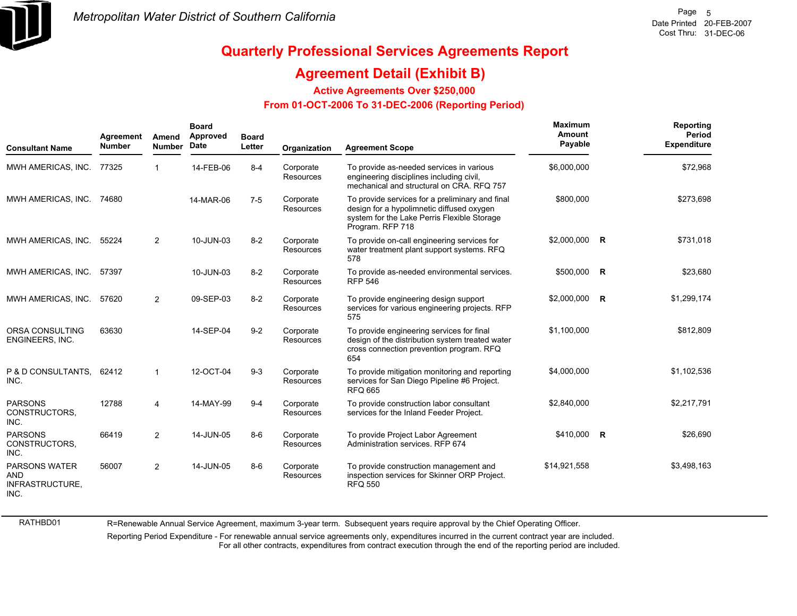

### **Agreement Detail (Exhibit B)**

**Active Agreements Over \$250,000**

#### **From 01-OCT-2006 To 31-DEC-2006 (Reporting Period)**

| <b>Consultant Name</b>                                 | Agreement<br><b>Number</b> | Amend<br><b>Number</b> | <b>Board</b><br>Approved<br>Date | <b>Board</b><br>Letter | Organization           | <b>Agreement Scope</b>                                                                                                                                          | Maximum<br>Amount<br>Payable | Reporting<br>Period<br><b>Expenditure</b> |
|--------------------------------------------------------|----------------------------|------------------------|----------------------------------|------------------------|------------------------|-----------------------------------------------------------------------------------------------------------------------------------------------------------------|------------------------------|-------------------------------------------|
| MWH AMERICAS, INC. 77325                               |                            | 1                      | 14-FEB-06                        | $8 - 4$                | Corporate<br>Resources | To provide as-needed services in various<br>engineering disciplines including civil,<br>mechanical and structural on CRA. RFQ 757                               | \$6,000,000                  | \$72,968                                  |
| MWH AMERICAS, INC. 74680                               |                            |                        | 14-MAR-06                        | $7-5$                  | Corporate<br>Resources | To provide services for a preliminary and final<br>design for a hypolimnetic diffused oxygen<br>system for the Lake Perris Flexible Storage<br>Program. RFP 718 | \$800,000                    | \$273,698                                 |
| MWH AMERICAS, INC.                                     | 55224                      | $\overline{2}$         | 10-JUN-03                        | $8 - 2$                | Corporate<br>Resources | To provide on-call engineering services for<br>water treatment plant support systems. RFQ<br>578                                                                | \$2,000,000 R                | \$731,018                                 |
| MWH AMERICAS, INC. 57397                               |                            |                        | 10-JUN-03                        | $8 - 2$                | Corporate<br>Resources | To provide as-needed environmental services.<br><b>RFP 546</b>                                                                                                  | \$500,000 R                  | \$23,680                                  |
| MWH AMERICAS, INC.                                     | 57620                      | $\overline{2}$         | 09-SEP-03                        | $8 - 2$                | Corporate<br>Resources | To provide engineering design support<br>services for various engineering projects. RFP<br>575                                                                  | \$2,000,000 R                | \$1,299,174                               |
| ORSA CONSULTING<br>ENGINEERS, INC.                     | 63630                      |                        | 14-SEP-04                        | $9 - 2$                | Corporate<br>Resources | To provide engineering services for final<br>design of the distribution system treated water<br>cross connection prevention program. RFQ<br>654                 | \$1,100,000                  | \$812,809                                 |
| P & D CONSULTANTS,<br>INC.                             | 62412                      | $\mathbf 1$            | 12-OCT-04                        | $9-3$                  | Corporate<br>Resources | To provide mitigation monitoring and reporting<br>services for San Diego Pipeline #6 Project.<br><b>RFQ 665</b>                                                 | \$4,000,000                  | \$1,102,536                               |
| <b>PARSONS</b><br>CONSTRUCTORS.<br>INC.                | 12788                      | 4                      | 14-MAY-99                        | $9 - 4$                | Corporate<br>Resources | To provide construction labor consultant<br>services for the Inland Feeder Project.                                                                             | \$2,840,000                  | \$2,217,791                               |
| <b>PARSONS</b><br>CONSTRUCTORS.<br>INC.                | 66419                      | $\overline{2}$         | 14-JUN-05                        | $8-6$                  | Corporate<br>Resources | To provide Project Labor Agreement<br>Administration services. RFP 674                                                                                          | \$410,000 R                  | \$26,690                                  |
| PARSONS WATER<br><b>AND</b><br>INFRASTRUCTURE,<br>INC. | 56007                      | $\overline{2}$         | 14-JUN-05                        | $8-6$                  | Corporate<br>Resources | To provide construction management and<br>inspection services for Skinner ORP Project.<br><b>RFQ 550</b>                                                        | \$14,921,558                 | \$3,498,163                               |

RATHBD01

R=Renewable Annual Service Agreement, maximum 3-year term. Subsequent years require approval by the Chief Operating Officer.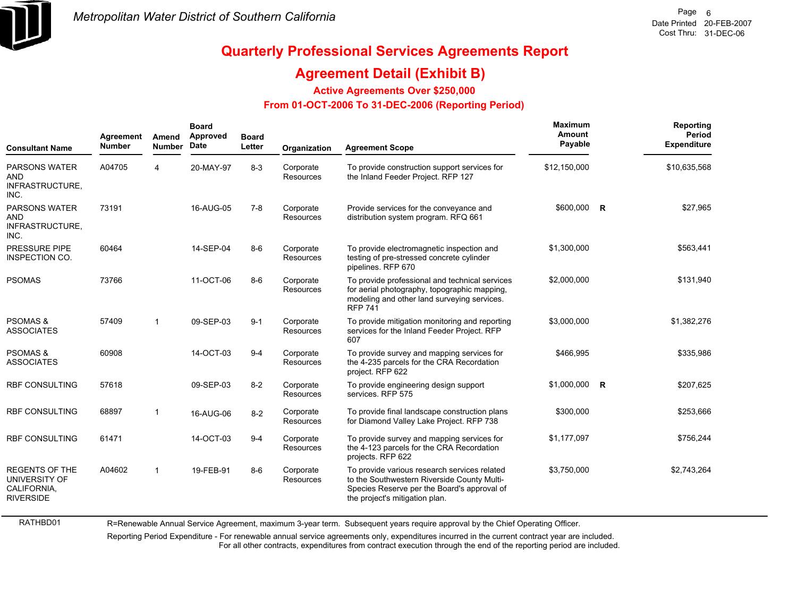

RATHBD01

# **Quarterly Professional Services Agreements Report**

### **Agreement Detail (Exhibit B)**

**Active Agreements Over \$250,000**

#### **From 01-OCT-2006 To 31-DEC-2006 (Reporting Period)**

| <b>Consultant Name</b>                                                    | Agreement<br><b>Number</b> | Amend<br><b>Number</b> | <b>Board</b><br>Approved<br>Date | <b>Board</b><br>Letter | Organization                  | <b>Agreement Scope</b>                                                                                                                                                       | Maximum<br>Amount<br>Payable | Reporting<br>Period<br><b>Expenditure</b> |
|---------------------------------------------------------------------------|----------------------------|------------------------|----------------------------------|------------------------|-------------------------------|------------------------------------------------------------------------------------------------------------------------------------------------------------------------------|------------------------------|-------------------------------------------|
| <b>PARSONS WATER</b><br><b>AND</b><br>INFRASTRUCTURE,<br>INC.             | A04705                     | 4                      | 20-MAY-97                        | $8 - 3$                | Corporate<br><b>Resources</b> | To provide construction support services for<br>the Inland Feeder Project. RFP 127                                                                                           | \$12,150,000                 | \$10,635,568                              |
| <b>PARSONS WATER</b><br><b>AND</b><br>INFRASTRUCTURE,<br>INC.             | 73191                      |                        | 16-AUG-05                        | $7 - 8$                | Corporate<br><b>Resources</b> | Provide services for the conveyance and<br>distribution system program. RFQ 661                                                                                              | \$600,000 R                  | \$27,965                                  |
| <b>PRESSURE PIPE</b><br><b>INSPECTION CO.</b>                             | 60464                      |                        | 14-SEP-04                        | $8-6$                  | Corporate<br>Resources        | To provide electromagnetic inspection and<br>testing of pre-stressed concrete cylinder<br>pipelines. RFP 670                                                                 | \$1,300,000                  | \$563,441                                 |
| <b>PSOMAS</b>                                                             | 73766                      |                        | 11-OCT-06                        | $8-6$                  | Corporate<br>Resources        | To provide professional and technical services<br>for aerial photography, topographic mapping,<br>modeling and other land surveying services.<br><b>RFP 741</b>              | \$2,000,000                  | \$131,940                                 |
| <b>PSOMAS &amp;</b><br><b>ASSOCIATES</b>                                  | 57409                      | $\mathbf{1}$           | 09-SEP-03                        | $9 - 1$                | Corporate<br>Resources        | To provide mitigation monitoring and reporting<br>services for the Inland Feeder Project. RFP<br>607                                                                         | \$3,000,000                  | \$1,382,276                               |
| <b>PSOMAS &amp;</b><br><b>ASSOCIATES</b>                                  | 60908                      |                        | 14-OCT-03                        | $9 - 4$                | Corporate<br><b>Resources</b> | To provide survey and mapping services for<br>the 4-235 parcels for the CRA Recordation<br>project. RFP 622                                                                  | \$466,995                    | \$335,986                                 |
| <b>RBF CONSULTING</b>                                                     | 57618                      |                        | 09-SEP-03                        | $8 - 2$                | Corporate<br>Resources        | To provide engineering design support<br>services. RFP 575                                                                                                                   | $$1,000,000$ R               | \$207,625                                 |
| <b>RBF CONSULTING</b>                                                     | 68897                      | $\overline{1}$         | 16-AUG-06                        | $8 - 2$                | Corporate<br>Resources        | To provide final landscape construction plans<br>for Diamond Valley Lake Project. RFP 738                                                                                    | \$300,000                    | \$253,666                                 |
| <b>RBF CONSULTING</b>                                                     | 61471                      |                        | 14-OCT-03                        | $9 - 4$                | Corporate<br>Resources        | To provide survey and mapping services for<br>the 4-123 parcels for the CRA Recordation<br>projects. RFP 622                                                                 | \$1,177,097                  | \$756,244                                 |
| <b>REGENTS OF THE</b><br>UNIVERSITY OF<br>CALIFORNIA,<br><b>RIVERSIDE</b> | A04602                     | $\mathbf{1}$           | 19-FEB-91                        | $8-6$                  | Corporate<br>Resources        | To provide various research services related<br>to the Southwestern Riverside County Multi-<br>Species Reserve per the Board's approval of<br>the project's mitigation plan. | \$3,750,000                  | \$2,743,264                               |

R=Renewable Annual Service Agreement, maximum 3-year term. Subsequent years require approval by the Chief Operating Officer.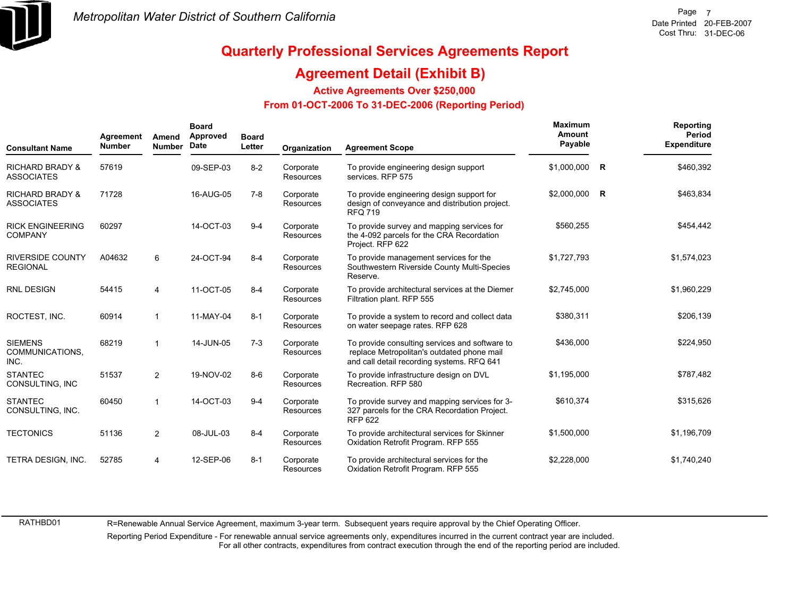

### **Agreement Detail (Exhibit B)**

**Active Agreements Over \$250,000**

#### **From 01-OCT-2006 To 31-DEC-2006 (Reporting Period)**

| <b>Consultant Name</b>                          | Agreement<br>Number | Amend<br><b>Number</b> | <b>Board</b><br>Approved<br>Date | <b>Board</b><br>Letter | Organization                  | <b>Agreement Scope</b>                                                                                                                     | Maximum<br>Amount<br>Payable |              | Reporting<br>Period<br><b>Expenditure</b> |
|-------------------------------------------------|---------------------|------------------------|----------------------------------|------------------------|-------------------------------|--------------------------------------------------------------------------------------------------------------------------------------------|------------------------------|--------------|-------------------------------------------|
| <b>RICHARD BRADY &amp;</b><br><b>ASSOCIATES</b> | 57619               |                        | 09-SEP-03                        | $8 - 2$                | Corporate<br><b>Resources</b> | To provide engineering design support<br>services. RFP 575                                                                                 | \$1,000,000                  | R            | \$460,392                                 |
| <b>RICHARD BRADY &amp;</b><br><b>ASSOCIATES</b> | 71728               |                        | 16-AUG-05                        | $7 - 8$                | Corporate<br><b>Resources</b> | To provide engineering design support for<br>design of conveyance and distribution project.<br><b>RFQ 719</b>                              | \$2,000,000                  | $\mathsf{R}$ | \$463,834                                 |
| <b>RICK ENGINEERING</b><br><b>COMPANY</b>       | 60297               |                        | 14-OCT-03                        | $9 - 4$                | Corporate<br><b>Resources</b> | To provide survey and mapping services for<br>the 4-092 parcels for the CRA Recordation<br>Project. RFP 622                                | \$560,255                    |              | \$454,442                                 |
| <b>RIVERSIDE COUNTY</b><br><b>REGIONAL</b>      | A04632              | 6                      | 24-OCT-94                        | $8 - 4$                | Corporate<br><b>Resources</b> | To provide management services for the<br>Southwestern Riverside County Multi-Species<br>Reserve.                                          | \$1,727,793                  |              | \$1,574,023                               |
| <b>RNL DESIGN</b>                               | 54415               | 4                      | 11-OCT-05                        | $8 - 4$                | Corporate<br><b>Resources</b> | To provide architectural services at the Diemer<br>Filtration plant. RFP 555                                                               | \$2,745,000                  |              | \$1,960,229                               |
| ROCTEST, INC.                                   | 60914               |                        | 11-MAY-04                        | $8 - 1$                | Corporate<br>Resources        | To provide a system to record and collect data<br>on water seepage rates. RFP 628                                                          | \$380,311                    |              | \$206,139                                 |
| <b>SIEMENS</b><br>COMMUNICATIONS.<br>INC.       | 68219               |                        | 14-JUN-05                        | $7-3$                  | Corporate<br><b>Resources</b> | To provide consulting services and software to<br>replace Metropolitan's outdated phone mail<br>and call detail recording systems. RFQ 641 | \$436,000                    |              | \$224,950                                 |
| <b>STANTEC</b><br>CONSULTING, INC               | 51537               | $\overline{2}$         | 19-NOV-02                        | $8 - 6$                | Corporate<br><b>Resources</b> | To provide infrastructure design on DVL<br>Recreation, RFP 580                                                                             | \$1.195.000                  |              | \$787,482                                 |
| <b>STANTEC</b><br>CONSULTING, INC.              | 60450               |                        | 14-OCT-03                        | $9 - 4$                | Corporate<br><b>Resources</b> | To provide survey and mapping services for 3-<br>327 parcels for the CRA Recordation Project.<br><b>RFP 622</b>                            | \$610,374                    |              | \$315,626                                 |
| <b>TECTONICS</b>                                | 51136               | $\overline{2}$         | 08-JUL-03                        | $8 - 4$                | Corporate<br><b>Resources</b> | To provide architectural services for Skinner<br>Oxidation Retrofit Program. RFP 555                                                       | \$1,500,000                  |              | \$1,196,709                               |
| TETRA DESIGN, INC.                              | 52785               | 4                      | 12-SEP-06                        | $8 - 1$                | Corporate<br><b>Resources</b> | To provide architectural services for the<br>Oxidation Retrofit Program. RFP 555                                                           | \$2,228,000                  |              | \$1,740,240                               |

RATHBD01

R=Renewable Annual Service Agreement, maximum 3-year term. Subsequent years require approval by the Chief Operating Officer.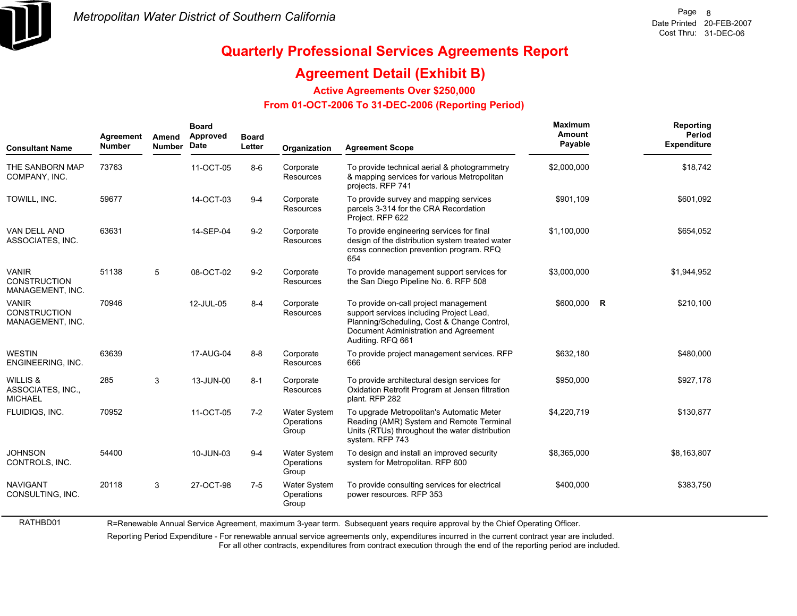

RATHBD01

# **Quarterly Professional Services Agreements Report**

### **Agreement Detail (Exhibit B)**

**Active Agreements Over \$250,000**

#### **From 01-OCT-2006 To 31-DEC-2006 (Reporting Period)**

| <b>Consultant Name</b>                                  | Agreement<br><b>Number</b> | Amend<br><b>Number</b> | <b>Board</b><br>Approved<br>Date | <b>Board</b><br>Letter | Organization                               | <b>Agreement Scope</b>                                                                                                                                                                         | Maximum<br>Amount<br>Payable | Reporting<br><b>Period</b><br><b>Expenditure</b> |
|---------------------------------------------------------|----------------------------|------------------------|----------------------------------|------------------------|--------------------------------------------|------------------------------------------------------------------------------------------------------------------------------------------------------------------------------------------------|------------------------------|--------------------------------------------------|
| THE SANBORN MAP<br>COMPANY, INC.                        | 73763                      |                        | 11-OCT-05                        | $8-6$                  | Corporate<br>Resources                     | To provide technical aerial & photogrammetry<br>& mapping services for various Metropolitan<br>projects. RFP 741                                                                               | \$2,000,000                  | \$18,742                                         |
| TOWILL, INC.                                            | 59677                      |                        | 14-OCT-03                        | $9 - 4$                | Corporate<br>Resources                     | To provide survey and mapping services<br>parcels 3-314 for the CRA Recordation<br>Project. RFP 622                                                                                            | \$901,109                    | \$601,092                                        |
| <b>VAN DELL AND</b><br>ASSOCIATES, INC.                 | 63631                      |                        | 14-SEP-04                        | $9 - 2$                | Corporate<br>Resources                     | To provide engineering services for final<br>design of the distribution system treated water<br>cross connection prevention program. RFQ<br>654                                                | \$1,100,000                  | \$654,052                                        |
| <b>VANIR</b><br><b>CONSTRUCTION</b><br>MANAGEMENT, INC. | 51138                      | 5                      | 08-OCT-02                        | $9 - 2$                | Corporate<br><b>Resources</b>              | To provide management support services for<br>the San Diego Pipeline No. 6. RFP 508                                                                                                            | \$3,000,000                  | \$1,944,952                                      |
| <b>VANIR</b><br><b>CONSTRUCTION</b><br>MANAGEMENT, INC. | 70946                      |                        | 12-JUL-05                        | $8 - 4$                | Corporate<br>Resources                     | To provide on-call project management<br>support services including Project Lead,<br>Planning/Scheduling, Cost & Change Control,<br>Document Administration and Agreement<br>Auditing. RFQ 661 | \$600,000 R                  | \$210,100                                        |
| <b>WESTIN</b><br>ENGINEERING, INC.                      | 63639                      |                        | 17-AUG-04                        | $8 - 8$                | Corporate<br><b>Resources</b>              | To provide project management services. RFP<br>666                                                                                                                                             | \$632,180                    | \$480,000                                        |
| WILLIS &<br>ASSOCIATES, INC.,<br><b>MICHAEL</b>         | 285                        | 3                      | 13-JUN-00                        | $8 - 1$                | Corporate<br><b>Resources</b>              | To provide architectural design services for<br>Oxidation Retrofit Program at Jensen filtration<br>plant. RFP 282                                                                              | \$950,000                    | \$927,178                                        |
| FLUIDIQS, INC.                                          | 70952                      |                        | 11-OCT-05                        | $7-2$                  | Water System<br>Operations<br>Group        | To upgrade Metropolitan's Automatic Meter<br>Reading (AMR) System and Remote Terminal<br>Units (RTUs) throughout the water distribution<br>system. RFP 743                                     | \$4,220,719                  | \$130,877                                        |
| <b>JOHNSON</b><br>CONTROLS, INC.                        | 54400                      |                        | 10-JUN-03                        | $9 - 4$                | <b>Water System</b><br>Operations<br>Group | To design and install an improved security<br>system for Metropolitan. RFP 600                                                                                                                 | \$8,365,000                  | \$8,163,807                                      |
| <b>NAVIGANT</b><br>CONSULTING, INC.                     | 20118                      | 3                      | 27-OCT-98                        | $7-5$                  | Water System<br>Operations<br>Group        | To provide consulting services for electrical<br>power resources. RFP 353                                                                                                                      | \$400,000                    | \$383,750                                        |

R=Renewable Annual Service Agreement, maximum 3-year term. Subsequent years require approval by the Chief Operating Officer.

Reporting Period Expenditure - For renewable annual service agreements only, expenditures incurred in the current contract year are included.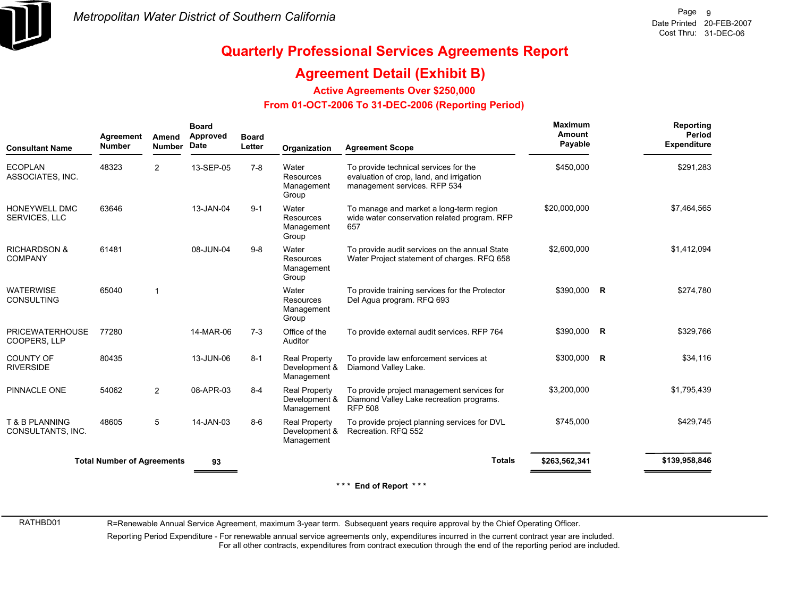

### **Agreement Detail (Exhibit B)**

**Active Agreements Over \$250,000**

#### **From 01-OCT-2006 To 31-DEC-2006 (Reporting Period)**

| <b>Consultant Name</b>                    | Agreement<br><b>Number</b>        | Amend<br><b>Number</b> | <b>Board</b><br>Approved<br>Date | <b>Board</b><br>Letter | Organization                                        | <b>Agreement Scope</b>                                                                                            | <b>Maximum</b><br>Amount<br>Payable |                         | Reporting<br><b>Period</b><br><b>Expenditure</b> |
|-------------------------------------------|-----------------------------------|------------------------|----------------------------------|------------------------|-----------------------------------------------------|-------------------------------------------------------------------------------------------------------------------|-------------------------------------|-------------------------|--------------------------------------------------|
| <b>ECOPLAN</b><br>ASSOCIATES, INC.        | 48323                             | $\overline{2}$         | 13-SEP-05                        | $7 - 8$                | Water<br>Resources<br>Management<br>Group           | To provide technical services for the<br>evaluation of crop, land, and irrigation<br>management services. RFP 534 | \$450,000                           |                         | \$291,283                                        |
| HONEYWELL DMC<br><b>SERVICES, LLC</b>     | 63646                             |                        | 13-JAN-04                        | $9 - 1$                | Water<br>Resources<br>Management<br>Group           | To manage and market a long-term region<br>wide water conservation related program. RFP<br>657                    | \$20,000,000                        |                         | \$7,464,565                                      |
| <b>RICHARDSON &amp;</b><br><b>COMPANY</b> | 61481                             |                        | 08-JUN-04                        | $9 - 8$                | Water<br>Resources<br>Management<br>Group           | To provide audit services on the annual State<br>Water Project statement of charges. RFQ 658                      | \$2,600,000                         |                         | \$1,412,094                                      |
| <b>WATERWISE</b><br><b>CONSULTING</b>     | 65040                             | $\overline{1}$         |                                  |                        | Water<br>Resources<br>Management<br>Group           | To provide training services for the Protector<br>Del Agua program. RFQ 693                                       | \$390,000 R                         |                         | \$274,780                                        |
| <b>PRICEWATERHOUSE</b><br>COOPERS, LLP    | 77280                             |                        | 14-MAR-06                        | $7-3$                  | Office of the<br>Auditor                            | To provide external audit services. RFP 764                                                                       | \$390,000                           | $\overline{\mathbf{R}}$ | \$329,766                                        |
| <b>COUNTY OF</b><br><b>RIVERSIDE</b>      | 80435                             |                        | 13-JUN-06                        | $8 - 1$                | <b>Real Property</b><br>Development &<br>Management | To provide law enforcement services at<br>Diamond Valley Lake.                                                    | \$300,000                           | $\overline{\mathsf{R}}$ | \$34,116                                         |
| PINNACLE ONE                              | 54062                             | $\overline{2}$         | 08-APR-03                        | $8 - 4$                | <b>Real Property</b><br>Development &<br>Management | To provide project management services for<br>Diamond Valley Lake recreation programs.<br><b>RFP 508</b>          | \$3,200,000                         |                         | \$1,795,439                                      |
| T & B PLANNING<br>CONSULTANTS, INC.       | 48605                             | 5                      | 14-JAN-03                        | $8-6$                  | <b>Real Property</b><br>Development &<br>Management | To provide project planning services for DVL<br>Recreation, RFQ 552                                               | \$745,000                           |                         | \$429,745                                        |
|                                           | <b>Total Number of Agreements</b> |                        | 93                               |                        |                                                     | <b>Totals</b>                                                                                                     | \$263,562,341                       |                         | \$139,958,846                                    |
|                                           |                                   |                        |                                  |                        |                                                     | *** End of Report ***                                                                                             |                                     |                         |                                                  |

RATHBD01

R=Renewable Annual Service Agreement, maximum 3-year term. Subsequent years require approval by the Chief Operating Officer.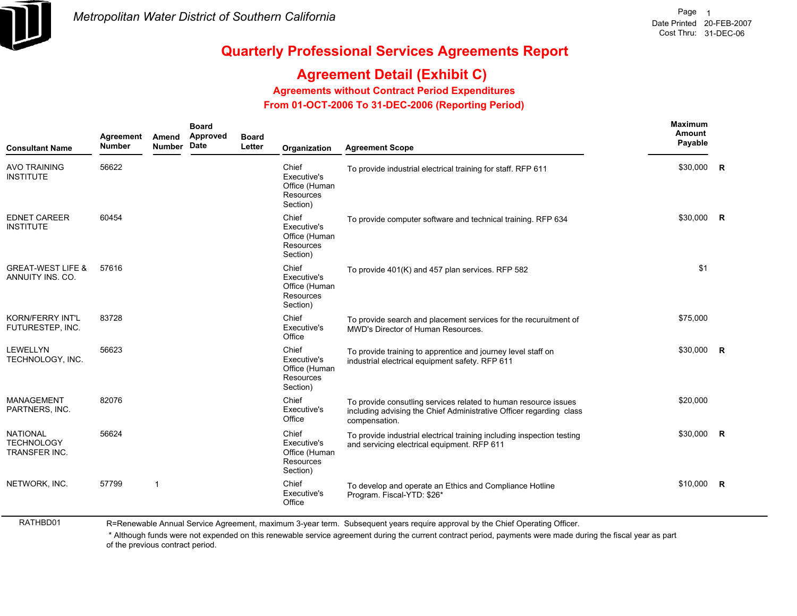

RATHBD01

## **Quarterly Professional Services Agreements Report**

## **Agreement Detail (Exhibit C)**

**Agreements without Contract Period Expenditures**

 **From 01-OCT-2006 To 31-DEC-2006 (Reporting Period)** 

| <b>Consultant Name</b>                                | Agreement<br><b>Number</b> | Amend<br><b>Number</b> | <b>Board</b><br>Approved<br>Date | <b>Board</b><br>Letter | Organization                                                   | <b>Agreement Scope</b>                                                                                                                                  | Maximum<br>Amount<br>Payable |              |
|-------------------------------------------------------|----------------------------|------------------------|----------------------------------|------------------------|----------------------------------------------------------------|---------------------------------------------------------------------------------------------------------------------------------------------------------|------------------------------|--------------|
| <b>AVO TRAINING</b><br><b>INSTITUTE</b>               | 56622                      |                        |                                  |                        | Chief<br>Executive's<br>Office (Human<br>Resources<br>Section) | To provide industrial electrical training for staff. RFP 611                                                                                            | \$30,000                     | <b>R</b>     |
| <b>EDNET CAREER</b><br><b>INSTITUTE</b>               | 60454                      |                        |                                  |                        | Chief<br>Executive's<br>Office (Human<br>Resources<br>Section) | To provide computer software and technical training. RFP 634                                                                                            | \$30,000                     | <b>R</b>     |
| <b>GREAT-WEST LIFE &amp;</b><br>ANNUITY INS. CO.      | 57616                      |                        |                                  |                        | Chief<br>Executive's<br>Office (Human<br>Resources<br>Section) | To provide 401(K) and 457 plan services. RFP 582                                                                                                        | \$1                          |              |
| <b>KORN/FERRY INT'L</b><br>FUTURESTEP, INC.           | 83728                      |                        |                                  |                        | Chief<br>Executive's<br>Office                                 | To provide search and placement services for the recuruitment of<br>MWD's Director of Human Resources.                                                  | \$75,000                     |              |
| LEWELLYN<br>TECHNOLOGY, INC.                          | 56623                      |                        |                                  |                        | Chief<br>Executive's<br>Office (Human<br>Resources<br>Section) | To provide training to apprentice and journey level staff on<br>industrial electrical equipment safety. RFP 611                                         | \$30,000                     | R            |
| <b>MANAGEMENT</b><br>PARTNERS, INC.                   | 82076                      |                        |                                  |                        | Chief<br>Executive's<br>Office                                 | To provide consutling services related to human resource issues<br>including advising the Chief Administrative Officer regarding class<br>compensation. | \$20,000                     |              |
| <b>NATIONAL</b><br><b>TECHNOLOGY</b><br>TRANSFER INC. | 56624                      |                        |                                  |                        | Chief<br>Executive's<br>Office (Human<br>Resources<br>Section) | To provide industrial electrical training including inspection testing<br>and servicing electrical equipment. RFP 611                                   | \$30.000                     | $\mathsf{R}$ |
| NETWORK, INC.                                         | 57799                      | $\overline{1}$         |                                  |                        | Chief<br>Executive's<br>Office                                 | To develop and operate an Ethics and Compliance Hotline<br>Program. Fiscal-YTD: \$26*                                                                   | \$10,000                     | $\mathsf{R}$ |

R=Renewable Annual Service Agreement, maximum 3-year term. Subsequent years require approval by the Chief Operating Officer.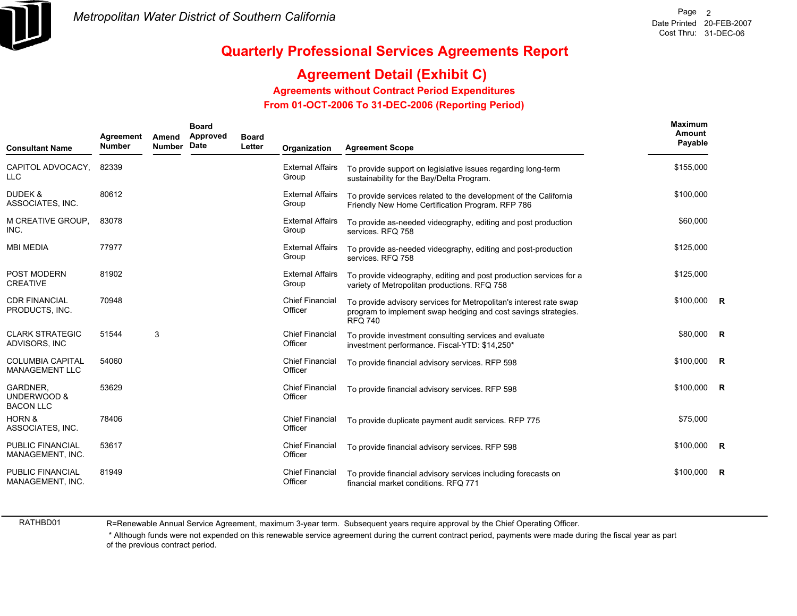

## **Agreement Detail (Exhibit C)**

**Agreements without Contract Period Expenditures**

 **From 01-OCT-2006 To 31-DEC-2006 (Reporting Period)** 

| <b>Consultant Name</b>                           | Agreement<br><b>Number</b> | Amend<br><b>Number</b> | <b>Board</b><br>Approved<br>Date | <b>Board</b><br>Letter | Organization                      | <b>Agreement Scope</b>                                                                                                                                 | <b>Maximum</b><br>Amount<br>Payable |  |
|--------------------------------------------------|----------------------------|------------------------|----------------------------------|------------------------|-----------------------------------|--------------------------------------------------------------------------------------------------------------------------------------------------------|-------------------------------------|--|
| CAPITOL ADVOCACY, 82339<br><b>LLC</b>            |                            |                        |                                  |                        | <b>External Affairs</b><br>Group  | To provide support on legislative issues regarding long-term<br>sustainability for the Bay/Delta Program.                                              | \$155,000                           |  |
| <b>DUDEK &amp;</b><br>ASSOCIATES, INC.           | 80612                      |                        |                                  |                        | <b>External Affairs</b><br>Group  | To provide services related to the development of the California<br>Friendly New Home Certification Program. RFP 786                                   | \$100,000                           |  |
| M CREATIVE GROUP.<br>INC.                        | 83078                      |                        |                                  |                        | <b>External Affairs</b><br>Group  | To provide as-needed videography, editing and post production<br>services, RFQ 758                                                                     | \$60,000                            |  |
| <b>MBI MEDIA</b>                                 | 77977                      |                        |                                  |                        | <b>External Affairs</b><br>Group  | To provide as-needed videography, editing and post-production<br>services, RFQ 758                                                                     | \$125,000                           |  |
| POST MODERN<br><b>CREATIVE</b>                   | 81902                      |                        |                                  |                        | <b>External Affairs</b><br>Group  | To provide videography, editing and post production services for a<br>variety of Metropolitan productions. RFQ 758                                     | \$125,000                           |  |
| <b>CDR FINANCIAL</b><br>PRODUCTS, INC.           | 70948                      |                        |                                  |                        | <b>Chief Financial</b><br>Officer | To provide advisory services for Metropolitan's interest rate swap<br>program to implement swap hedging and cost savings strategies.<br><b>RFQ 740</b> | $$100,000$ R                        |  |
| <b>CLARK STRATEGIC</b><br>ADVISORS, INC          | 51544                      | 3                      |                                  |                        | <b>Chief Financial</b><br>Officer | To provide investment consulting services and evaluate<br>investment performance. Fiscal-YTD: \$14,250*                                                | \$80,000 R                          |  |
| <b>COLUMBIA CAPITAL</b><br><b>MANAGEMENT LLC</b> | 54060                      |                        |                                  |                        | <b>Chief Financial</b><br>Officer | To provide financial advisory services. RFP 598                                                                                                        | $$100,000$ R                        |  |
| GARDNER,<br>UNDERWOOD &<br><b>BACON LLC</b>      | 53629                      |                        |                                  |                        | <b>Chief Financial</b><br>Officer | To provide financial advisory services. RFP 598                                                                                                        | $$100,000$ R                        |  |
| <b>HORN &amp;</b><br>ASSOCIATES, INC.            | 78406                      |                        |                                  |                        | <b>Chief Financial</b><br>Officer | To provide duplicate payment audit services. RFP 775                                                                                                   | \$75,000                            |  |
| <b>PUBLIC FINANCIAL</b><br>MANAGEMENT, INC.      | 53617                      |                        |                                  |                        | <b>Chief Financial</b><br>Officer | To provide financial advisory services. RFP 598                                                                                                        | $$100,000$ R                        |  |
| <b>PUBLIC FINANCIAL</b><br>MANAGEMENT, INC.      | 81949                      |                        |                                  |                        | <b>Chief Financial</b><br>Officer | To provide financial advisory services including forecasts on<br>financial market conditions. RFQ 771                                                  | $$100,000$ R                        |  |

RATHBD01

R=Renewable Annual Service Agreement, maximum 3-year term. Subsequent years require approval by the Chief Operating Officer.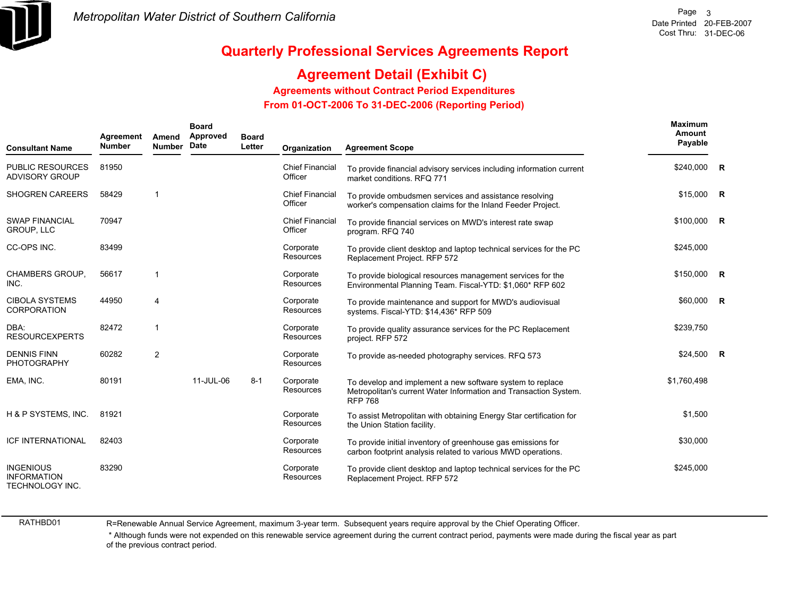

## **Agreement Detail (Exhibit C)**

**Agreements without Contract Period Expenditures**

 **From 01-OCT-2006 To 31-DEC-2006 (Reporting Period)** 

| <b>Consultant Name</b>                                    | Agreement<br><b>Number</b> | Amend<br><b>Number</b> | <b>Board</b><br>Approved<br>Date | <b>Board</b><br>Letter | Organization                      | <b>Agreement Scope</b>                                                                                                                          | Maximum<br>Amount<br>Payable |  |
|-----------------------------------------------------------|----------------------------|------------------------|----------------------------------|------------------------|-----------------------------------|-------------------------------------------------------------------------------------------------------------------------------------------------|------------------------------|--|
| <b>PUBLIC RESOURCES</b><br><b>ADVISORY GROUP</b>          | 81950                      |                        |                                  |                        | <b>Chief Financial</b><br>Officer | To provide financial advisory services including information current<br>market conditions. RFQ 771                                              | \$240,000 R                  |  |
| <b>SHOGREN CAREERS</b>                                    | 58429                      | $\mathbf{1}$           |                                  |                        | <b>Chief Financial</b><br>Officer | To provide ombudsmen services and assistance resolving<br>worker's compensation claims for the Inland Feeder Project.                           | $$15,000$ R                  |  |
| <b>SWAP FINANCIAL</b><br><b>GROUP, LLC</b>                | 70947                      |                        |                                  |                        | <b>Chief Financial</b><br>Officer | To provide financial services on MWD's interest rate swap<br>program. RFQ 740                                                                   | \$100,000 R                  |  |
| CC-OPS INC.                                               | 83499                      |                        |                                  |                        | Corporate<br><b>Resources</b>     | To provide client desktop and laptop technical services for the PC<br>Replacement Project. RFP 572                                              | \$245,000                    |  |
| <b>CHAMBERS GROUP.</b><br>INC.                            | 56617                      | $\mathbf{1}$           |                                  |                        | Corporate<br><b>Resources</b>     | To provide biological resources management services for the<br>Environmental Planning Team. Fiscal-YTD: \$1,060* RFP 602                        | \$150,000 R                  |  |
| <b>CIBOLA SYSTEMS</b><br><b>CORPORATION</b>               | 44950                      | $\overline{4}$         |                                  |                        | Corporate<br>Resources            | To provide maintenance and support for MWD's audiovisual<br>systems. Fiscal-YTD: \$14,436* RFP 509                                              | \$60,000 R                   |  |
| DBA:<br><b>RESOURCEXPERTS</b>                             | 82472                      | $\mathbf 1$            |                                  |                        | Corporate<br><b>Resources</b>     | To provide quality assurance services for the PC Replacement<br>project. RFP 572                                                                | \$239,750                    |  |
| <b>DENNIS FINN</b><br>PHOTOGRAPHY                         | 60282                      | $\overline{2}$         |                                  |                        | Corporate<br>Resources            | To provide as-needed photography services. RFQ 573                                                                                              | $$24,500$ R                  |  |
| EMA, INC.                                                 | 80191                      |                        | 11-JUL-06                        | $8 - 1$                | Corporate<br>Resources            | To develop and implement a new software system to replace<br>Metropolitan's current Water Information and Transaction System.<br><b>RFP 768</b> | \$1,760,498                  |  |
| H & P SYSTEMS, INC.                                       | 81921                      |                        |                                  |                        | Corporate<br><b>Resources</b>     | To assist Metropolitan with obtaining Energy Star certification for<br>the Union Station facility.                                              | \$1,500                      |  |
| ICF INTERNATIONAL                                         | 82403                      |                        |                                  |                        | Corporate<br>Resources            | To provide initial inventory of greenhouse gas emissions for<br>carbon footprint analysis related to various MWD operations.                    | \$30,000                     |  |
| <b>INGENIOUS</b><br><b>INFORMATION</b><br>TECHNOLOGY INC. | 83290                      |                        |                                  |                        | Corporate<br>Resources            | To provide client desktop and laptop technical services for the PC<br>Replacement Project. RFP 572                                              | \$245,000                    |  |

RATHBD01

R=Renewable Annual Service Agreement, maximum 3-year term. Subsequent years require approval by the Chief Operating Officer.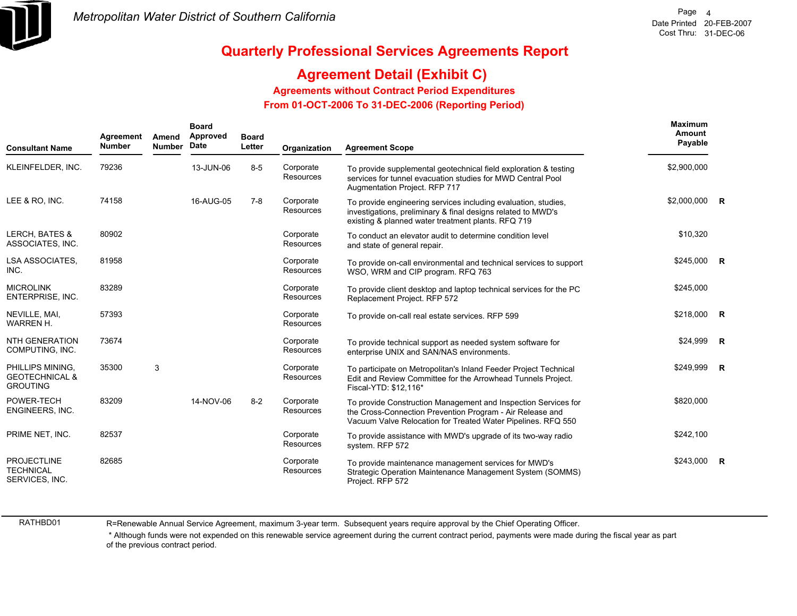

## **Agreement Detail (Exhibit C)**

**Agreements without Contract Period Expenditures**

 **From 01-OCT-2006 To 31-DEC-2006 (Reporting Period)** 

| <b>Consultant Name</b>                                           | Agreement<br><b>Number</b> | Amend<br><b>Number</b> | <b>Board</b><br>Approved<br>Date | <b>Board</b><br>Letter | Organization                  | <b>Agreement Scope</b>                                                                                                                                                                      | <b>Maximum</b><br>Amount<br>Payable |  |
|------------------------------------------------------------------|----------------------------|------------------------|----------------------------------|------------------------|-------------------------------|---------------------------------------------------------------------------------------------------------------------------------------------------------------------------------------------|-------------------------------------|--|
| KLEINFELDER, INC.                                                | 79236                      |                        | 13-JUN-06                        | $8-5$                  | Corporate<br><b>Resources</b> | To provide supplemental geotechnical field exploration & testing<br>services for tunnel evacuation studies for MWD Central Pool<br>Augmentation Project. RFP 717                            | \$2,900,000                         |  |
| LEE & RO. INC.                                                   | 74158                      |                        | 16-AUG-05                        | $7-8$                  | Corporate<br>Resources        | To provide engineering services including evaluation, studies,<br>investigations, preliminary & final designs related to MWD's<br>existing & planned water treatment plants. RFQ 719        | \$2,000,000 R                       |  |
| <b>LERCH, BATES &amp;</b><br>ASSOCIATES, INC.                    | 80902                      |                        |                                  |                        | Corporate<br><b>Resources</b> | To conduct an elevator audit to determine condition level<br>and state of general repair.                                                                                                   | \$10,320                            |  |
| LSA ASSOCIATES,<br>INC.                                          | 81958                      |                        |                                  |                        | Corporate<br><b>Resources</b> | To provide on-call environmental and technical services to support<br>WSO, WRM and CIP program. RFQ 763                                                                                     | $$245,000$ R                        |  |
| <b>MICROLINK</b><br>ENTERPRISE, INC.                             | 83289                      |                        |                                  |                        | Corporate<br>Resources        | To provide client desktop and laptop technical services for the PC<br>Replacement Project. RFP 572                                                                                          | \$245,000                           |  |
| NEVILLE, MAI,<br><b>WARREN H.</b>                                | 57393                      |                        |                                  |                        | Corporate<br><b>Resources</b> | To provide on-call real estate services. RFP 599                                                                                                                                            | \$218,000 R                         |  |
| <b>NTH GENERATION</b><br>COMPUTING, INC.                         | 73674                      |                        |                                  |                        | Corporate<br><b>Resources</b> | To provide technical support as needed system software for<br>enterprise UNIX and SAN/NAS environments.                                                                                     | \$24,999 R                          |  |
| PHILLIPS MINING.<br><b>GEOTECHNICAL &amp;</b><br><b>GROUTING</b> | 35300                      | 3                      |                                  |                        | Corporate<br>Resources        | To participate on Metropolitan's Inland Feeder Project Technical<br>Edit and Review Committee for the Arrowhead Tunnels Project.<br>Fiscal-YTD: \$12,116*                                   | \$249,999 R                         |  |
| POWER-TECH<br>ENGINEERS, INC.                                    | 83209                      |                        | 14-NOV-06                        | $8 - 2$                | Corporate<br><b>Resources</b> | To provide Construction Management and Inspection Services for<br>the Cross-Connection Prevention Program - Air Release and<br>Vacuum Valve Relocation for Treated Water Pipelines. RFQ 550 | \$820,000                           |  |
| PRIME NET, INC.                                                  | 82537                      |                        |                                  |                        | Corporate<br>Resources        | To provide assistance with MWD's upgrade of its two-way radio<br>system. RFP 572                                                                                                            | \$242,100                           |  |
| <b>PROJECTLINE</b><br><b>TECHNICAL</b><br>SERVICES, INC.         | 82685                      |                        |                                  |                        | Corporate<br><b>Resources</b> | To provide maintenance management services for MWD's<br>Strategic Operation Maintenance Management System (SOMMS)<br>Project. RFP 572                                                       | \$243,000 R                         |  |

RATHBD01

R=Renewable Annual Service Agreement, maximum 3-year term. Subsequent years require approval by the Chief Operating Officer.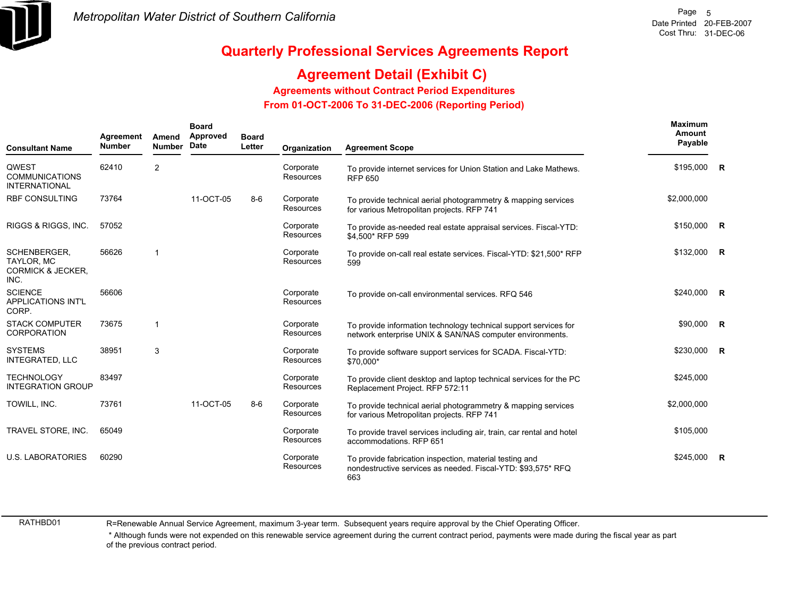

## **Agreement Detail (Exhibit C)**

#### **Agreements without Contract Period Expenditures**

 **From 01-OCT-2006 To 31-DEC-2006 (Reporting Period)** 

| <b>Consultant Name</b>                                                    | Agreement<br><b>Number</b> | Amend<br><b>Number</b> | <b>Board</b><br>Approved<br>Date | <b>Board</b><br>Letter | Organization                  | <b>Agreement Scope</b>                                                                                                         | Maximum<br>Amount<br>Payable |              |
|---------------------------------------------------------------------------|----------------------------|------------------------|----------------------------------|------------------------|-------------------------------|--------------------------------------------------------------------------------------------------------------------------------|------------------------------|--------------|
| QWEST<br><b>COMMUNICATIONS</b><br><b>INTERNATIONAL</b>                    | 62410                      | $\overline{2}$         |                                  |                        | Corporate<br>Resources        | To provide internet services for Union Station and Lake Mathews.<br><b>RFP 650</b>                                             | \$195,000 R                  |              |
| RBF CONSULTING                                                            | 73764                      |                        | 11-OCT-05                        | $8-6$                  | Corporate<br><b>Resources</b> | To provide technical aerial photogrammetry & mapping services<br>for various Metropolitan projects. RFP 741                    | \$2,000,000                  |              |
| RIGGS & RIGGS, INC.                                                       | 57052                      |                        |                                  |                        | Corporate<br>Resources        | To provide as-needed real estate appraisal services. Fiscal-YTD:<br>\$4,500* RFP 599                                           | \$150,000 R                  |              |
| SCHENBERGER.<br><b>TAYLOR, MC</b><br><b>CORMICK &amp; JECKER,</b><br>INC. | 56626                      | 1                      |                                  |                        | Corporate<br>Resources        | To provide on-call real estate services. Fiscal-YTD: \$21,500* RFP<br>599                                                      | $$132,000$ R                 |              |
| <b>SCIENCE</b><br><b>APPLICATIONS INT'L</b><br>CORP.                      | 56606                      |                        |                                  |                        | Corporate<br><b>Resources</b> | To provide on-call environmental services. RFQ 546                                                                             | \$240,000 R                  |              |
| <b>STACK COMPUTER</b><br><b>CORPORATION</b>                               | 73675                      |                        |                                  |                        | Corporate<br>Resources        | To provide information technology technical support services for<br>network enterprise UNIX & SAN/NAS computer environments.   | \$90,000                     | $\mathsf{R}$ |
| <b>SYSTEMS</b><br><b>INTEGRATED, LLC</b>                                  | 38951                      | 3                      |                                  |                        | Corporate<br><b>Resources</b> | To provide software support services for SCADA. Fiscal-YTD:<br>\$70,000*                                                       | \$230,000 R                  |              |
| <b>TECHNOLOGY</b><br><b>INTEGRATION GROUP</b>                             | 83497                      |                        |                                  |                        | Corporate<br>Resources        | To provide client desktop and laptop technical services for the PC<br>Replacement Project. RFP 572:11                          | \$245,000                    |              |
| TOWILL, INC.                                                              | 73761                      |                        | 11-OCT-05                        | $8 - 6$                | Corporate<br>Resources        | To provide technical aerial photogrammetry & mapping services<br>for various Metropolitan projects. RFP 741                    | \$2,000,000                  |              |
| TRAVEL STORE, INC.                                                        | 65049                      |                        |                                  |                        | Corporate<br>Resources        | To provide travel services including air, train, car rental and hotel<br>accommodations. RFP 651                               | \$105,000                    |              |
| <b>U.S. LABORATORIES</b>                                                  | 60290                      |                        |                                  |                        | Corporate<br><b>Resources</b> | To provide fabrication inspection, material testing and<br>nondestructive services as needed. Fiscal-YTD: \$93,575* RFQ<br>663 | \$245,000                    | $\mathbb{R}$ |

RATHBD01

R=Renewable Annual Service Agreement, maximum 3-year term. Subsequent years require approval by the Chief Operating Officer.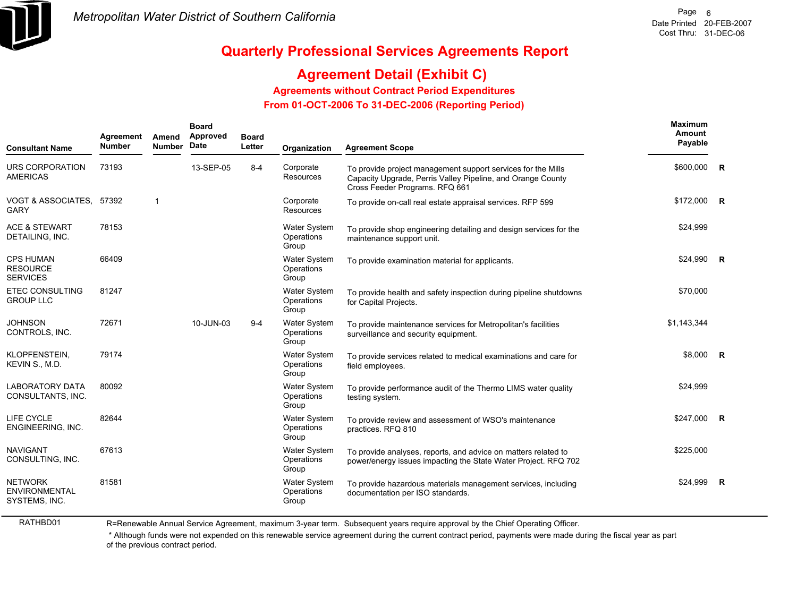

## **Agreement Detail (Exhibit C)**

**Agreements without Contract Period Expenditures**

 **From 01-OCT-2006 To 31-DEC-2006 (Reporting Period)** 

| <b>Consultant Name</b>                                  | <b>Number</b> | Amend<br><b>Number</b> | Approved<br>Date | <b>Board</b><br>Letter | Organization                               | <b>Agreement Scope</b>                                                                                                                                        | Amount<br>Payable |                         |
|---------------------------------------------------------|---------------|------------------------|------------------|------------------------|--------------------------------------------|---------------------------------------------------------------------------------------------------------------------------------------------------------------|-------------------|-------------------------|
| URS CORPORATION<br><b>AMERICAS</b>                      | 73193         |                        | 13-SEP-05        | $8 - 4$                | Corporate<br><b>Resources</b>              | To provide project management support services for the Mills<br>Capacity Upgrade, Perris Valley Pipeline, and Orange County<br>Cross Feeder Programs. RFQ 661 | \$600,000         | R                       |
| VOGT & ASSOCIATES, 57392<br><b>GARY</b>                 |               | $\mathbf{1}$           |                  |                        | Corporate<br>Resources                     | To provide on-call real estate appraisal services. RFP 599                                                                                                    | \$172,000         | $\mathsf{R}$            |
| <b>ACE &amp; STEWART</b><br>DETAILING, INC.             | 78153         |                        |                  |                        | <b>Water System</b><br>Operations<br>Group | To provide shop engineering detailing and design services for the<br>maintenance support unit.                                                                | \$24,999          |                         |
| <b>CPS HUMAN</b><br><b>RESOURCE</b><br><b>SERVICES</b>  | 66409         |                        |                  |                        | <b>Water System</b><br>Operations<br>Group | To provide examination material for applicants.                                                                                                               | \$24,990          | R                       |
| <b>ETEC CONSULTING</b><br><b>GROUP LLC</b>              | 81247         |                        |                  |                        | <b>Water System</b><br>Operations<br>Group | To provide health and safety inspection during pipeline shutdowns<br>for Capital Projects.                                                                    | \$70,000          |                         |
| <b>JOHNSON</b><br>CONTROLS, INC.                        | 72671         |                        | 10-JUN-03        | $9-4$                  | <b>Water System</b><br>Operations<br>Group | To provide maintenance services for Metropolitan's facilities<br>surveillance and security equipment.                                                         | \$1,143,344       |                         |
| KLOPFENSTEIN,<br>KEVIN S., M.D.                         | 79174         |                        |                  |                        | Water System<br>Operations<br>Group        | To provide services related to medical examinations and care for<br>field employees.                                                                          | \$8,000           | $\overline{\mathbf{R}}$ |
| <b>LABORATORY DATA</b><br>CONSULTANTS, INC.             | 80092         |                        |                  |                        | Water System<br>Operations<br>Group        | To provide performance audit of the Thermo LIMS water quality<br>testing system.                                                                              | \$24,999          |                         |
| LIFE CYCLE<br>ENGINEERING, INC.                         | 82644         |                        |                  |                        | Water System<br>Operations<br>Group        | To provide review and assessment of WSO's maintenance<br>practices. RFQ 810                                                                                   | \$247,000         | $\mathsf{R}$            |
| <b>NAVIGANT</b><br>CONSULTING, INC.                     | 67613         |                        |                  |                        | <b>Water System</b><br>Operations<br>Group | To provide analyses, reports, and advice on matters related to<br>power/energy issues impacting the State Water Project. RFQ 702                              | \$225,000         |                         |
| <b>NETWORK</b><br><b>ENVIRONMENTAL</b><br>SYSTEMS, INC. | 81581         |                        |                  |                        | Water System<br>Operations<br>Group        | To provide hazardous materials management services, including<br>documentation per ISO standards.                                                             | \$24.999          | R                       |

RATHBD01

R=Renewable Annual Service Agreement, maximum 3-year term. Subsequent years require approval by the Chief Operating Officer.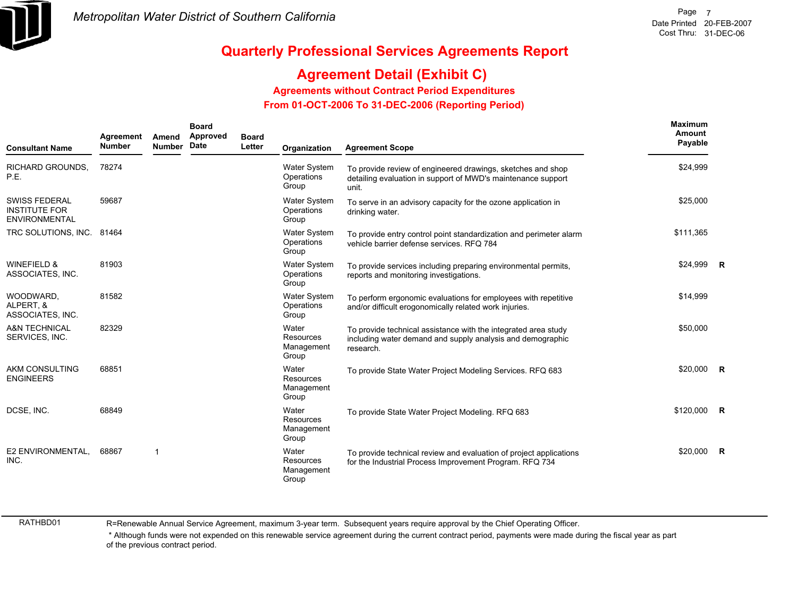

## **Agreement Detail (Exhibit C)**

**Agreements without Contract Period Expenditures**

 **From 01-OCT-2006 To 31-DEC-2006 (Reporting Period)** 

| <b>Consultant Name</b>                                        | Agreement<br><b>Number</b> | Amend<br><b>Number</b> | <b>Board</b><br>Approved<br>Date | <b>Board</b><br>Letter | Organization                               | <b>Agreement Scope</b>                                                                                                                    | Maximum<br>Amount<br>Payable |                |
|---------------------------------------------------------------|----------------------------|------------------------|----------------------------------|------------------------|--------------------------------------------|-------------------------------------------------------------------------------------------------------------------------------------------|------------------------------|----------------|
| RICHARD GROUNDS,<br>P.E.                                      | 78274                      |                        |                                  |                        | Water System<br>Operations<br>Group        | To provide review of engineered drawings, sketches and shop<br>detailing evaluation in support of MWD's maintenance support<br>unit.      | \$24,999                     |                |
| <b>SWISS FEDERAL</b><br><b>INSTITUTE FOR</b><br>ENVIRONMENTAL | 59687                      |                        |                                  |                        | <b>Water System</b><br>Operations<br>Group | To serve in an advisory capacity for the ozone application in<br>drinking water.                                                          | \$25,000                     |                |
| TRC SOLUTIONS, INC. 81464                                     |                            |                        |                                  |                        | <b>Water System</b><br>Operations<br>Group | To provide entry control point standardization and perimeter alarm<br>vehicle barrier defense services. RFQ 784                           | \$111,365                    |                |
| <b>WINEFIELD &amp;</b><br>ASSOCIATES, INC.                    | 81903                      |                        |                                  |                        | <b>Water System</b><br>Operations<br>Group | To provide services including preparing environmental permits,<br>reports and monitoring investigations.                                  | \$24,999                     | R              |
| WOODWARD,<br>ALPERT, &<br>ASSOCIATES, INC.                    | 81582                      |                        |                                  |                        | <b>Water System</b><br>Operations<br>Group | To perform ergonomic evaluations for employees with repetitive<br>and/or difficult erogonomically related work injuries.                  | \$14,999                     |                |
| <b>A&amp;N TECHNICAL</b><br>SERVICES, INC.                    | 82329                      |                        |                                  |                        | Water<br>Resources<br>Management<br>Group  | To provide technical assistance with the integrated area study<br>including water demand and supply analysis and demographic<br>research. | \$50,000                     |                |
| <b>AKM CONSULTING</b><br><b>ENGINEERS</b>                     | 68851                      |                        |                                  |                        | Water<br>Resources<br>Management<br>Group  | To provide State Water Project Modeling Services. RFQ 683                                                                                 | \$20,000                     | $\overline{R}$ |
| DCSE, INC.                                                    | 68849                      |                        |                                  |                        | Water<br>Resources<br>Management<br>Group  | To provide State Water Project Modeling. RFQ 683                                                                                          | $$120,000$ R                 |                |
| E2 ENVIRONMENTAL.<br>INC.                                     | 68867                      | $\overline{1}$         |                                  |                        | Water<br>Resources<br>Management<br>Group  | To provide technical review and evaluation of project applications<br>for the Industrial Process Improvement Program. RFQ 734             | \$20,000                     | $\overline{R}$ |

RATHBD01

R=Renewable Annual Service Agreement, maximum 3-year term. Subsequent years require approval by the Chief Operating Officer.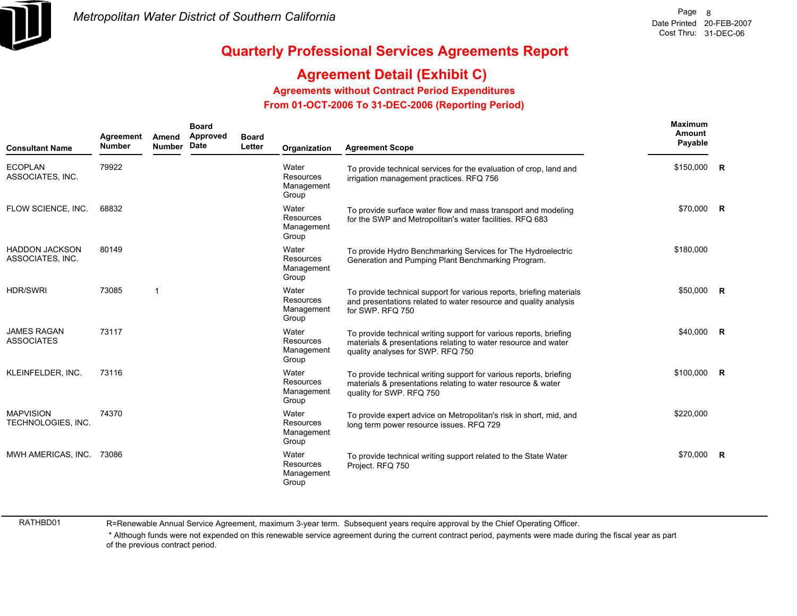

## **Agreement Detail (Exhibit C)**

**Agreements without Contract Period Expenditures**

 **From 01-OCT-2006 To 31-DEC-2006 (Reporting Period)** 

| <b>Consultant Name</b>                    | Agreement<br><b>Number</b> | Amend<br><b>Number</b> | <b>Board</b><br>Approved<br>Date | <b>Board</b><br>Letter | Organization                                     | <b>Agreement Scope</b>                                                                                                                                                    | <b>Maximum</b><br>Amount<br>Payable |                |
|-------------------------------------------|----------------------------|------------------------|----------------------------------|------------------------|--------------------------------------------------|---------------------------------------------------------------------------------------------------------------------------------------------------------------------------|-------------------------------------|----------------|
| <b>ECOPLAN</b><br>ASSOCIATES, INC.        | 79922                      |                        |                                  |                        | Water<br><b>Resources</b><br>Management<br>Group | To provide technical services for the evaluation of crop, land and<br>irrigation management practices. RFQ 756                                                            | \$150,000 R                         |                |
| FLOW SCIENCE, INC.                        | 68832                      |                        |                                  |                        | Water<br>Resources<br>Management<br>Group        | To provide surface water flow and mass transport and modeling<br>for the SWP and Metropolitan's water facilities. RFQ 683                                                 | \$70,000 R                          |                |
| <b>HADDON JACKSON</b><br>ASSOCIATES, INC. | 80149                      |                        |                                  |                        | Water<br>Resources<br>Management<br>Group        | To provide Hydro Benchmarking Services for The Hydroelectric<br>Generation and Pumping Plant Benchmarking Program.                                                        | \$180,000                           |                |
| <b>HDR/SWRI</b>                           | 73085                      | -1                     |                                  |                        | Water<br><b>Resources</b><br>Management<br>Group | To provide technical support for various reports, briefing materials<br>and presentations related to water resource and quality analysis<br>for SWP. RFQ 750              | \$50,000                            | $\overline{R}$ |
| <b>JAMES RAGAN</b><br><b>ASSOCIATES</b>   | 73117                      |                        |                                  |                        | Water<br>Resources<br>Management<br>Group        | To provide technical writing support for various reports, briefing<br>materials & presentations relating to water resource and water<br>quality analyses for SWP. RFQ 750 | \$40,000                            | <b>R</b>       |
| KLEINFELDER, INC.                         | 73116                      |                        |                                  |                        | Water<br>Resources<br>Management<br>Group        | To provide technical writing support for various reports, briefing<br>materials & presentations relating to water resource & water<br>quality for SWP. RFQ 750            | \$100,000                           | $\overline{R}$ |
| <b>MAPVISION</b><br>TECHNOLOGIES, INC.    | 74370                      |                        |                                  |                        | Water<br><b>Resources</b><br>Management<br>Group | To provide expert advice on Metropolitan's risk in short, mid, and<br>long term power resource issues. RFQ 729                                                            | \$220,000                           |                |
| MWH AMERICAS, INC.                        | 73086                      |                        |                                  |                        | Water<br>Resources<br>Management<br>Group        | To provide technical writing support related to the State Water<br>Project. RFQ 750                                                                                       | \$70,000                            | $\overline{R}$ |

RATHBD01

R=Renewable Annual Service Agreement, maximum 3-year term. Subsequent years require approval by the Chief Operating Officer.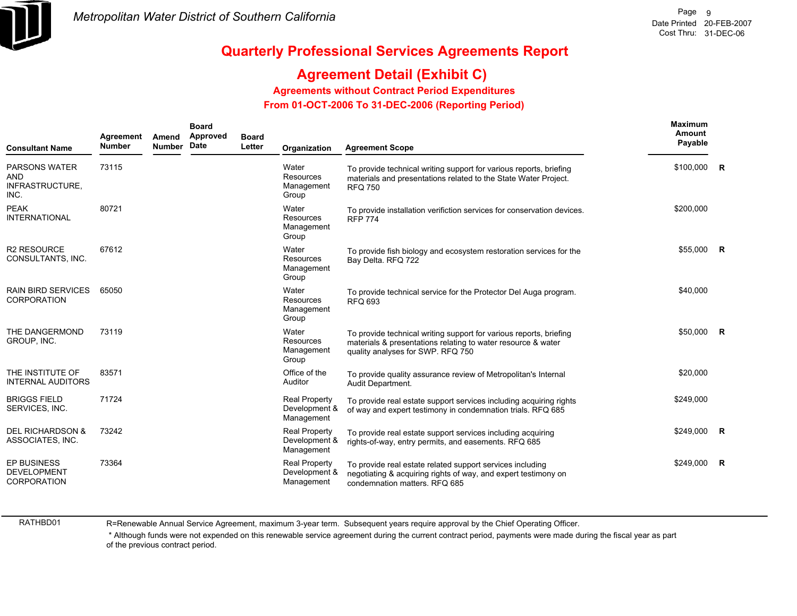

## **Agreement Detail (Exhibit C)**

**Agreements without Contract Period Expenditures**

 **From 01-OCT-2006 To 31-DEC-2006 (Reporting Period)** 

| <b>Consultant Name</b>                                  | Agreement<br><b>Number</b> | Amend<br><b>Number</b> | <b>Board</b><br>Approved<br>Date | <b>Board</b><br>Letter | Organization                                        | <b>Agreement Scope</b>                                                                                                                                                  | <b>Maximum</b><br>Amount<br>Payable |                |
|---------------------------------------------------------|----------------------------|------------------------|----------------------------------|------------------------|-----------------------------------------------------|-------------------------------------------------------------------------------------------------------------------------------------------------------------------------|-------------------------------------|----------------|
| <b>PARSONS WATER</b><br>AND<br>INFRASTRUCTURE,<br>INC.  | 73115                      |                        |                                  |                        | Water<br><b>Resources</b><br>Management<br>Group    | To provide technical writing support for various reports, briefing<br>materials and presentations related to the State Water Project.<br><b>RFQ 750</b>                 | $$100,000$ R                        |                |
| <b>PEAK</b><br><b>INTERNATIONAL</b>                     | 80721                      |                        |                                  |                        | Water<br>Resources<br>Management<br>Group           | To provide installation verifiction services for conservation devices.<br><b>RFP 774</b>                                                                                | \$200,000                           |                |
| <b>R2 RESOURCE</b><br>CONSULTANTS, INC.                 | 67612                      |                        |                                  |                        | Water<br>Resources<br>Management<br>Group           | To provide fish biology and ecosystem restoration services for the<br>Bay Delta. RFQ 722                                                                                | \$55.000                            | - R            |
| <b>RAIN BIRD SERVICES</b><br><b>CORPORATION</b>         | 65050                      |                        |                                  |                        | Water<br>Resources<br>Management<br>Group           | To provide technical service for the Protector Del Auga program.<br><b>RFQ 693</b>                                                                                      | \$40,000                            |                |
| THE DANGERMOND<br>GROUP, INC.                           | 73119                      |                        |                                  |                        | Water<br>Resources<br>Management<br>Group           | To provide technical writing support for various reports, briefing<br>materials & presentations relating to water resource & water<br>quality analyses for SWP. RFQ 750 | \$50,000                            | $\overline{R}$ |
| THE INSTITUTE OF<br><b>INTERNAL AUDITORS</b>            | 83571                      |                        |                                  |                        | Office of the<br>Auditor                            | To provide quality assurance review of Metropolitan's Internal<br>Audit Department.                                                                                     | \$20,000                            |                |
| <b>BRIGGS FIELD</b><br>SERVICES, INC.                   | 71724                      |                        |                                  |                        | <b>Real Property</b><br>Development &<br>Management | To provide real estate support services including acquiring rights<br>of way and expert testimony in condemnation trials. RFQ 685                                       | \$249,000                           |                |
| <b>DEL RICHARDSON &amp;</b><br>ASSOCIATES, INC.         | 73242                      |                        |                                  |                        | <b>Real Property</b><br>Development &<br>Management | To provide real estate support services including acquiring<br>rights-of-way, entry permits, and easements. RFQ 685                                                     | \$249,000                           | $\overline{R}$ |
| EP BUSINESS<br><b>DEVELOPMENT</b><br><b>CORPORATION</b> | 73364                      |                        |                                  |                        | <b>Real Property</b><br>Development &<br>Management | To provide real estate related support services including<br>negotiating & acquiring rights of way, and expert testimony on<br>condemnation matters. RFQ 685            | \$249,000                           | R              |

RATHBD01

R=Renewable Annual Service Agreement, maximum 3-year term. Subsequent years require approval by the Chief Operating Officer.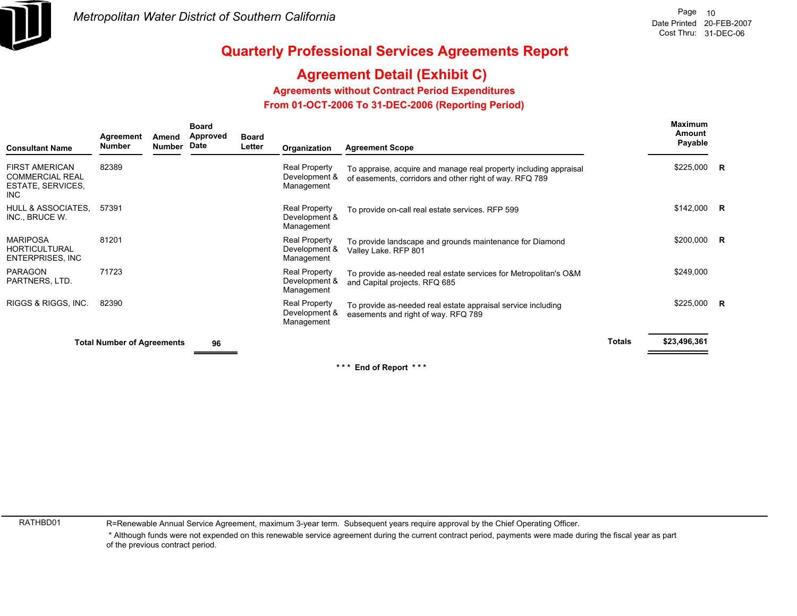

## **Agreement Detail (Exhibit C)**

**Agreements without Contract Period Expenditures**

 **From 01-OCT-2006 To 31-DEC-2006 (Reporting Period)** 

| Consultant Name                                                | Agreement<br><b>Number</b>        | Amend<br><b>Number</b> | <b>Board</b><br><b>Approved</b><br>Date | <b>Board</b><br>Letter | Organization                                        | <b>Agreement Scope</b>                                                                                                       |               | <b>Maximum</b><br>Amount<br>Payable |  |
|----------------------------------------------------------------|-----------------------------------|------------------------|-----------------------------------------|------------------------|-----------------------------------------------------|------------------------------------------------------------------------------------------------------------------------------|---------------|-------------------------------------|--|
| FIRST AMERICAN<br>COMMERCIAL REAL<br>ESTATE, SERVICES,<br>INC. | 82389                             |                        |                                         |                        | <b>Real Property</b><br>Development &<br>Management | To appraise, acquire and manage real property including appraisal<br>of easements, corridors and other right of way. RFQ 789 |               | $$225,000$ R                        |  |
| HULL & ASSOCIATES,<br>INC., BRUCE W.                           | 57391                             |                        |                                         |                        | <b>Real Property</b><br>Development &<br>Management | To provide on-call real estate services. RFP 599                                                                             |               | $$142,000$ R                        |  |
| MARIPOSA<br>HORTICULTURAL<br>ENTERPRISES, INC                  | 81201                             |                        |                                         |                        | <b>Real Property</b><br>Development &<br>Management | To provide landscape and grounds maintenance for Diamond<br>Valley Lake. RFP 801                                             |               | \$200,000 R                         |  |
| PARAGON<br>PARTNERS, LTD.                                      | 71723                             |                        |                                         |                        | Real Property<br>Development &<br>Management        | To provide as-needed real estate services for Metropolitan's O&M<br>and Capital projects. RFQ 685                            |               | \$249,000                           |  |
| RIGGS & RIGGS, INC.                                            | 82390                             |                        |                                         |                        | Real Property<br>Development &<br>Management        | To provide as-needed real estate appraisal service including<br>easements and right of way. RFQ 789                          |               | $$225,000$ R                        |  |
|                                                                | <b>Total Number of Agreements</b> |                        | 96                                      |                        |                                                     |                                                                                                                              | <b>Totals</b> | \$23,496,361                        |  |
|                                                                |                                   |                        |                                         |                        |                                                     |                                                                                                                              |               |                                     |  |

**End of Report** 

RATHBD01

R=Renewable Annual Service Agreement, maximum 3-year term. Subsequent years require approval by the Chief Operating Officer.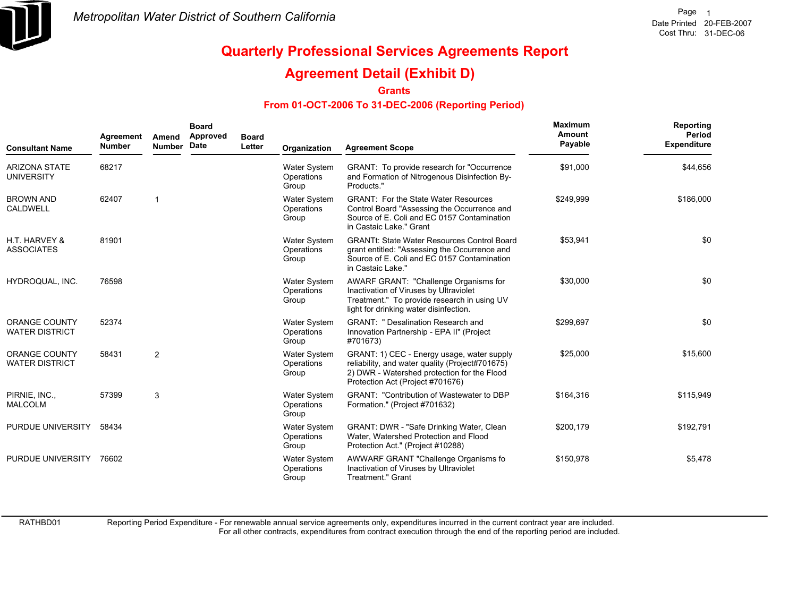

### **Agreement Detail (Exhibit D)**

**Grants**

#### **From 01-OCT-2006 To 31-DEC-2006 (Reporting Period)**

| <b>Consultant Name</b>                        | Agreement<br><b>Number</b> | Amend<br><b>Number</b> | <b>Board</b><br>Approved<br>Date | <b>Board</b><br>Letter | Organization                               | <b>Agreement Scope</b>                                                                                                                                                           | <b>Maximum</b><br>Amount<br>Payable | Reporting<br>Period<br><b>Expenditure</b> |
|-----------------------------------------------|----------------------------|------------------------|----------------------------------|------------------------|--------------------------------------------|----------------------------------------------------------------------------------------------------------------------------------------------------------------------------------|-------------------------------------|-------------------------------------------|
| <b>ARIZONA STATE</b><br><b>UNIVERSITY</b>     | 68217                      |                        |                                  |                        | Water System<br>Operations<br>Group        | GRANT: To provide research for "Occurrence"<br>and Formation of Nitrogenous Disinfection By-<br>Products."                                                                       | \$91,000                            | \$44,656                                  |
| <b>BROWN AND</b><br>CALDWELL                  | 62407                      |                        |                                  |                        | <b>Water System</b><br>Operations<br>Group | <b>GRANT: For the State Water Resources</b><br>Control Board "Assessing the Occurrence and<br>Source of E. Coli and EC 0157 Contamination<br>in Castaic Lake." Grant             | \$249,999                           | \$186,000                                 |
| H.T. HARVEY &<br><b>ASSOCIATES</b>            | 81901                      |                        |                                  |                        | Water System<br>Operations<br>Group        | <b>GRANTt: State Water Resources Control Board</b><br>grant entitled: "Assessing the Occurrence and<br>Source of E. Coli and EC 0157 Contamination<br>in Castaic Lake."          | \$53,941                            | \$0                                       |
| HYDROQUAL, INC.                               | 76598                      |                        |                                  |                        | Water System<br>Operations<br>Group        | AWARF GRANT: "Challenge Organisms for<br>Inactivation of Viruses by Ultraviolet<br>Treatment." To provide research in using UV<br>light for drinking water disinfection.         | \$30,000                            | \$0                                       |
| ORANGE COUNTY<br><b>WATER DISTRICT</b>        | 52374                      |                        |                                  |                        | Water System<br>Operations<br>Group        | <b>GRANT: " Desalination Research and</b><br>Innovation Partnership - EPA II" (Project<br>#701673)                                                                               | \$299.697                           | \$0                                       |
| <b>ORANGE COUNTY</b><br><b>WATER DISTRICT</b> | 58431                      | $\overline{2}$         |                                  |                        | Water System<br>Operations<br>Group        | GRANT: 1) CEC - Energy usage, water supply<br>reliability, and water quality (Project#701675)<br>2) DWR - Watershed protection for the Flood<br>Protection Act (Project #701676) | \$25,000                            | \$15,600                                  |
| PIRNIE, INC.,<br><b>MALCOLM</b>               | 57399                      | 3                      |                                  |                        | Water System<br>Operations<br>Group        | <b>GRANT: "Contribution of Wastewater to DBP</b><br>Formation." (Project #701632)                                                                                                | \$164,316                           | \$115,949                                 |
| PURDUE UNIVERSITY                             | 58434                      |                        |                                  |                        | Water System<br>Operations<br>Group        | GRANT: DWR - "Safe Drinking Water, Clean<br>Water, Watershed Protection and Flood<br>Protection Act." (Project #10288)                                                           | \$200,179                           | \$192,791                                 |
| PURDUE UNIVERSITY                             | 76602                      |                        |                                  |                        | Water System<br>Operations<br>Group        | AWWARF GRANT "Challenge Organisms fo<br>Inactivation of Viruses by Ultraviolet<br><b>Treatment." Grant</b>                                                                       | \$150,978                           | \$5,478                                   |

RATHBD01

Reporting Period Expenditure - For renewable annual service agreements only, expenditures incurred in the current contract year are included.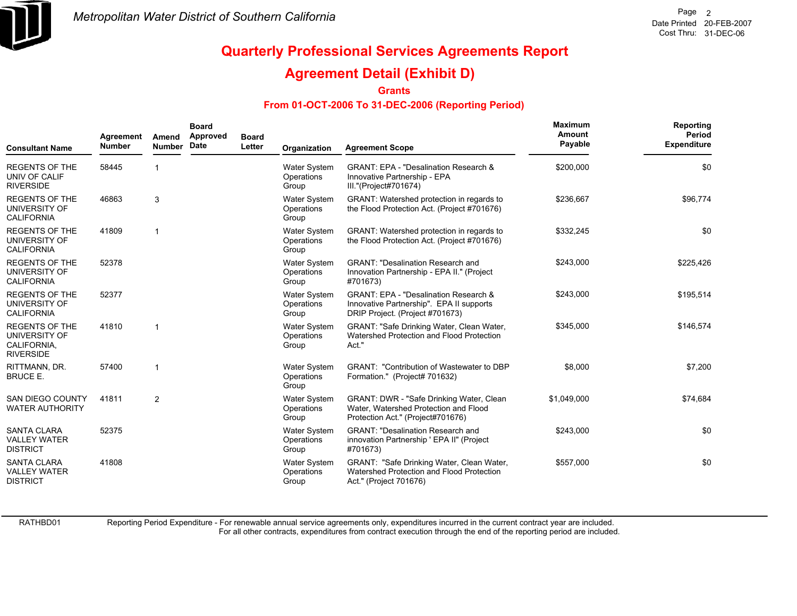

### **Agreement Detail (Exhibit D)**

**Grants**

#### **From 01-OCT-2006 To 31-DEC-2006 (Reporting Period)**

| <b>Consultant Name</b>                                                    | Agreement<br><b>Number</b> | Amend<br><b>Number</b> | <b>Board</b><br>Approved<br><b>Date</b> | <b>Board</b><br>Letter | Organization                               | <b>Agreement Scope</b>                                                                                                          | <b>Maximum</b><br><b>Amount</b><br>Payable | Reporting<br>Period<br><b>Expenditure</b> |
|---------------------------------------------------------------------------|----------------------------|------------------------|-----------------------------------------|------------------------|--------------------------------------------|---------------------------------------------------------------------------------------------------------------------------------|--------------------------------------------|-------------------------------------------|
| <b>REGENTS OF THE</b><br>UNIV OF CALIF<br><b>RIVERSIDE</b>                | 58445                      |                        |                                         |                        | Water System<br>Operations<br>Group        | <b>GRANT: EPA - "Desalination Research &amp;</b><br>Innovative Partnership - EPA<br>III."(Project#701674)                       | \$200,000                                  | \$0                                       |
| <b>REGENTS OF THE</b><br>UNIVERSITY OF<br><b>CALIFORNIA</b>               | 46863                      | 3                      |                                         |                        | <b>Water System</b><br>Operations<br>Group | GRANT: Watershed protection in regards to<br>the Flood Protection Act. (Project #701676)                                        | \$236,667                                  | \$96,774                                  |
| <b>REGENTS OF THE</b><br>UNIVERSITY OF<br><b>CALIFORNIA</b>               | 41809                      | 1                      |                                         |                        | <b>Water System</b><br>Operations<br>Group | GRANT: Watershed protection in regards to<br>the Flood Protection Act. (Project #701676)                                        | \$332,245                                  | \$0                                       |
| <b>REGENTS OF THE</b><br>UNIVERSITY OF<br><b>CALIFORNIA</b>               | 52378                      |                        |                                         |                        | <b>Water System</b><br>Operations<br>Group | <b>GRANT: "Desalination Research and</b><br>Innovation Partnership - EPA II." (Project<br>#701673)                              | \$243,000                                  | \$225,426                                 |
| <b>REGENTS OF THE</b><br>UNIVERSITY OF<br><b>CALIFORNIA</b>               | 52377                      |                        |                                         |                        | <b>Water System</b><br>Operations<br>Group | <b>GRANT: EPA - "Desalination Research &amp;</b><br>Innovative Partnership". EPA II supports<br>DRIP Project. (Project #701673) | \$243,000                                  | \$195,514                                 |
| <b>REGENTS OF THE</b><br>UNIVERSITY OF<br>CALIFORNIA,<br><b>RIVERSIDE</b> | 41810                      | 1                      |                                         |                        | <b>Water System</b><br>Operations<br>Group | GRANT: "Safe Drinking Water, Clean Water,<br>Watershed Protection and Flood Protection<br>Act."                                 | \$345,000                                  | \$146,574                                 |
| RITTMANN, DR.<br><b>BRUCE E.</b>                                          | 57400                      | 1                      |                                         |                        | <b>Water System</b><br>Operations<br>Group | <b>GRANT: "Contribution of Wastewater to DBP</b><br>Formation." (Project# 701632)                                               | \$8,000                                    | \$7,200                                   |
| <b>SAN DIEGO COUNTY</b><br><b>WATER AUTHORITY</b>                         | 41811                      | $\overline{2}$         |                                         |                        | <b>Water System</b><br>Operations<br>Group | GRANT: DWR - "Safe Drinking Water, Clean<br>Water, Watershed Protection and Flood<br>Protection Act." (Project#701676)          | \$1,049,000                                | \$74,684                                  |
| <b>SANTA CLARA</b><br><b>VALLEY WATER</b><br><b>DISTRICT</b>              | 52375                      |                        |                                         |                        | <b>Water System</b><br>Operations<br>Group | <b>GRANT: "Desalination Research and</b><br>innovation Partnership ' EPA II" (Project<br>#701673)                               | \$243,000                                  | \$0                                       |
| <b>SANTA CLARA</b><br><b>VALLEY WATER</b><br><b>DISTRICT</b>              | 41808                      |                        |                                         |                        | <b>Water System</b><br>Operations<br>Group | GRANT: "Safe Drinking Water, Clean Water,<br>Watershed Protection and Flood Protection<br>Act." (Project 701676)                | \$557,000                                  | \$0                                       |

RATHBD01

Reporting Period Expenditure - For renewable annual service agreements only, expenditures incurred in the current contract year are included.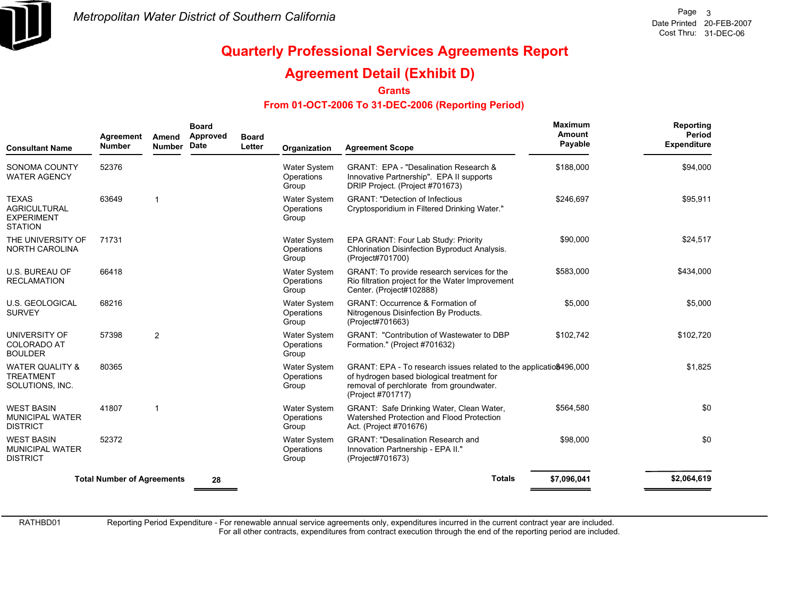

### **Agreement Detail (Exhibit D)**

**Grants**

#### **From 01-OCT-2006 To 31-DEC-2006 (Reporting Period)**

| <b>Consultant Name</b>                                                     | Agreement<br><b>Number</b>        | Amend<br><b>Number</b> | <b>Board</b><br>Approved<br>Date | <b>Board</b><br>Letter | Organization                               | <b>Agreement Scope</b>                                                                                                                                                            | <b>Maximum</b><br>Amount<br>Payable | Reporting<br>Period<br>Expenditure |
|----------------------------------------------------------------------------|-----------------------------------|------------------------|----------------------------------|------------------------|--------------------------------------------|-----------------------------------------------------------------------------------------------------------------------------------------------------------------------------------|-------------------------------------|------------------------------------|
| SONOMA COUNTY<br><b>WATER AGENCY</b>                                       | 52376                             |                        |                                  |                        | <b>Water System</b><br>Operations<br>Group | GRANT: EPA - "Desalination Research &<br>Innovative Partnership". EPA II supports<br>DRIP Project. (Project #701673)                                                              | \$188,000                           | \$94,000                           |
| <b>TEXAS</b><br><b>AGRICULTURAL</b><br><b>EXPERIMENT</b><br><b>STATION</b> | 63649                             | $\mathbf{1}$           |                                  |                        | Water System<br>Operations<br>Group        | <b>GRANT: "Detection of Infectious</b><br>Cryptosporidium in Filtered Drinking Water."                                                                                            | \$246,697                           | \$95,911                           |
| THE UNIVERSITY OF<br><b>NORTH CAROLINA</b>                                 | 71731                             |                        |                                  |                        | <b>Water System</b><br>Operations<br>Group | EPA GRANT: Four Lab Study: Priority<br>Chlorination Disinfection Byproduct Analysis.<br>(Project#701700)                                                                          | \$90,000                            | \$24,517                           |
| <b>U.S. BUREAU OF</b><br><b>RECLAMATION</b>                                | 66418                             |                        |                                  |                        | Water System<br>Operations<br>Group        | GRANT: To provide research services for the<br>Rio filtration project for the Water Improvement<br>Center. (Project#102888)                                                       | \$583,000                           | \$434,000                          |
| <b>U.S. GEOLOGICAL</b><br><b>SURVEY</b>                                    | 68216                             |                        |                                  |                        | Water System<br>Operations<br>Group        | GRANT: Occurrence & Formation of<br>Nitrogenous Disinfection By Products.<br>(Project#701663)                                                                                     | \$5,000                             | \$5,000                            |
| UNIVERSITY OF<br><b>COLORADO AT</b><br><b>BOULDER</b>                      | 57398                             | $\overline{2}$         |                                  |                        | <b>Water System</b><br>Operations<br>Group | <b>GRANT: "Contribution of Wastewater to DBP</b><br>Formation." (Project #701632)                                                                                                 | \$102.742                           | \$102,720                          |
| <b>WATER QUALITY &amp;</b><br><b>TREATMENT</b><br>SOLUTIONS, INC.          | 80365                             |                        |                                  |                        | <b>Water System</b><br>Operations<br>Group | GRANT: EPA - To research issues related to the applicatio\$496,000<br>of hydrogen based biological treatment for<br>removal of perchlorate from groundwater.<br>(Project #701717) |                                     | \$1,825                            |
| <b>WEST BASIN</b><br><b>MUNICIPAL WATER</b><br><b>DISTRICT</b>             | 41807                             | 1                      |                                  |                        | <b>Water System</b><br>Operations<br>Group | GRANT: Safe Drinking Water, Clean Water,<br>Watershed Protection and Flood Protection<br>Act. (Project #701676)                                                                   | \$564,580                           | \$0                                |
| <b>WEST BASIN</b><br><b>MUNICIPAL WATER</b><br><b>DISTRICT</b>             | 52372                             |                        |                                  |                        | <b>Water System</b><br>Operations<br>Group | <b>GRANT: "Desalination Research and</b><br>Innovation Partnership - EPA II."<br>(Project#701673)                                                                                 | \$98,000                            | \$0                                |
|                                                                            | <b>Total Number of Agreements</b> |                        | 28                               |                        |                                            | <b>Totals</b>                                                                                                                                                                     | \$7,096,041                         | \$2,064,619                        |

RATHBD01

Reporting Period Expenditure - For renewable annual service agreements only, expenditures incurred in the current contract year are included.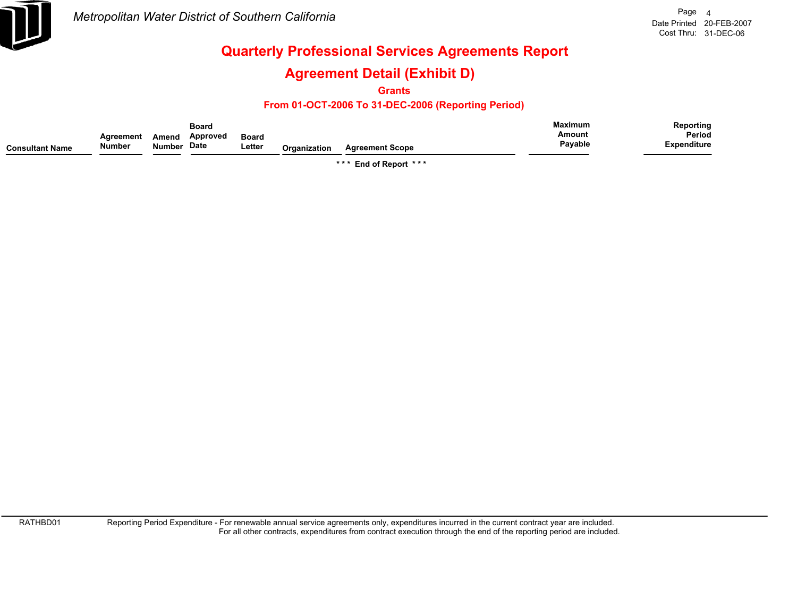

## **Agreement Detail (Exhibit D)**

**Grants**

#### **From 01-OCT-2006 To 31-DEC-2006 (Reporting Period)**

|                 |                            |                        | <b>Board</b>     |                        |              |                        | <b>Maximum</b>    | Reporting                    |
|-----------------|----------------------------|------------------------|------------------|------------------------|--------------|------------------------|-------------------|------------------------------|
| Consultant Name | Agreement<br><b>Number</b> | Amend<br><b>Number</b> | Approved<br>Date | <b>Board</b><br>Letter | Organization | <b>Agreement Scope</b> | Amouni<br>Payable | Period<br><b>Expenditure</b> |
|                 |                            |                        |                  |                        |              |                        |                   |                              |

**\* \* \* End of Report \* \* \***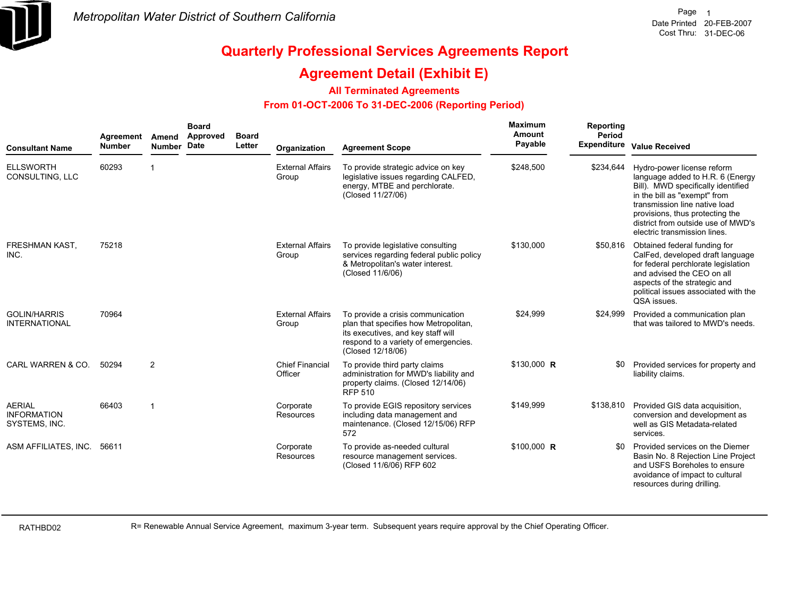

### **Agreement Detail (Exhibit E)**

#### **All Terminated Agreements**

#### **From 01-OCT-2006 To 31-DEC-2006 (Reporting Period)**

| <b>Consultant Name</b>                               | Agreement<br><b>Number</b> | Amend<br>Number Date | <b>Board</b><br>Approved | <b>Board</b><br>Letter | Organization                      | <b>Agreement Scope</b>                                                                                                                                                        | Maximum<br><b>Amount</b><br>Payable | <b>Reporting</b><br>Period | Expenditure Value Received                                                                                                                                                                                                                                                     |
|------------------------------------------------------|----------------------------|----------------------|--------------------------|------------------------|-----------------------------------|-------------------------------------------------------------------------------------------------------------------------------------------------------------------------------|-------------------------------------|----------------------------|--------------------------------------------------------------------------------------------------------------------------------------------------------------------------------------------------------------------------------------------------------------------------------|
| <b>ELLSWORTH</b><br>CONSULTING, LLC                  | 60293                      | -1                   |                          |                        | <b>External Affairs</b><br>Group  | To provide strategic advice on key<br>legislative issues regarding CALFED,<br>energy, MTBE and perchlorate.<br>(Closed 11/27/06)                                              | \$248,500                           | \$234,644                  | Hydro-power license reform<br>language added to H.R. 6 (Energy<br>Bill). MWD specifically identified<br>in the bill as "exempt" from<br>transmission line native load<br>provisions, thus protecting the<br>district from outside use of MWD's<br>electric transmission lines. |
| <b>FRESHMAN KAST,</b><br>INC.                        | 75218                      |                      |                          |                        | <b>External Affairs</b><br>Group  | To provide legislative consulting<br>services regarding federal public policy<br>& Metropolitan's water interest.<br>(Closed 11/6/06)                                         | \$130,000                           |                            | \$50,816 Obtained federal funding for<br>CalFed, developed draft language<br>for federal perchlorate legislation<br>and advised the CEO on all<br>aspects of the strategic and<br>political issues associated with the<br>QSA issues.                                          |
| <b>GOLIN/HARRIS</b><br><b>INTERNATIONAL</b>          | 70964                      |                      |                          |                        | <b>External Affairs</b><br>Group  | To provide a crisis communication<br>plan that specifies how Metropolitan,<br>its executives, and key staff will<br>respond to a variety of emergencies.<br>(Closed 12/18/06) | \$24,999                            | \$24,999                   | Provided a communication plan<br>that was tailored to MWD's needs.                                                                                                                                                                                                             |
| CARL WARREN & CO.                                    | 50294                      | 2                    |                          |                        | <b>Chief Financial</b><br>Officer | To provide third party claims<br>administration for MWD's liability and<br>property claims. (Closed 12/14/06)<br><b>RFP 510</b>                                               | \$130,000 R                         | \$0                        | Provided services for property and<br>liability claims.                                                                                                                                                                                                                        |
| <b>AERIAL</b><br><b>INFORMATION</b><br>SYSTEMS, INC. | 66403                      | $\overline{1}$       |                          |                        | Corporate<br>Resources            | To provide EGIS repository services<br>including data management and<br>maintenance. (Closed 12/15/06) RFP<br>572                                                             | \$149,999                           | \$138,810                  | Provided GIS data acquisition,<br>conversion and development as<br>well as GIS Metadata-related<br>services.                                                                                                                                                                   |
| ASM AFFILIATES, INC. 56611                           |                            |                      |                          |                        | Corporate<br><b>Resources</b>     | To provide as-needed cultural<br>resource management services.<br>(Closed 11/6/06) RFP 602                                                                                    | $$100,000$ R                        | \$0                        | Provided services on the Diemer<br>Basin No. 8 Rejection Line Project<br>and USFS Boreholes to ensure<br>avoidance of impact to cultural<br>resources during drilling.                                                                                                         |

RATHBD02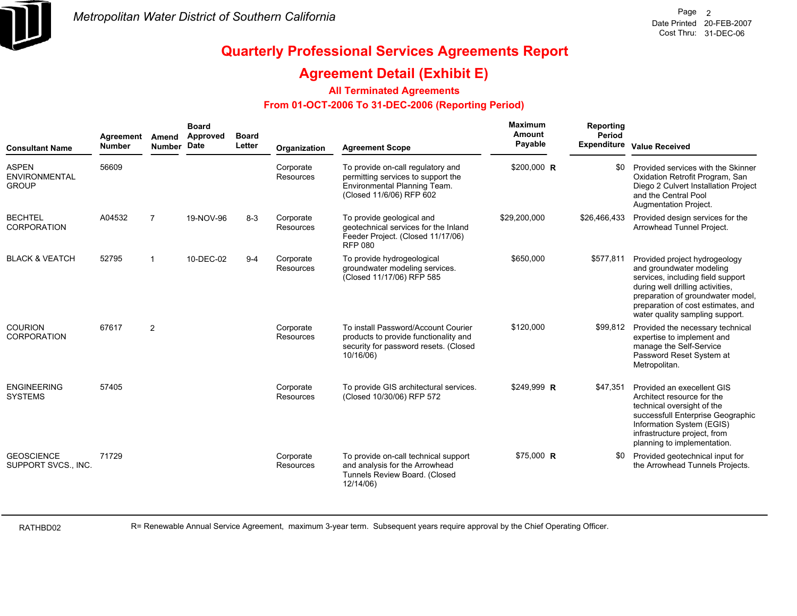

### **Agreement Detail (Exhibit E)**

#### **All Terminated Agreements**

#### **From 01-OCT-2006 To 31-DEC-2006 (Reporting Period)**

| <b>Consultant Name</b>                               | Agreement<br><b>Number</b> | Amend<br><b>Number</b>  | <b>Board</b><br>Approved<br>Date | <b>Board</b><br>Letter | Organization           | <b>Agreement Scope</b>                                                                                                              | Maximum<br>Amount<br>Payable | <b>Reporting</b><br>Period<br><b>Expenditure</b> | <b>Value Received</b>                                                                                                                                                                                                                            |
|------------------------------------------------------|----------------------------|-------------------------|----------------------------------|------------------------|------------------------|-------------------------------------------------------------------------------------------------------------------------------------|------------------------------|--------------------------------------------------|--------------------------------------------------------------------------------------------------------------------------------------------------------------------------------------------------------------------------------------------------|
| <b>ASPEN</b><br><b>ENVIRONMENTAL</b><br><b>GROUP</b> | 56609                      |                         |                                  |                        | Corporate<br>Resources | To provide on-call regulatory and<br>permitting services to support the<br>Environmental Planning Team.<br>(Closed 11/6/06) RFP 602 | \$200,000 R                  | \$0                                              | Provided services with the Skinner<br>Oxidation Retrofit Program, San<br>Diego 2 Culvert Installation Project<br>and the Central Pool<br>Augmentation Project.                                                                                   |
| <b>BECHTEL</b><br><b>CORPORATION</b>                 | A04532                     | $\overline{7}$          | 19-NOV-96                        | $8 - 3$                | Corporate<br>Resources | To provide geological and<br>geotechnical services for the Inland<br>Feeder Project. (Closed 11/17/06)<br><b>RFP 080</b>            | \$29,200,000                 | \$26,466,433                                     | Provided design services for the<br>Arrowhead Tunnel Project.                                                                                                                                                                                    |
| <b>BLACK &amp; VEATCH</b>                            | 52795                      | $\overline{\mathbf{1}}$ | 10-DEC-02                        | $9 - 4$                | Corporate<br>Resources | To provide hydrogeological<br>groundwater modeling services.<br>(Closed 11/17/06) RFP 585                                           | \$650,000                    | \$577,811                                        | Provided project hydrogeology<br>and groundwater modeling<br>services, including field support<br>during well drilling activities,<br>preparation of groundwater model,<br>preparation of cost estimates, and<br>water quality sampling support. |
| <b>COURION</b><br><b>CORPORATION</b>                 | 67617                      | 2                       |                                  |                        | Corporate<br>Resources | To install Password/Account Courier<br>products to provide functionality and<br>security for password resets. (Closed<br>10/16/06)  | \$120,000                    | \$99,812                                         | Provided the necessary technical<br>expertise to implement and<br>manage the Self-Service<br>Password Reset System at<br>Metropolitan.                                                                                                           |
| <b>ENGINEERING</b><br><b>SYSTEMS</b>                 | 57405                      |                         |                                  |                        | Corporate<br>Resources | To provide GIS architectural services.<br>(Closed 10/30/06) RFP 572                                                                 | \$249.999 R                  | \$47,351                                         | Provided an execellent GIS<br>Architect resource for the<br>technical oversight of the<br>successfull Enterprise Geographic<br>Information System (EGIS)<br>infrastructure project, from<br>planning to implementation.                          |
| <b>GEOSCIENCE</b><br>SUPPORT SVCS., INC.             | 71729                      |                         |                                  |                        | Corporate<br>Resources | To provide on-call technical support<br>and analysis for the Arrowhead<br>Tunnels Review Board. (Closed<br>12/14/06)                | $$75,000$ R                  | \$0                                              | Provided geotechnical input for<br>the Arrowhead Tunnels Projects.                                                                                                                                                                               |

RATHBD02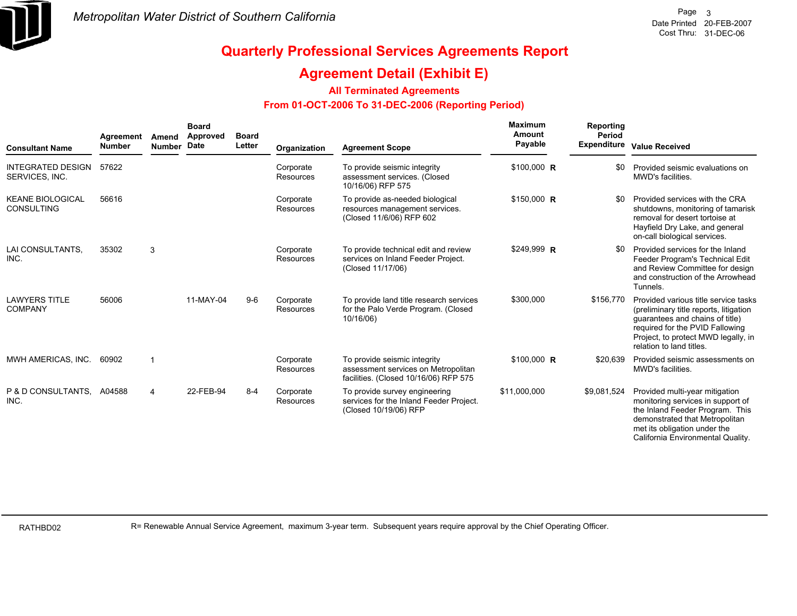

### **Agreement Detail (Exhibit E)**

#### **All Terminated Agreements**

#### **From 01-OCT-2006 To 31-DEC-2006 (Reporting Period)**

| <b>Consultant Name</b>                       | Agreement<br><b>Number</b> | Amend<br><b>Number</b> | <b>Board</b><br>Approved<br><b>Date</b> | <b>Board</b><br>Letter | Organization                  | <b>Agreement Scope</b>                                                                                       | Maximum<br>Amount<br>Payable | Reporting<br>Period<br><b>Expenditure</b> | <b>Value Received</b>                                                                                                                                                                                                   |
|----------------------------------------------|----------------------------|------------------------|-----------------------------------------|------------------------|-------------------------------|--------------------------------------------------------------------------------------------------------------|------------------------------|-------------------------------------------|-------------------------------------------------------------------------------------------------------------------------------------------------------------------------------------------------------------------------|
| <b>INTEGRATED DESIGN</b><br>SERVICES, INC.   | 57622                      |                        |                                         |                        | Corporate<br><b>Resources</b> | To provide seismic integrity<br>assessment services. (Closed<br>10/16/06) RFP 575                            | \$100,000 R                  | \$0                                       | Provided seismic evaluations on<br>MWD's facilities.                                                                                                                                                                    |
| <b>KEANE BIOLOGICAL</b><br><b>CONSULTING</b> | 56616                      |                        |                                         |                        | Corporate<br>Resources        | To provide as-needed biological<br>resources management services.<br>(Closed 11/6/06) RFP 602                | $$150,000$ R                 | \$0                                       | Provided services with the CRA<br>shutdowns, monitoring of tamarisk<br>removal for desert tortoise at<br>Hayfield Dry Lake, and general<br>on-call biological services.                                                 |
| LAI CONSULTANTS,<br>INC.                     | 35302                      | 3                      |                                         |                        | Corporate<br>Resources        | To provide technical edit and review<br>services on Inland Feeder Project.<br>(Closed 11/17/06)              | \$249,999 R                  | \$0                                       | Provided services for the Inland<br>Feeder Program's Technical Edit<br>and Review Committee for design<br>and construction of the Arrowhead<br>Tunnels.                                                                 |
| <b>LAWYERS TITLE</b><br><b>COMPANY</b>       | 56006                      |                        | 11-MAY-04                               | $9-6$                  | Corporate<br>Resources        | To provide land title research services<br>for the Palo Verde Program. (Closed<br>10/16/06)                  | \$300,000                    | \$156,770                                 | Provided various title service tasks<br>(preliminary title reports, litigation<br>guarantees and chains of title)<br>required for the PVID Fallowing<br>Project, to protect MWD legally, in<br>relation to land titles. |
| MWH AMERICAS, INC.                           | 60902                      |                        |                                         |                        | Corporate<br>Resources        | To provide seismic integrity<br>assessment services on Metropolitan<br>facilities. (Closed 10/16/06) RFP 575 | $$100,000$ R                 | \$20,639                                  | Provided seismic assessments on<br>MWD's facilities.                                                                                                                                                                    |
| P & D CONSULTANTS.<br>INC.                   | A04588                     | $\overline{4}$         | 22-FEB-94                               | $8 - 4$                | Corporate<br>Resources        | To provide survey engineering<br>services for the Inland Feeder Project.<br>(Closed 10/19/06) RFP            | \$11,000,000                 | \$9,081,524                               | Provided multi-year mitigation<br>monitoring services in support of<br>the Inland Feeder Program. This<br>demonstrated that Metropolitan<br>met its obligation under the<br>California Environmental Quality.           |

RATHBD02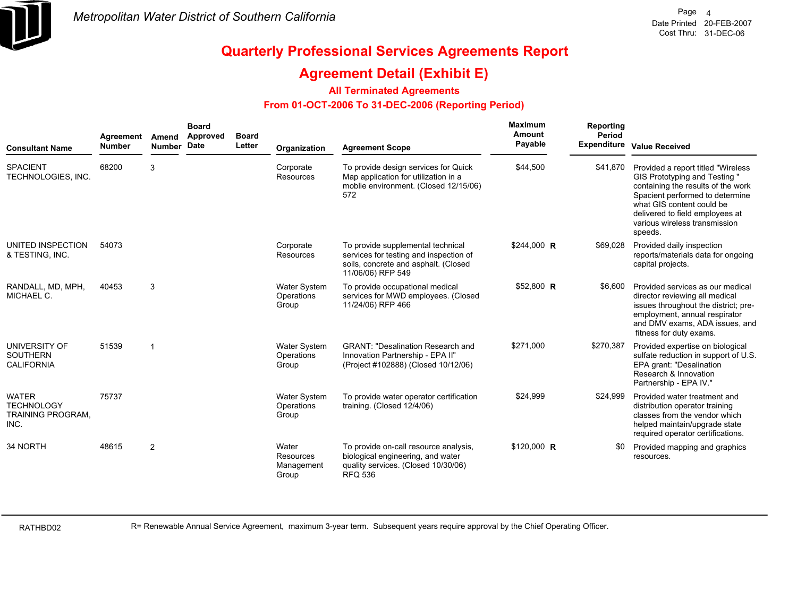

### **Agreement Detail (Exhibit E)**

#### **All Terminated Agreements**

#### **From 01-OCT-2006 To 31-DEC-2006 (Reporting Period)**

| <b>Consultant Name</b>                                                | Agreement<br><b>Number</b> | Amend<br>Number Date | <b>Board</b><br>Approved | <b>Board</b><br>Letter | Organization                               | <b>Agreement Scope</b>                                                                                                                   | Maximum<br><b>Amount</b><br>Payable | Reporting<br>Period | Expenditure Value Received                                                                                                                                                                                                                                |
|-----------------------------------------------------------------------|----------------------------|----------------------|--------------------------|------------------------|--------------------------------------------|------------------------------------------------------------------------------------------------------------------------------------------|-------------------------------------|---------------------|-----------------------------------------------------------------------------------------------------------------------------------------------------------------------------------------------------------------------------------------------------------|
| <b>SPACIENT</b><br>TECHNOLOGIES, INC.                                 | 68200                      | 3                    |                          |                        | Corporate<br><b>Resources</b>              | To provide design services for Quick<br>Map application for utilization in a<br>moblie environment. (Closed 12/15/06)<br>572             | \$44,500                            | \$41,870            | Provided a report titled "Wireless"<br>GIS Prototyping and Testing "<br>containing the results of the work<br>Spacient performed to determine<br>what GIS content could be<br>delivered to field employees at<br>various wireless transmission<br>speeds. |
| UNITED INSPECTION<br>& TESTING, INC.                                  | 54073                      |                      |                          |                        | Corporate<br>Resources                     | To provide supplemental technical<br>services for testing and inspection of<br>soils, concrete and asphalt. (Closed<br>11/06/06) RFP 549 | \$244,000 R                         | \$69,028            | Provided daily inspection<br>reports/materials data for ongoing<br>capital projects.                                                                                                                                                                      |
| RANDALL, MD, MPH,<br>MICHAEL C.                                       | 40453                      | 3                    |                          |                        | <b>Water System</b><br>Operations<br>Group | To provide occupational medical<br>services for MWD employees. (Closed<br>11/24/06) RFP 466                                              | \$52,800 R                          | \$6,600             | Provided services as our medical<br>director reviewing all medical<br>issues throughout the district; pre-<br>employment, annual respirator<br>and DMV exams, ADA issues, and<br>fitness for duty exams.                                                  |
| UNIVERSITY OF<br><b>SOUTHERN</b><br><b>CALIFORNIA</b>                 | 51539                      | $\overline{1}$       |                          |                        | <b>Water System</b><br>Operations<br>Group | <b>GRANT: "Desalination Research and</b><br>Innovation Partnership - EPA II"<br>(Project #102888) (Closed 10/12/06)                      | \$271,000                           | \$270,387           | Provided expertise on biological<br>sulfate reduction in support of U.S.<br>EPA grant: "Desalination<br>Research & Innovation<br>Partnership - EPA IV."                                                                                                   |
| <b>WATER</b><br><b>TECHNOLOGY</b><br><b>TRAINING PROGRAM,</b><br>INC. | 75737                      |                      |                          |                        | <b>Water System</b><br>Operations<br>Group | To provide water operator certification<br>training. (Closed 12/4/06)                                                                    | \$24,999                            | \$24,999            | Provided water treatment and<br>distribution operator training<br>classes from the vendor which<br>helped maintain/upgrade state<br>required operator certifications.                                                                                     |
| 34 NORTH                                                              | 48615                      | 2                    |                          |                        | Water<br>Resources<br>Management<br>Group  | To provide on-call resource analysis,<br>biological engineering, and water<br>quality services. (Closed 10/30/06)<br><b>RFQ 536</b>      | \$120,000 R                         | \$0                 | Provided mapping and graphics<br>resources.                                                                                                                                                                                                               |

RATHBD02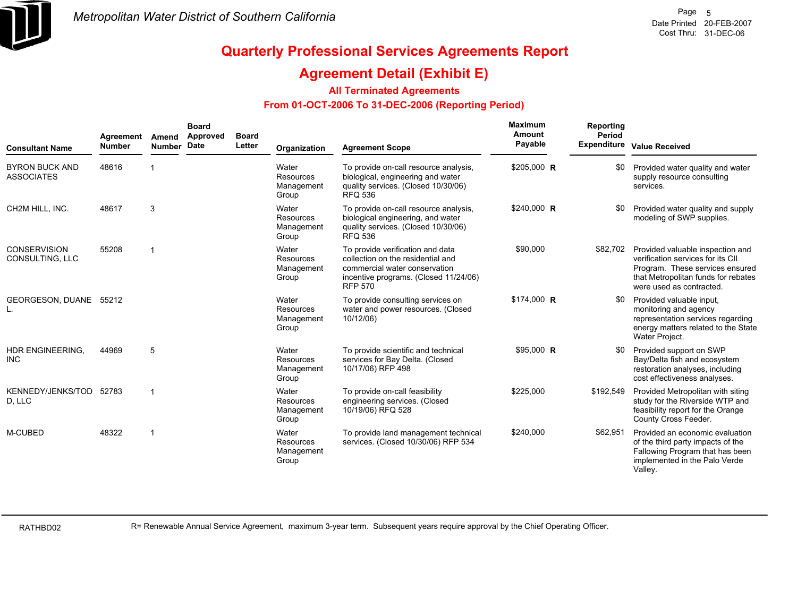

### **Agreement Detail (Exhibit E)**

#### **All Terminated Agreements**

#### **From 01-OCT-2006 To 31-DEC-2006 (Reporting Period)**

| <b>Consultant Name</b>                     | Agreement<br><b>Number</b> | Amend<br><b>Number</b> | <b>Board</b><br>Approved<br>Date | <b>Board</b><br>Letter | Organization                                     | <b>Agreement Scope</b>                                                                                                                                            | Maximum<br>Amount<br>Payable | Reporting<br>Period | Expenditure Value Received                                                                                                                                                           |
|--------------------------------------------|----------------------------|------------------------|----------------------------------|------------------------|--------------------------------------------------|-------------------------------------------------------------------------------------------------------------------------------------------------------------------|------------------------------|---------------------|--------------------------------------------------------------------------------------------------------------------------------------------------------------------------------------|
| <b>BYRON BUCK AND</b><br><b>ASSOCIATES</b> | 48616                      |                        |                                  |                        | Water<br>Resources<br>Management<br>Group        | To provide on-call resource analysis,<br>biological, engineering and water<br>quality services. (Closed 10/30/06)<br><b>RFQ 536</b>                               | \$205,000 R                  | \$0                 | Provided water quality and water<br>supply resource consulting<br>services.                                                                                                          |
| CH2M HILL. INC.                            | 48617                      | 3                      |                                  |                        | Water<br>Resources<br>Management<br>Group        | To provide on-call resource analysis,<br>biological engineering, and water<br>quality services. (Closed 10/30/06)<br><b>RFQ 536</b>                               | \$240,000 R                  | \$0                 | Provided water quality and supply<br>modeling of SWP supplies.                                                                                                                       |
| <b>CONSERVISION</b><br>CONSULTING, LLC     | 55208                      | $\mathbf{1}$           |                                  |                        | Water<br>Resources<br>Management<br>Group        | To provide verification and data<br>collection on the residential and<br>commercial water conservation<br>incentive programs. (Closed 11/24/06)<br><b>RFP 570</b> | \$90,000                     |                     | \$82,702 Provided valuable inspection and<br>verification services for its CII<br>Program. These services ensured<br>that Metropolitan funds for rebates<br>were used as contracted. |
| GEORGESON, DUANE 55212                     |                            |                        |                                  |                        | Water<br>Resources<br>Management<br>Group        | To provide consulting services on<br>water and power resources. (Closed<br>10/12/06)                                                                              | $$174,000$ R                 | \$0                 | Provided valuable input,<br>monitoring and agency<br>representation services regarding<br>energy matters related to the State<br>Water Project.                                      |
| <b>HDR ENGINEERING.</b><br><b>INC</b>      | 44969                      | 5                      |                                  |                        | Water<br><b>Resources</b><br>Management<br>Group | To provide scientific and technical<br>services for Bay Delta. (Closed<br>10/17/06) RFP 498                                                                       | \$95.000 R                   | \$0                 | Provided support on SWP<br>Bay/Delta fish and ecosystem<br>restoration analyses, including<br>cost effectiveness analyses.                                                           |
| KENNEDY/JENKS/TOD 52783<br>D, LLC          |                            | $\mathbf 1$            |                                  |                        | Water<br>Resources<br>Management<br>Group        | To provide on-call feasibility<br>engineering services. (Closed<br>10/19/06) RFQ 528                                                                              | \$225,000                    | \$192,549           | Provided Metropolitan with siting<br>study for the Riverside WTP and<br>feasibility report for the Orange<br>County Cross Feeder.                                                    |
| M-CUBED                                    | 48322                      | -1                     |                                  |                        | Water<br>Resources<br>Management<br>Group        | To provide land management technical<br>services. (Closed 10/30/06) RFP 534                                                                                       | \$240,000                    | \$62,951            | Provided an economic evaluation<br>of the third party impacts of the<br>Fallowing Program that has been<br>implemented in the Palo Verde<br>Valley.                                  |

RATHBD02